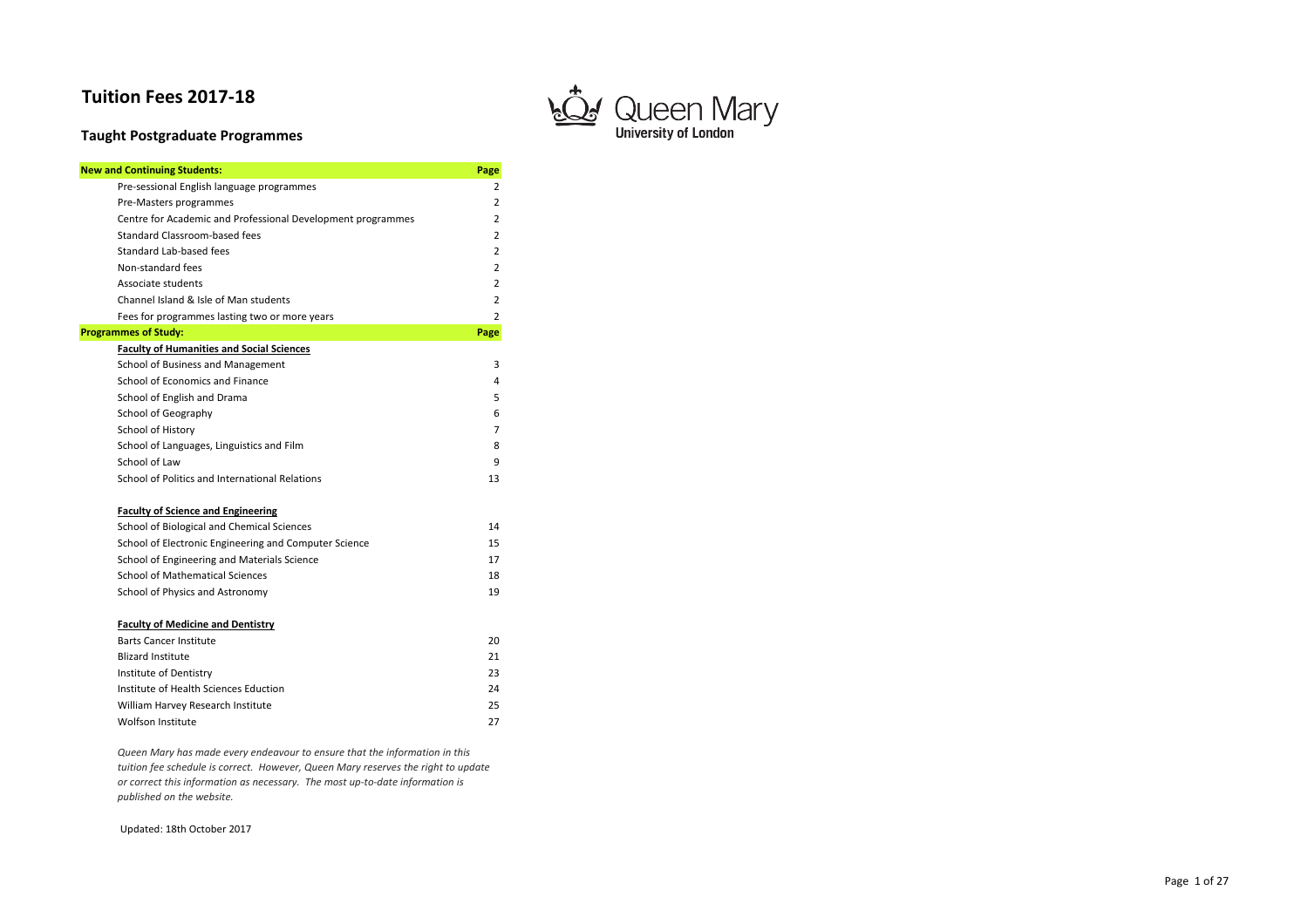# **Tuition Fees 2017-18**

# **Taught Postgraduate Programmes**

| <b>New and Continuing Students:</b>                         | Page |
|-------------------------------------------------------------|------|
| Pre-sessional English language programmes                   | 2    |
| Pre-Masters programmes                                      | 2    |
| Centre for Academic and Professional Development programmes | 2    |
| Standard Classroom-based fees                               | 2    |
| Standard Lab-based fees                                     | 2    |
| Non-standard fees                                           | 2    |
| Associate students                                          | 2    |
| Channel Island & Isle of Man students                       | 2    |
| Fees for programmes lasting two or more years               | 2    |
| <b>Programmes of Study:</b>                                 | Page |
| <b>Faculty of Humanities and Social Sciences</b>            |      |
| School of Business and Management                           | 3    |
| School of Economics and Finance                             | 4    |
| School of English and Drama                                 | 5    |
| School of Geography                                         | 6    |
| School of History                                           | 7    |
| School of Languages, Linguistics and Film                   | 8    |
| School of Law                                               | 9    |
| School of Politics and International Relations              | 13   |
| <b>Faculty of Science and Engineering</b>                   |      |
| School of Biological and Chemical Sciences                  | 14   |
| School of Electronic Engineering and Computer Science       | 15   |
| School of Engineering and Materials Science                 | 17   |
| <b>School of Mathematical Sciences</b>                      | 18   |
| School of Physics and Astronomy                             | 19   |
| <b>Faculty of Medicine and Dentistry</b>                    |      |
| <b>Barts Cancer Institute</b>                               | 20   |
| <b>Blizard Institute</b>                                    | 21   |
| Institute of Dentistry                                      | 23   |
| Institute of Health Sciences Eduction                       | 24   |
| William Harvey Research Institute                           | 25   |
| Wolfson Institute                                           | 27   |

Updated: 18th October 2017



*Queen Mary has made every endeavour to ensure that the information in this tuition fee schedule is correct. However, Queen Mary reserves the right to update or correct this information as necessary. The most up-to-date information is published on the website.* 

Page 1 of 27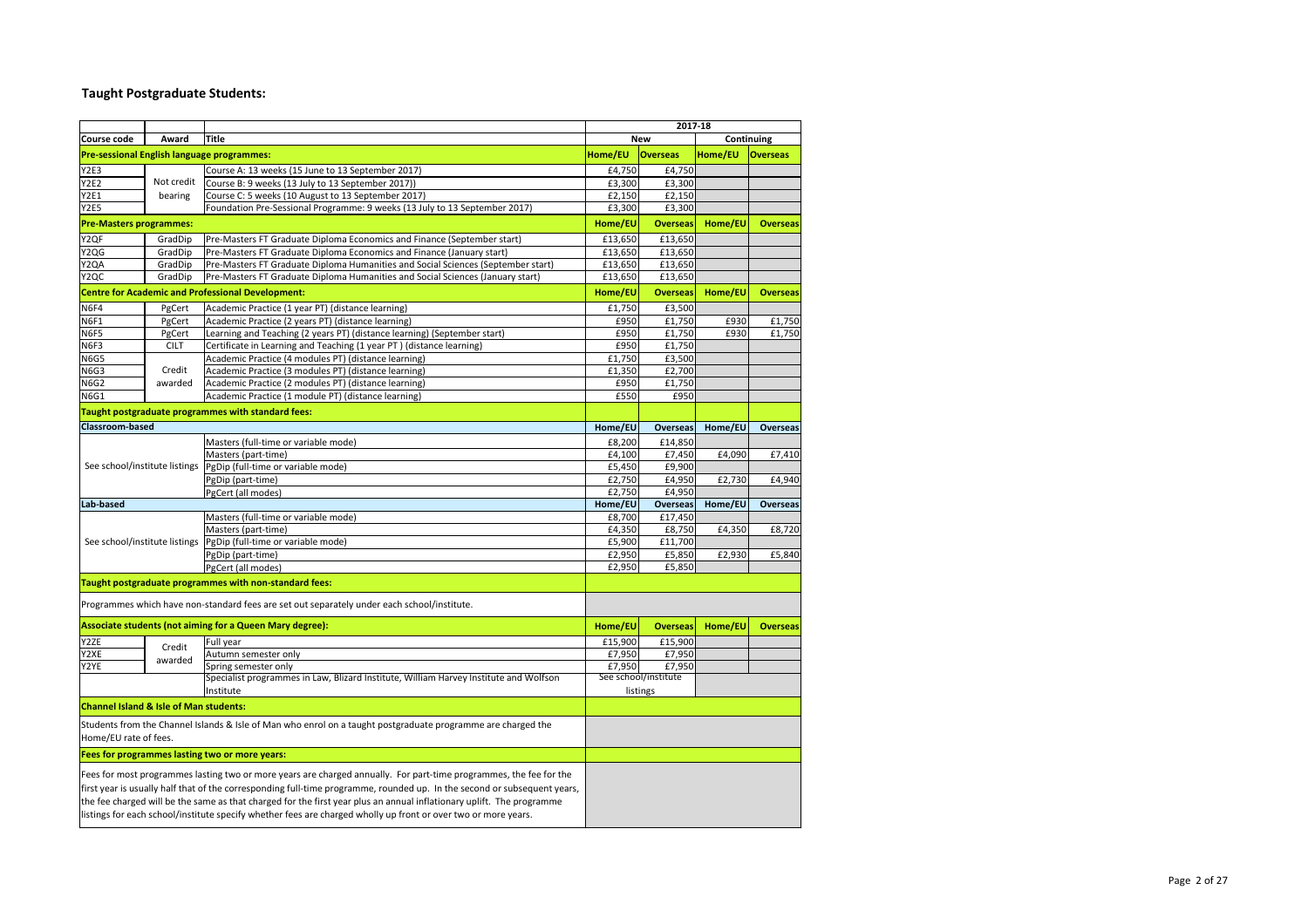# **Taught Postgraduate Students:**

| Course code                                       | Award       | <b>Title</b>                                                                                                                                                                                                                                                                                                                                                                                                                                                                              |                   | <b>New</b>                 |         | Continuing      |
|---------------------------------------------------|-------------|-------------------------------------------------------------------------------------------------------------------------------------------------------------------------------------------------------------------------------------------------------------------------------------------------------------------------------------------------------------------------------------------------------------------------------------------------------------------------------------------|-------------------|----------------------------|---------|-----------------|
|                                                   |             | <b>Pre-sessional English language programmes:</b>                                                                                                                                                                                                                                                                                                                                                                                                                                         | Home/EU           | <b>Overseas</b>            | Home/EU | <b>Overseas</b> |
| <b>Y2E3</b>                                       |             | Course A: 13 weeks (15 June to 13 September 2017)                                                                                                                                                                                                                                                                                                                                                                                                                                         | £4,750            | £4,750                     |         |                 |
| $\overline{YZ}$ E2                                | Not credit  | Course B: 9 weeks (13 July to 13 September 2017))                                                                                                                                                                                                                                                                                                                                                                                                                                         | £3,300            | £3,300                     |         |                 |
| <b>Y2E1</b>                                       | bearing     | Course C: 5 weeks (10 August to 13 September 2017)                                                                                                                                                                                                                                                                                                                                                                                                                                        | £2,150            | £2,150                     |         |                 |
| <b>Y2E5</b>                                       |             | Foundation Pre-Sessional Programme: 9 weeks (13 July to 13 September 2017)                                                                                                                                                                                                                                                                                                                                                                                                                | £3,300            | £3,300                     |         |                 |
| <b>Pre-Masters programmes:</b>                    |             |                                                                                                                                                                                                                                                                                                                                                                                                                                                                                           | Home/EU           | <b>Overseas</b>            | Home/EU | <b>Overseas</b> |
| Y2QF                                              | GradDip     | Pre-Masters FT Graduate Diploma Economics and Finance (September start)                                                                                                                                                                                                                                                                                                                                                                                                                   | £13,650           | £13,650                    |         |                 |
| Y <sub>2QG</sub>                                  | GradDip     | Pre-Masters FT Graduate Diploma Economics and Finance (January start)                                                                                                                                                                                                                                                                                                                                                                                                                     | £13,650           | £13,650                    |         |                 |
| Y2QA                                              | GradDip     | Pre-Masters FT Graduate Diploma Humanities and Social Sciences (September start)                                                                                                                                                                                                                                                                                                                                                                                                          | £13,650           | £13,650                    |         |                 |
| Y <sub>2</sub> QC                                 | GradDip     | Pre-Masters FT Graduate Diploma Humanities and Social Sciences (January start)                                                                                                                                                                                                                                                                                                                                                                                                            | £13,650           | £13,650                    |         |                 |
|                                                   |             | <b>Centre for Academic and Professional Development:</b>                                                                                                                                                                                                                                                                                                                                                                                                                                  | Home/EU           | <b>Overseas</b>            | Home/EU | <b>Overseas</b> |
| N6F4                                              | PgCert      | Academic Practice (1 year PT) (distance learning)                                                                                                                                                                                                                                                                                                                                                                                                                                         | £1,750            | £3,500                     |         |                 |
| <b>N6F1</b>                                       | PgCert      | Academic Practice (2 years PT) (distance learning)                                                                                                                                                                                                                                                                                                                                                                                                                                        | £950              | £1,750                     | £930    | £1,750          |
| N6F5                                              | PgCert      | Learning and Teaching (2 years PT) (distance learning) (September start)                                                                                                                                                                                                                                                                                                                                                                                                                  | £950              | £1,750                     | £930    | £1,750          |
| N6F3                                              | <b>CILT</b> | Certificate in Learning and Teaching (1 year PT) (distance learning)                                                                                                                                                                                                                                                                                                                                                                                                                      | £950              | £1,750                     |         |                 |
| <b>N6G5</b>                                       |             | Academic Practice (4 modules PT) (distance learning)                                                                                                                                                                                                                                                                                                                                                                                                                                      | £1,750            | £3,500                     |         |                 |
| N6G3                                              | Credit      | Academic Practice (3 modules PT) (distance learning)                                                                                                                                                                                                                                                                                                                                                                                                                                      | £1,350            | £2,700                     |         |                 |
| <b>N6G2</b>                                       | awarded     | Academic Practice (2 modules PT) (distance learning)                                                                                                                                                                                                                                                                                                                                                                                                                                      | £950              | £1,750                     |         |                 |
| <b>N6G1</b>                                       |             | Academic Practice (1 module PT) (distance learning)                                                                                                                                                                                                                                                                                                                                                                                                                                       | £550              | £950                       |         |                 |
|                                                   |             | Taught postgraduate programmes with standard fees:                                                                                                                                                                                                                                                                                                                                                                                                                                        |                   |                            |         |                 |
| <b>Classroom-based</b>                            |             |                                                                                                                                                                                                                                                                                                                                                                                                                                                                                           | Home/EU           | <b>Overseas</b>            | Home/EU | <b>Overseas</b> |
|                                                   |             |                                                                                                                                                                                                                                                                                                                                                                                                                                                                                           |                   |                            |         |                 |
|                                                   |             | Masters (full-time or variable mode)                                                                                                                                                                                                                                                                                                                                                                                                                                                      | £8,200            | £14,850                    |         |                 |
|                                                   |             | Masters (part-time)                                                                                                                                                                                                                                                                                                                                                                                                                                                                       | £4,100            | £7,450                     | £4,090  | £7,410          |
|                                                   |             | See school/institute listings PgDip (full-time or variable mode)                                                                                                                                                                                                                                                                                                                                                                                                                          | £5,450            | £9,900                     |         |                 |
|                                                   |             | PgDip (part-time)                                                                                                                                                                                                                                                                                                                                                                                                                                                                         | £2,750            | £4,950                     | £2,730  | £4,940          |
| Lab-based                                         |             | PgCert (all modes)                                                                                                                                                                                                                                                                                                                                                                                                                                                                        | £2,750            | £4,950                     |         |                 |
|                                                   |             | Masters (full-time or variable mode)                                                                                                                                                                                                                                                                                                                                                                                                                                                      | Home/EU<br>£8,700 | <b>Overseas</b><br>£17,450 | Home/EU | <b>Overseas</b> |
|                                                   |             | Masters (part-time)                                                                                                                                                                                                                                                                                                                                                                                                                                                                       | £4,350            | £8,750                     | £4,350  | £8,720          |
| See school/institute listings                     |             | PgDip (full-time or variable mode)                                                                                                                                                                                                                                                                                                                                                                                                                                                        | £5,900            | £11,700                    |         |                 |
|                                                   |             | PgDip (part-time)                                                                                                                                                                                                                                                                                                                                                                                                                                                                         | £2,950            | £5,850                     | £2,930  | £5,840          |
|                                                   |             | PgCert (all modes)                                                                                                                                                                                                                                                                                                                                                                                                                                                                        | £2,950            | £5,850                     |         |                 |
|                                                   |             | Taught postgraduate programmes with non-standard fees:                                                                                                                                                                                                                                                                                                                                                                                                                                    |                   |                            |         |                 |
|                                                   |             |                                                                                                                                                                                                                                                                                                                                                                                                                                                                                           |                   |                            |         |                 |
|                                                   |             | Programmes which have non-standard fees are set out separately under each school/institute.                                                                                                                                                                                                                                                                                                                                                                                               |                   |                            |         |                 |
|                                                   |             | Associate students (not aiming for a Queen Mary degree):                                                                                                                                                                                                                                                                                                                                                                                                                                  | Home/EU           | <b>Overseas</b>            | Home/EU | <b>Overseas</b> |
| Y2ZE                                              | Credit      | Full year                                                                                                                                                                                                                                                                                                                                                                                                                                                                                 | £15,900           | £15,900                    |         |                 |
| Y2XE                                              | awarded     | Autumn semester only                                                                                                                                                                                                                                                                                                                                                                                                                                                                      | £7,950            | £7,950                     |         |                 |
| Y2YE                                              |             | Spring semester only                                                                                                                                                                                                                                                                                                                                                                                                                                                                      | £7,950            | £7,950                     |         |                 |
|                                                   |             | Specialist programmes in Law, Blizard Institute, William Harvey Institute and Wolfson                                                                                                                                                                                                                                                                                                                                                                                                     |                   | See school/institute       |         |                 |
|                                                   |             | Institute                                                                                                                                                                                                                                                                                                                                                                                                                                                                                 |                   | listings                   |         |                 |
| <b>Channel Island &amp; Isle of Man students:</b> |             |                                                                                                                                                                                                                                                                                                                                                                                                                                                                                           |                   |                            |         |                 |
| Home/EU rate of fees.                             |             | Students from the Channel Islands & Isle of Man who enrol on a taught postgraduate programme are charged the                                                                                                                                                                                                                                                                                                                                                                              |                   |                            |         |                 |
|                                                   |             | Fees for programmes lasting two or more years:                                                                                                                                                                                                                                                                                                                                                                                                                                            |                   |                            |         |                 |
|                                                   |             | Fees for most programmes lasting two or more years are charged annually. For part-time programmes, the fee for the<br>first year is usually half that of the corresponding full-time programme, rounded up. In the second or subsequent years,<br>the fee charged will be the same as that charged for the first year plus an annual inflationary uplift. The programme<br>listings for each school/institute specify whether fees are charged wholly up front or over two or more years. |                   |                            |         |                 |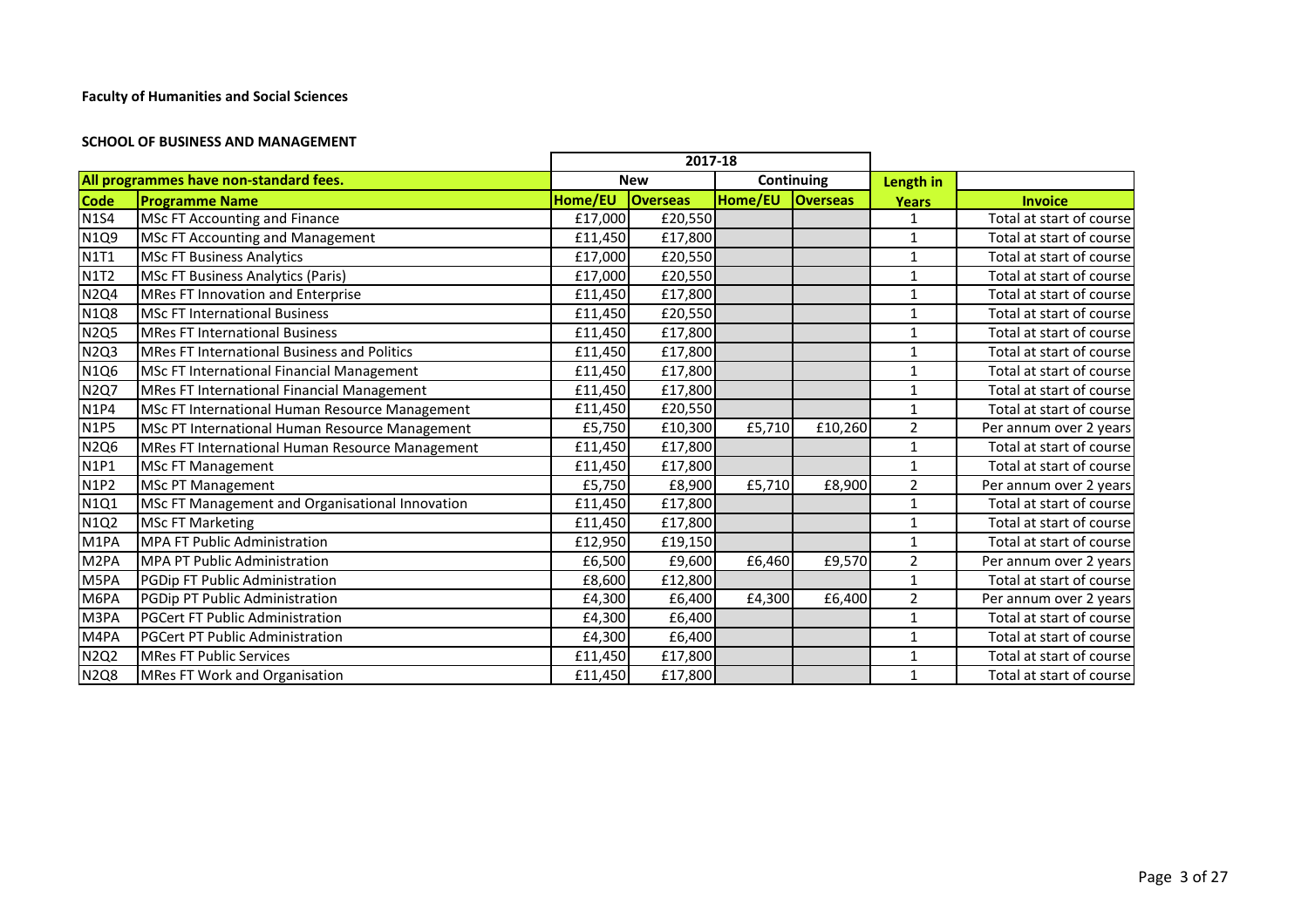#### **SCHOOL OF BUSINESS AND MANAGEMENT**

|                  |                                                 |         | 2017-18         |         |                 |                |                          |
|------------------|-------------------------------------------------|---------|-----------------|---------|-----------------|----------------|--------------------------|
|                  | All programmes have non-standard fees.          |         | <b>New</b>      |         | Continuing      | Length in      |                          |
| <b>Code</b>      | <b>Programme Name</b>                           | Home/EU | <b>Overseas</b> | Home/EU | <b>Overseas</b> | <b>Years</b>   | <b>Invoice</b>           |
| <b>N1S4</b>      | MSc FT Accounting and Finance                   | £17,000 | £20,550         |         |                 |                | Total at start of course |
| N1Q9             | <b>MSc FT Accounting and Management</b>         | £11,450 | £17,800         |         |                 | 1              | Total at start of course |
| <b>N1T1</b>      | <b>MSc FT Business Analytics</b>                | £17,000 | £20,550         |         |                 | 1              | Total at start of course |
| <b>N1T2</b>      | <b>MSc FT Business Analytics (Paris)</b>        | £17,000 | £20,550         |         |                 | $\mathbf{1}$   | Total at start of course |
| <b>N2Q4</b>      | MRes FT Innovation and Enterprise               | £11,450 | £17,800         |         |                 | $\mathbf{1}$   | Total at start of course |
| <b>N1Q8</b>      | <b>MSc FT International Business</b>            | £11,450 | £20,550         |         |                 | $\mathbf{1}$   | Total at start of course |
| <b>N2Q5</b>      | <b>MRes FT International Business</b>           | £11,450 | £17,800         |         |                 | 1              | Total at start of course |
| <b>N2Q3</b>      | MRes FT International Business and Politics     | £11,450 | £17,800         |         |                 | 1              | Total at start of course |
| N1Q6             | MSc FT International Financial Management       | £11,450 | £17,800         |         |                 | 1              | Total at start of course |
| <b>N2Q7</b>      | MRes FT International Financial Management      | £11,450 | £17,800         |         |                 | 1              | Total at start of course |
| <b>N1P4</b>      | MSc FT International Human Resource Management  | £11,450 | £20,550         |         |                 |                | Total at start of course |
| <b>N1P5</b>      | MSc PT International Human Resource Management  | £5,750  | £10,300         | £5,710  | £10,260         | $\overline{2}$ | Per annum over 2 years   |
| <b>N2Q6</b>      | MRes FT International Human Resource Management | £11,450 | £17,800         |         |                 | 1              | Total at start of course |
| <b>N1P1</b>      | MSc FT Management                               | £11,450 | £17,800         |         |                 | 1              | Total at start of course |
| <b>N1P2</b>      | <b>MSc PT Management</b>                        | £5,750  | £8,900          | £5,710  | £8,900          | $\overline{2}$ | Per annum over 2 years   |
| N1Q1             | MSc FT Management and Organisational Innovation | £11,450 | £17,800         |         |                 | 1              | Total at start of course |
| N1Q2             | <b>MSc FT Marketing</b>                         | £11,450 | £17,800         |         |                 | $\mathbf{1}$   | Total at start of course |
| M1PA             | <b>MPA FT Public Administration</b>             | £12,950 | £19,150         |         |                 | 1              | Total at start of course |
| M <sub>2PA</sub> | <b>MPA PT Public Administration</b>             | £6,500  | £9,600          | £6,460  | £9,570          | 2              | Per annum over 2 years   |
| M5PA             | PGDip FT Public Administration                  | £8,600  | £12,800         |         |                 | 1              | Total at start of course |
| M6PA             | PGDip PT Public Administration                  | £4,300  | £6,400          | £4,300  | £6,400          | $\overline{2}$ | Per annum over 2 years   |
| M3PA             | <b>PGCert FT Public Administration</b>          | £4,300  | £6,400          |         |                 | 1              | Total at start of course |
| M4PA             | <b>PGCert PT Public Administration</b>          | £4,300  | £6,400          |         |                 | 1              | Total at start of course |
| <b>N2Q2</b>      | <b>MRes FT Public Services</b>                  | £11,450 | £17,800         |         |                 | 1              | Total at start of course |
| <b>N2Q8</b>      | MRes FT Work and Organisation                   | £11,450 | £17,800         |         |                 | 1              | Total at start of course |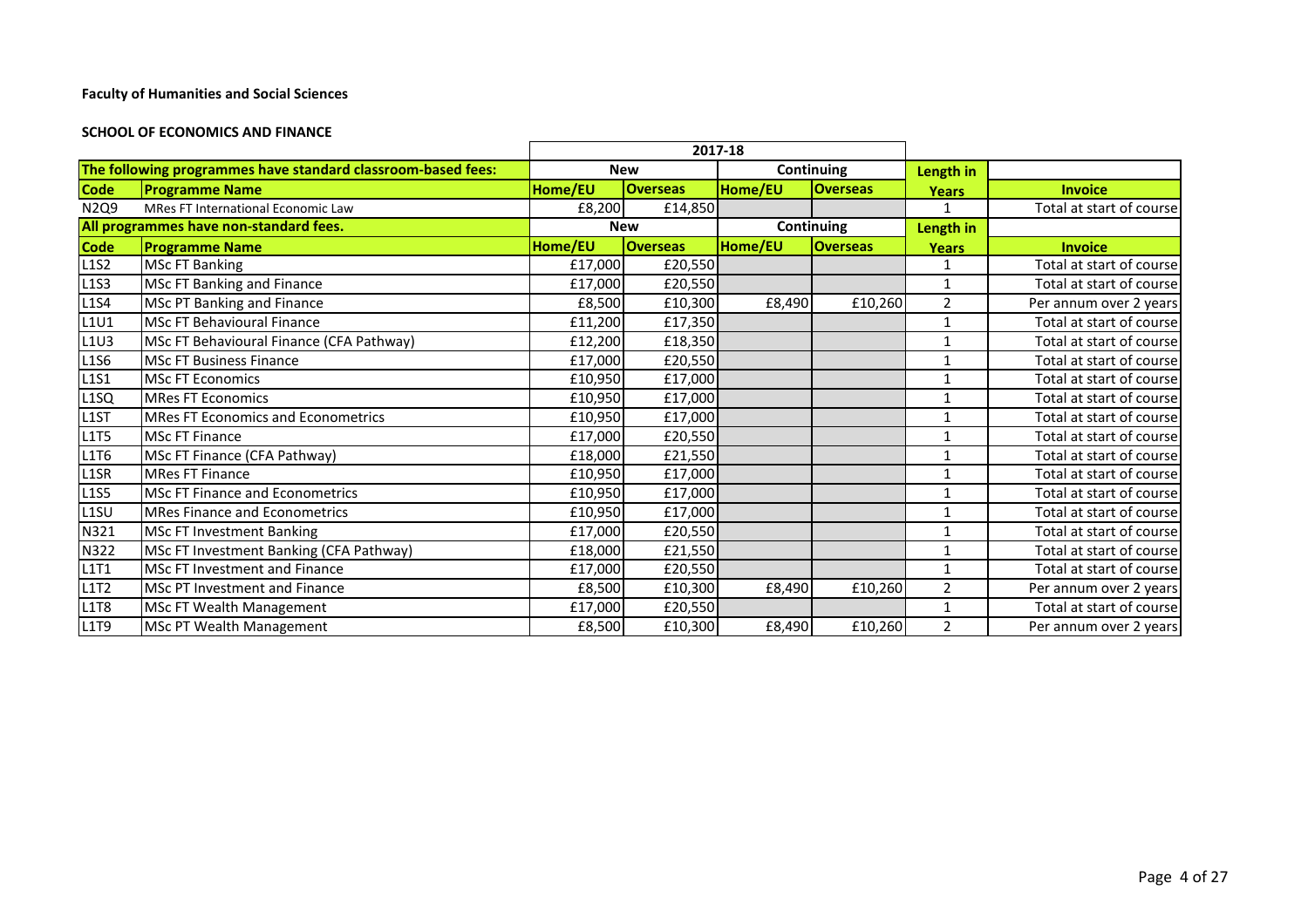#### **SCHOOL OF ECONOMICS AND FINANCE**

|                                        |                                                              |         |                 | 2017-18                    |                 |                |                          |
|----------------------------------------|--------------------------------------------------------------|---------|-----------------|----------------------------|-----------------|----------------|--------------------------|
|                                        | The following programmes have standard classroom-based fees: |         | <b>New</b>      | Continuing                 |                 | Length in      |                          |
| <b>Code</b>                            | <b>Programme Name</b>                                        | Home/EU | <b>Overseas</b> | Home/EU                    | <b>Overseas</b> | <b>Years</b>   | <b>Invoice</b>           |
| N2Q9                                   | MRes FT International Economic Law                           | £8,200  | £14,850         |                            |                 | $\mathbf{1}$   | Total at start of course |
| All programmes have non-standard fees. |                                                              |         | <b>New</b>      |                            | Continuing      | Length in      |                          |
| <b>Code</b>                            | <b>Programme Name</b>                                        | Home/EU | <b>Overseas</b> | Home/EU<br><b>Overseas</b> |                 | <b>Years</b>   | <b>Invoice</b>           |
| <b>L1S2</b>                            | <b>MSc FT Banking</b>                                        | £17,000 | £20,550         |                            |                 | 1              | Total at start of course |
| L1S3                                   | <b>MSc FT Banking and Finance</b>                            | £17,000 | £20,550         |                            |                 |                | Total at start of course |
| <b>L1S4</b>                            | MSc PT Banking and Finance                                   | £8,500  | £10,300         | £8,490                     | £10,260         | $\overline{2}$ | Per annum over 2 years   |
| L1U1                                   | <b>MSc FT Behavioural Finance</b>                            | £11,200 | £17,350         |                            |                 |                | Total at start of course |
| L1U3                                   | MSc FT Behavioural Finance (CFA Pathway)                     | £12,200 | £18,350         |                            |                 | 1              | Total at start of course |
| L1S6                                   | <b>MSc FT Business Finance</b>                               | £17,000 | £20,550         |                            |                 | $\mathbf{1}$   | Total at start of course |
| <b>L1S1</b>                            | <b>MSc FT Economics</b>                                      | £10,950 | £17,000         |                            |                 | $\mathbf{1}$   | Total at start of course |
| L <sub>1</sub> SQ                      | <b>MRes FT Economics</b>                                     | £10,950 | £17,000         |                            |                 | 1              | Total at start of course |
| L <sub>1</sub> ST                      | <b>MRes FT Economics and Econometrics</b>                    | £10,950 | £17,000         |                            |                 |                | Total at start of course |
| <b>L1T5</b>                            | <b>MSc FT Finance</b>                                        | £17,000 | £20,550         |                            |                 | $\mathbf{1}$   | Total at start of course |
| L1T6                                   | MSc FT Finance (CFA Pathway)                                 | £18,000 | £21,550         |                            |                 |                | Total at start of course |
| L1SR                                   | <b>IMRes FT Finance</b>                                      | £10,950 | £17,000         |                            |                 | $\mathbf{1}$   | Total at start of course |
| <b>L1S5</b>                            | <b>MSc FT Finance and Econometrics</b>                       | £10,950 | £17,000         |                            |                 |                | Total at start of course |
| L <sub>1</sub> SU                      | <b>MRes Finance and Econometrics</b>                         | £10,950 | £17,000         |                            |                 | $\mathbf{1}$   | Total at start of course |
| N321                                   | <b>MSc FT Investment Banking</b>                             | £17,000 | £20,550         |                            |                 | 1              | Total at start of course |
| N322                                   | MSc FT Investment Banking (CFA Pathway)                      | £18,000 | £21,550         |                            |                 | 1              | Total at start of course |
| L1T1                                   | <b>MSc FT Investment and Finance</b>                         | £17,000 | £20,550         |                            |                 |                | Total at start of course |
| <b>L1T2</b>                            | <b>MSc PT Investment and Finance</b>                         | £8,500  | £10,300         | £8,490                     | £10,260         | $\overline{2}$ | Per annum over 2 years   |
| <b>L1T8</b>                            | MSc FT Wealth Management                                     | £17,000 | £20,550         |                            |                 |                | Total at start of course |
| L1T9                                   | <b>MSc PT Wealth Management</b>                              | £8,500  | £10,300         | £8,490                     | £10,260         | $\overline{2}$ | Per annum over 2 years   |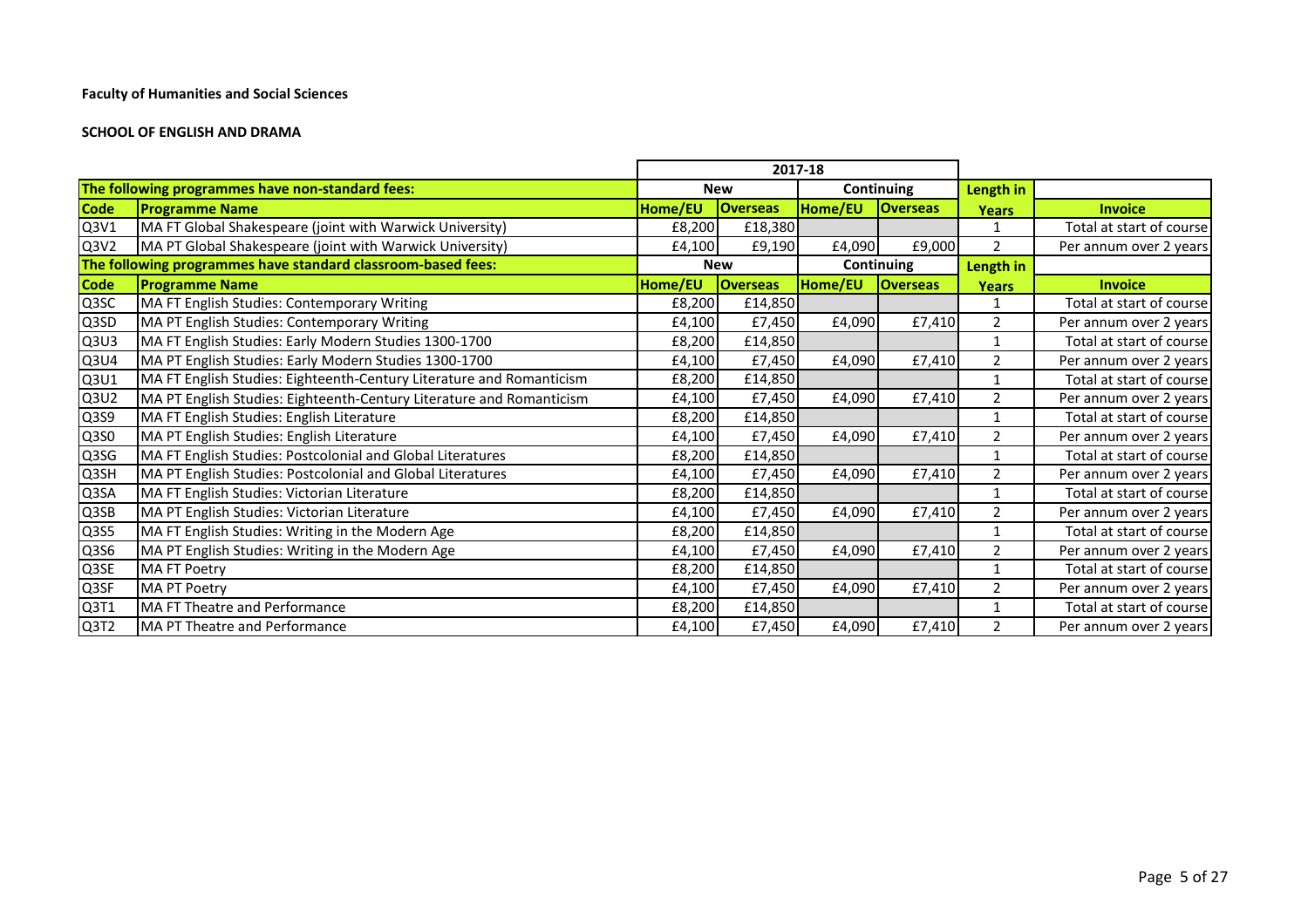#### **SCHOOL OF ENGLISH AND DRAMA**

|             |                                                                      |         |                 | 2017-18 |                 |                |                          |
|-------------|----------------------------------------------------------------------|---------|-----------------|---------|-----------------|----------------|--------------------------|
|             | The following programmes have non-standard fees:                     |         | <b>New</b>      |         | Continuing      | Length in      |                          |
| <b>Code</b> | <b>Programme Name</b>                                                | Home/EU | <b>Overseas</b> | Home/EU | <b>Overseas</b> | <b>Years</b>   | <b>Invoice</b>           |
| Q3V1        | MA FT Global Shakespeare (joint with Warwick University)             | £8,200  | £18,380         |         |                 | $\mathbf{1}$   | Total at start of course |
| Q3V2        | MA PT Global Shakespeare (joint with Warwick University)             | £4,100  | £9,190          | £4,090  | £9,000          | $\overline{2}$ | Per annum over 2 years   |
|             | The following programmes have standard classroom-based fees:         |         | <b>New</b>      |         | Continuing      | Length in      |                          |
| <b>Code</b> | <b>Programme Name</b>                                                | Home/EU | <b>Overseas</b> | Home/EU | <b>Overseas</b> | <b>Years</b>   | <b>Invoice</b>           |
| Q3SC        | MA FT English Studies: Contemporary Writing                          | £8,200  | £14,850         |         |                 | 1              | Total at start of course |
| Q3SD        | MA PT English Studies: Contemporary Writing                          | £4,100  | £7,450          | £4,090  | £7,410          | 2              | Per annum over 2 years   |
| Q3U3        | MA FT English Studies: Early Modern Studies 1300-1700                | £8,200  | £14,850         |         |                 | $\mathbf{1}$   | Total at start of course |
| Q3U4        | MA PT English Studies: Early Modern Studies 1300-1700                | £4,100  | £7,450          | £4,090  | £7,410          | 2              | Per annum over 2 years   |
| Q3U1        | MA FT English Studies: Eighteenth-Century Literature and Romanticism | £8,200  | £14,850         |         |                 | 1              | Total at start of course |
| Q3U2        | MA PT English Studies: Eighteenth-Century Literature and Romanticism | £4,100  | £7,450          | £4,090  | £7,410          | $\overline{2}$ | Per annum over 2 years   |
| Q3S9        | MA FT English Studies: English Literature                            | £8,200  | £14,850         |         |                 | $\mathbf{1}$   | Total at start of course |
| Q3S0        | MA PT English Studies: English Literature                            | £4,100  | £7,450          | £4,090  | £7,410          | $\overline{2}$ | Per annum over 2 years   |
| Q3SG        | MA FT English Studies: Postcolonial and Global Literatures           | £8,200  | £14,850         |         |                 | $\mathbf{1}$   | Total at start of course |
| Q3SH        | MA PT English Studies: Postcolonial and Global Literatures           | £4,100  | £7,450          | £4,090  | £7,410          | $\overline{2}$ | Per annum over 2 years   |
| Q3SA        | MA FT English Studies: Victorian Literature                          | £8,200  | £14,850         |         |                 | $\mathbf{1}$   | Total at start of course |
| Q3SB        | MA PT English Studies: Victorian Literature                          | £4,100  | £7,450          | £4,090  | £7,410          | $\overline{2}$ | Per annum over 2 years   |
| Q3S5        | MA FT English Studies: Writing in the Modern Age                     | £8,200  | £14,850         |         |                 | $\mathbf{1}$   | Total at start of course |
| Q3S6        | MA PT English Studies: Writing in the Modern Age                     | £4,100  | £7,450          | £4,090  | £7,410          | $\overline{2}$ | Per annum over 2 years   |
| Q3SE        | <b>MA FT Poetry</b>                                                  | £8,200  | £14,850         |         |                 | $\mathbf{1}$   | Total at start of course |
| Q3SF        | <b>MA PT Poetry</b>                                                  | £4,100  | £7,450          | £4,090  | £7,410          | $\overline{2}$ | Per annum over 2 years   |
| Q3T1        | MA FT Theatre and Performance                                        | £8,200  | £14,850         |         |                 | $\mathbf{1}$   | Total at start of course |
| Q3T2        | MA PT Theatre and Performance                                        | £4,100  | £7,450          | £4,090  | £7,410          | $\overline{2}$ | Per annum over 2 years   |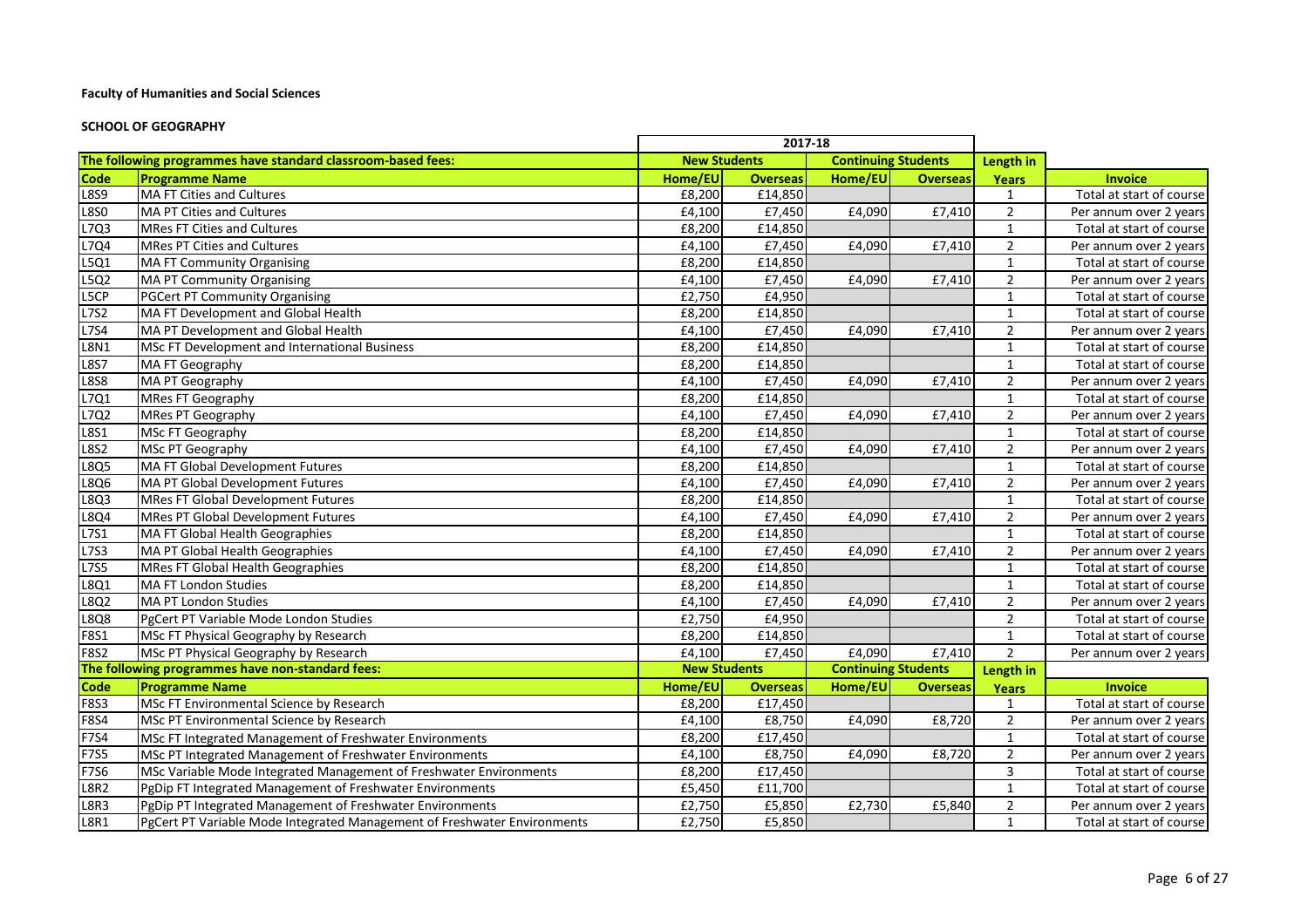#### **SCHOOL OF GEOGRAPHY**

|             |                                                                          | 2017-18             |                 |                            |                            |                |                          |
|-------------|--------------------------------------------------------------------------|---------------------|-----------------|----------------------------|----------------------------|----------------|--------------------------|
|             | The following programmes have standard classroom-based fees:             | <b>New Students</b> |                 |                            | <b>Continuing Students</b> | Length in      |                          |
| <b>Code</b> | <b>Programme Name</b>                                                    | Home/EU             | <b>Overseas</b> | Home/EU                    | <b>Overseas</b>            | <b>Years</b>   | <b>Invoice</b>           |
| L8S9        | MA FT Cities and Cultures                                                | £8,200              | £14,850         |                            |                            | $\mathbf{1}$   | Total at start of course |
| <b>L8S0</b> | MA PT Cities and Cultures                                                | £4,100              | £7,450          | £4,090                     | £7,410                     | $\overline{2}$ | Per annum over 2 years   |
| L7Q3        | <b>MRes FT Cities and Cultures</b>                                       | £8,200              | £14,850         |                            |                            | $\mathbf{1}$   | Total at start of course |
| L7Q4        | <b>MRes PT Cities and Cultures</b>                                       | £4,100              | £7,450          | £4,090                     | £7,410                     | $\overline{2}$ | Per annum over 2 years   |
| L5Q1        | <b>MA FT Community Organising</b>                                        | £8,200              | £14,850         |                            |                            | $\mathbf{1}$   | Total at start of course |
| L5Q2        | <b>MA PT Community Organising</b>                                        | £4,100              | £7,450          | £4,090                     | £7,410                     | $\overline{2}$ | Per annum over 2 years   |
| L5CP        | PGCert PT Community Organising                                           | £2,750              | £4,950          |                            |                            | $\mathbf{1}$   | Total at start of course |
| L752        | MA FT Development and Global Health                                      | £8,200              | £14,850         |                            |                            | $\mathbf{1}$   | Total at start of course |
| <b>L7S4</b> | MA PT Development and Global Health                                      | £4,100              | £7,450          | £4,090                     | £7,410                     | $\overline{2}$ | Per annum over 2 years   |
| <b>L8N1</b> | <b>MSc FT Development and International Business</b>                     | £8,200              | £14,850         |                            |                            | $\mathbf{1}$   | Total at start of course |
| <b>L8S7</b> | MA FT Geography                                                          | £8,200              | £14,850         |                            |                            | $\mathbf{1}$   | Total at start of course |
| <b>L8S8</b> | MA PT Geography                                                          | £4,100              | £7,450          | £4,090                     | £7,410                     | $\overline{2}$ | Per annum over 2 years   |
| L7Q1        | <b>MRes FT Geography</b>                                                 | £8,200              | £14,850         |                            |                            | $\mathbf{1}$   | Total at start of course |
| L7Q2        | <b>MRes PT Geography</b>                                                 | £4,100              | £7,450          | £4,090                     | £7,410                     | $\overline{2}$ | Per annum over 2 years   |
| <b>L8S1</b> | MSc FT Geography                                                         | £8,200              | £14,850         |                            |                            | $\mathbf{1}$   | Total at start of course |
| <b>L8S2</b> | MSc PT Geography                                                         | £4,100              | £7,450          | £4,090                     | £7,410                     | $\overline{2}$ | Per annum over 2 years   |
| L8Q5        | MA FT Global Development Futures                                         | £8,200              | £14,850         |                            |                            | $\mathbf{1}$   | Total at start of course |
| L8Q6        | MA PT Global Development Futures                                         | £4,100              | £7,450          | £4,090                     | £7,410                     | $\overline{2}$ | Per annum over 2 years   |
| L8Q3        | <b>MRes FT Global Development Futures</b>                                | £8,200              | £14,850         |                            |                            | $\mathbf{1}$   | Total at start of course |
| L8Q4        | <b>MRes PT Global Development Futures</b>                                | £4,100              | £7,450          | £4,090                     | £7,410                     | $\overline{2}$ | Per annum over 2 years   |
| L7S1        | MA FT Global Health Geographies                                          | £8,200              | £14,850         |                            |                            | $\mathbf{1}$   | Total at start of course |
| L7S3        | MA PT Global Health Geographies                                          | £4,100              | £7,450          | £4,090                     | £7,410                     | $\overline{2}$ | Per annum over 2 years   |
| <b>L7S5</b> | <b>MRes FT Global Health Geographies</b>                                 | £8,200              | £14,850         |                            |                            | $\mathbf{1}$   | Total at start of course |
| L8Q1        | MA FT London Studies                                                     | £8,200              | £14,850         |                            |                            | $\mathbf{1}$   | Total at start of course |
| L8Q2        | MA PT London Studies                                                     | £4,100              | £7,450          | £4,090                     | £7,410                     | $\overline{2}$ | Per annum over 2 years   |
| L8Q8        | PgCert PT Variable Mode London Studies                                   | £2,750              | £4,950          |                            |                            | $\overline{2}$ | Total at start of course |
| F8S1        | MSc FT Physical Geography by Research                                    | £8,200              | £14,850         |                            |                            | $\mathbf{1}$   | Total at start of course |
| <b>F8S2</b> | MSc PT Physical Geography by Research                                    | £4,100              | £7,450          | £4,090                     | £7,410                     | $\overline{2}$ | Per annum over 2 years   |
|             | The following programmes have non-standard fees:                         | <b>New Students</b> |                 | <b>Continuing Students</b> |                            | Length in      |                          |
| Code        | <b>Programme Name</b>                                                    | Home/EU             | <b>Overseas</b> | Home/EU                    | <b>Overseas</b>            | <b>Years</b>   | <b>Invoice</b>           |
| <b>F8S3</b> | MSc FT Environmental Science by Research                                 | £8,200              | £17,450         |                            |                            | 1              | Total at start of course |
| F8S4        | MSc PT Environmental Science by Research                                 | £4,100              | £8,750          | £4,090                     | £8,720                     | $\overline{2}$ | Per annum over 2 years   |
| F7S4        | MSc FT Integrated Management of Freshwater Environments                  | £8,200              | £17,450         |                            |                            | $\mathbf{1}$   | Total at start of course |
| <b>F7S5</b> | MSc PT Integrated Management of Freshwater Environments                  | £4,100              | £8,750          | £4,090                     | £8,720                     | $\overline{2}$ | Per annum over 2 years   |
| F7S6        | MSc Variable Mode Integrated Management of Freshwater Environments       | £8,200              | £17,450         |                            |                            | $\mathbf{3}$   | Total at start of course |
| <b>L8R2</b> | PgDip FT Integrated Management of Freshwater Environments                | £5,450              | £11,700         |                            |                            | $\mathbf{1}$   | Total at start of course |
| L8R3        | PgDip PT Integrated Management of Freshwater Environments                | £2,750              | £5,850          | £2,730                     | £5,840                     | $\overline{2}$ | Per annum over 2 years   |
| <b>L8R1</b> | PgCert PT Variable Mode Integrated Management of Freshwater Environments | £2,750              | £5,850          |                            |                            | $\mathbf{1}$   | Total at start of course |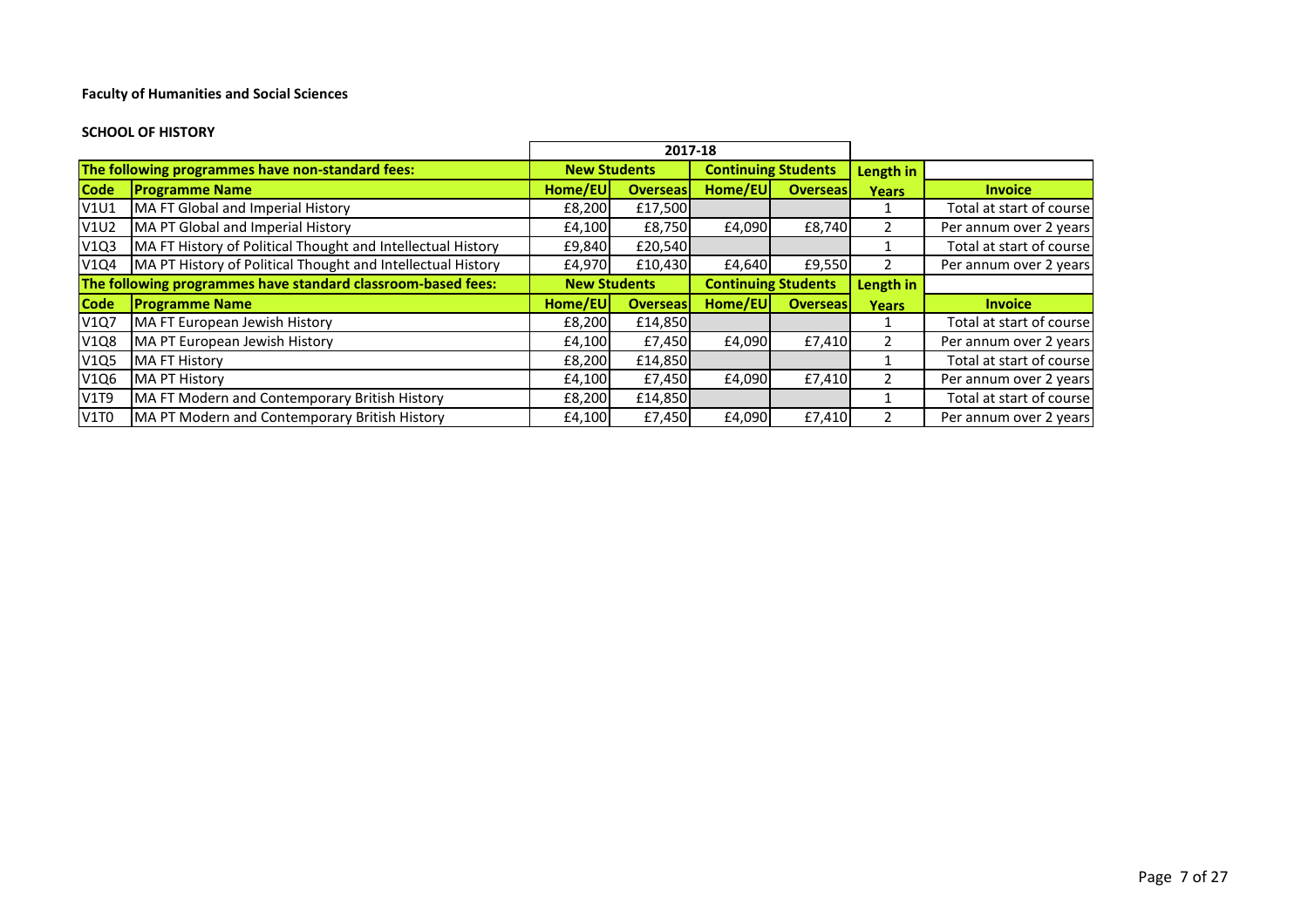#### **SCHOOL OF HISTORY**

|             |                                                              | 2017-18             |                 |                            |                 |               |                          |
|-------------|--------------------------------------------------------------|---------------------|-----------------|----------------------------|-----------------|---------------|--------------------------|
|             | The following programmes have non-standard fees:             | <b>New Students</b> |                 | <b>Continuing Students</b> |                 | Length in     |                          |
| <b>Code</b> | <b>Programme Name</b>                                        | Home/EU             | <b>Overseas</b> | Home/EU                    | <b>Overseas</b> | <b>Years</b>  | <b>Invoice</b>           |
| <b>V1U1</b> | MA FT Global and Imperial History                            | £8,200              | £17,500         |                            |                 |               | Total at start of course |
| <b>V1U2</b> | MA PT Global and Imperial History                            | £4,100              | £8,750          | £4,090                     | £8,740          | $\mathbf{2}$  | Per annum over 2 years   |
| V1Q3        | MA FT History of Political Thought and Intellectual History  | £9,840              | £20,540         |                            |                 |               | Total at start of course |
| V1Q4        | MA PT History of Political Thought and Intellectual History  | £4,970              | £10,430         | £4.640                     | £9,550          | $\mathcal{L}$ | Per annum over 2 years   |
|             | The following programmes have standard classroom-based fees: | <b>New Students</b> |                 | <b>Continuing Students</b> |                 | Length in     |                          |
| <b>Code</b> | <b>Programme Name</b>                                        | Home/EUI            | <b>Overseas</b> | Home/EU                    | <b>Overseas</b> | <b>Years</b>  | <b>Invoice</b>           |
| <b>V1Q7</b> | MA FT European Jewish History                                | £8,200              | £14,850         |                            |                 |               | Total at start of course |
| <b>V1Q8</b> | MA PT European Jewish History                                | £4,100              | £7,450          | £4,090                     | £7,410          |               | Per annum over 2 years   |
| <b>V1Q5</b> | <b>MA FT History</b>                                         | £8,200              | £14,850         |                            |                 |               | Total at start of course |
| V1Q6        | MA PT History                                                | £4,100              | £7,450          | £4,090                     | £7,410          |               | Per annum over 2 years   |
| <b>V1T9</b> | MA FT Modern and Contemporary British History                | £8,200              | £14,850         |                            |                 |               | Total at start of course |
| V1T0        | MA PT Modern and Contemporary British History                | £4,100              | £7,450          | £4,090                     | £7,410          |               | Per annum over 2 years   |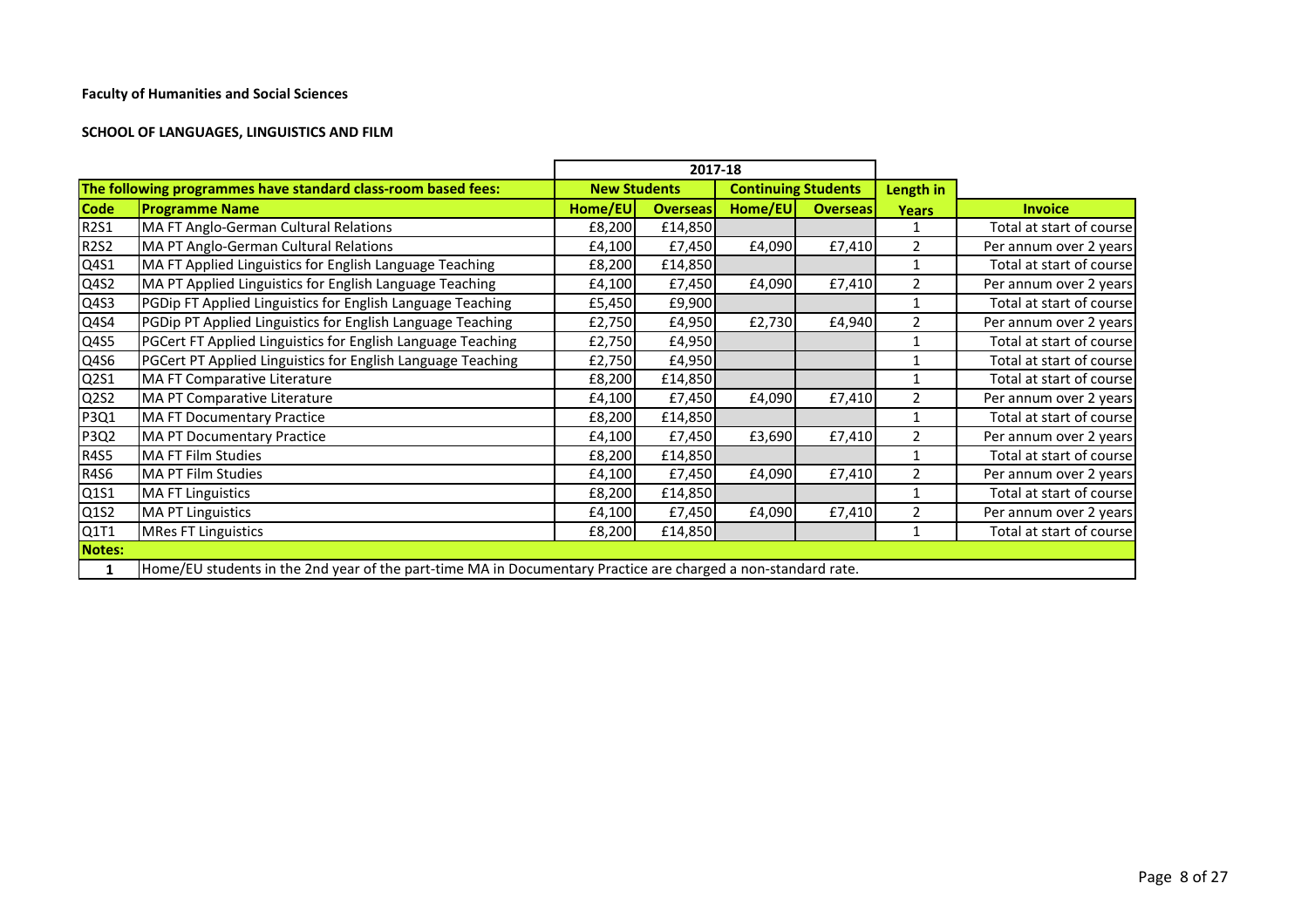## **SCHOOL OF LANGUAGES, LINGUISTICS AND FILM**

|                               |                                                                                                               |                     | 2017-18         |                            |                 |                |                          |
|-------------------------------|---------------------------------------------------------------------------------------------------------------|---------------------|-----------------|----------------------------|-----------------|----------------|--------------------------|
|                               | The following programmes have standard class-room based fees:                                                 | <b>New Students</b> |                 | <b>Continuing Students</b> |                 | Length in      |                          |
| <b>Code</b>                   | <b>Programme Name</b>                                                                                         | Home/EU             | <b>Overseas</b> | Home/EU                    | <b>Overseas</b> | <b>Years</b>   | <b>Invoice</b>           |
| <b>R2S1</b>                   | MA FT Anglo-German Cultural Relations                                                                         | £8,200              | £14,850         |                            |                 |                | Total at start of course |
| <b>R2S2</b>                   | MA PT Anglo-German Cultural Relations                                                                         | £4,100              | £7,450          | £4,090                     | £7,410          | $\mathcal{P}$  | Per annum over 2 years   |
| Q4S1                          | MA FT Applied Linguistics for English Language Teaching                                                       | £8,200              | £14,850         |                            |                 |                | Total at start of course |
| Q4S2                          | MA PT Applied Linguistics for English Language Teaching                                                       | £4,100              | £7,450          | £4,090                     | £7,410          |                | Per annum over 2 years   |
| Q4S3                          | PGDip FT Applied Linguistics for English Language Teaching                                                    | £5,450              | £9,900          |                            |                 |                | Total at start of course |
| Q4S4                          | PGDip PT Applied Linguistics for English Language Teaching                                                    | £2,750              | £4,950          | £2,730                     | £4,940          | $\mathcal{P}$  | Per annum over 2 years   |
| Q4S5                          | PGCert FT Applied Linguistics for English Language Teaching                                                   | £2,750              | £4,950          |                            |                 |                | Total at start of course |
| Q4S6                          | PGCert PT Applied Linguistics for English Language Teaching                                                   | £2,750              | £4,950          |                            |                 |                | Total at start of course |
| Q2S1                          | MA FT Comparative Literature                                                                                  | £8,200              | £14,850         |                            |                 |                | Total at start of course |
| Q <sub>2</sub> S <sub>2</sub> | MA PT Comparative Literature                                                                                  | £4,100              | £7,450          | £4,090                     | £7,410          | $\mathfrak{p}$ | Per annum over 2 years   |
| P3Q1                          | <b>MA FT Documentary Practice</b>                                                                             | £8,200              | £14,850         |                            |                 |                | Total at start of course |
| P3Q2                          | <b>MA PT Documentary Practice</b>                                                                             | £4,100              | £7,450          | £3,690                     | £7,410          | $\mathcal{P}$  | Per annum over 2 years   |
| <b>R4S5</b>                   | MA FT Film Studies                                                                                            | £8,200              | £14,850         |                            |                 |                | Total at start of course |
| <b>R4S6</b>                   | <b>MA PT Film Studies</b>                                                                                     | £4,100              | £7,450          | £4,090                     | £7,410          | $\overline{2}$ | Per annum over 2 years   |
| Q1S1                          | <b>MA FT Linguistics</b>                                                                                      | £8,200              | £14,850         |                            |                 |                | Total at start of course |
| Q1S2                          | <b>MA PT Linguistics</b>                                                                                      | £4,100              | £7,450          | £4,090                     | £7,410          | 2              | Per annum over 2 years   |
| Q1T1                          | <b>MRes FT Linguistics</b>                                                                                    | £8,200              | £14,850         |                            |                 |                | Total at start of course |
| Notes:                        |                                                                                                               |                     |                 |                            |                 |                |                          |
| 1                             | Home/EU students in the 2nd year of the part-time MA in Documentary Practice are charged a non-standard rate. |                     |                 |                            |                 |                |                          |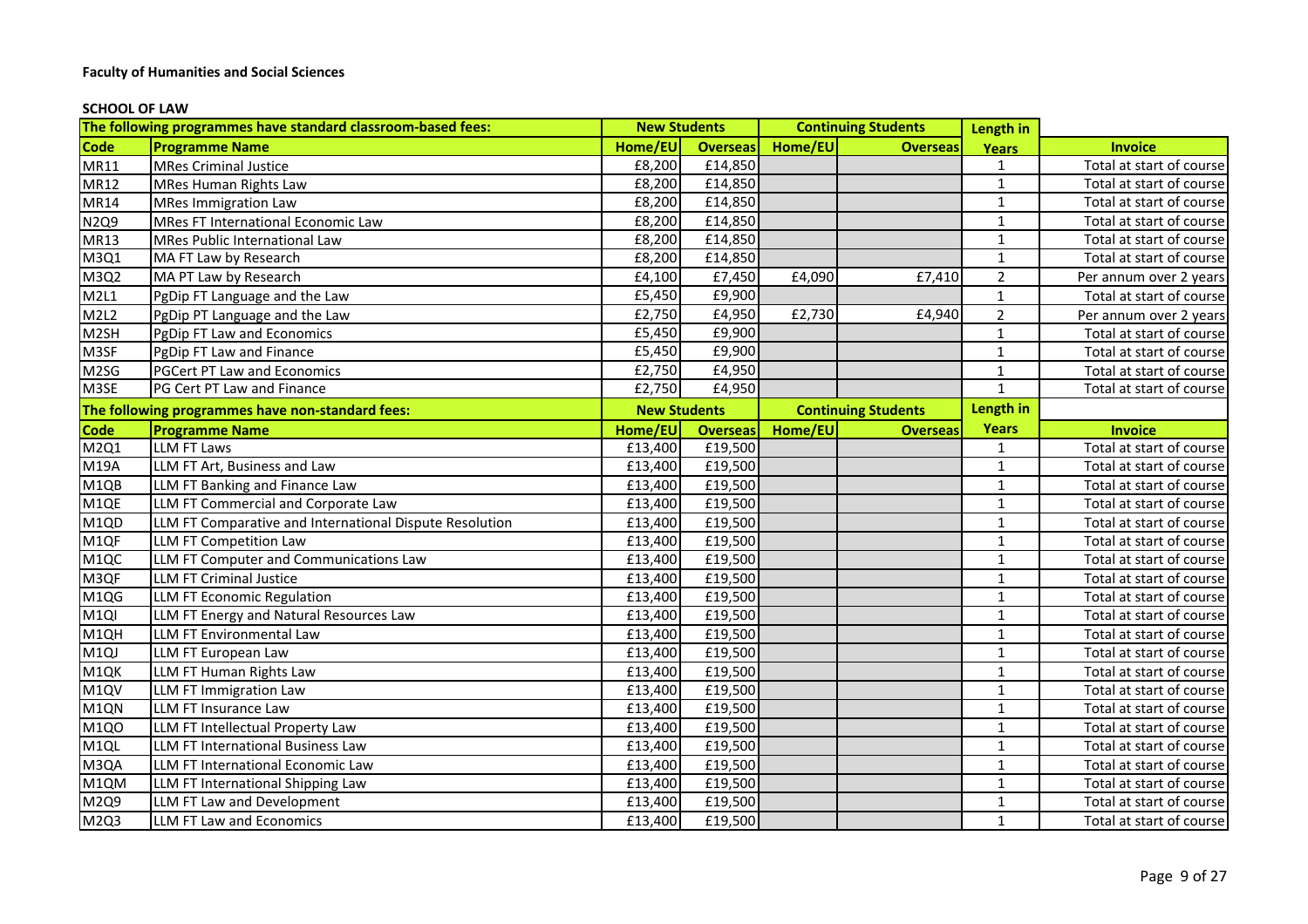#### **SCHOOL OF LAW**

|                   | The following programmes have standard classroom-based fees: | <b>New Students</b> |                 | <b>Continuing Students</b> |                            | Length in      |                          |
|-------------------|--------------------------------------------------------------|---------------------|-----------------|----------------------------|----------------------------|----------------|--------------------------|
| <b>Code</b>       | <b>Programme Name</b>                                        | Home/EU             | <b>Overseas</b> | Home/EU                    | <b>Overseas</b>            | <b>Years</b>   | <b>Invoice</b>           |
| <b>MR11</b>       | <b>MRes Criminal Justice</b>                                 | £8,200              | £14,850         |                            |                            | $\mathbf{1}$   | Total at start of course |
| <b>MR12</b>       | <b>MRes Human Rights Law</b>                                 | £8,200              | £14,850         |                            |                            | $\mathbf{1}$   | Total at start of course |
| <b>MR14</b>       | <b>MRes Immigration Law</b>                                  | £8,200              | £14,850         |                            |                            | $\mathbf{1}$   | Total at start of course |
| N <sub>2Q9</sub>  | MRes FT International Economic Law                           | £8,200              | £14,850         |                            |                            | $\mathbf{1}$   | Total at start of course |
| <b>MR13</b>       | <b>MRes Public International Law</b>                         | £8,200              | £14,850         |                            |                            | $\mathbf{1}$   | Total at start of course |
| M3Q1              | MA FT Law by Research                                        | £8,200              | £14,850         |                            |                            | $\mathbf{1}$   | Total at start of course |
| M3Q2              | MA PT Law by Research                                        | £4,100              | £7,450          | £4,090                     | £7,410                     | $\overline{2}$ | Per annum over 2 years   |
| M2L1              | PgDip FT Language and the Law                                | £5,450              | £9,900          |                            |                            | $\mathbf{1}$   | Total at start of course |
| M2L2              | PgDip PT Language and the Law                                | £2,750              | £4,950          | £2,730                     | £4,940                     | $\overline{2}$ | Per annum over 2 years   |
| M <sub>2</sub> SH | PgDip FT Law and Economics                                   | £5,450              | £9,900          |                            |                            | $\mathbf{1}$   | Total at start of course |
| M3SF              | PgDip FT Law and Finance                                     | £5,450              | £9,900          |                            |                            | $\mathbf{1}$   | Total at start of course |
| M <sub>2</sub> SG | <b>PGCert PT Law and Economics</b>                           | £2,750              | £4,950          |                            |                            | $\mathbf{1}$   | Total at start of course |
| M3SE              | PG Cert PT Law and Finance                                   | £2,750              | £4,950          |                            |                            | $\mathbf{1}$   | Total at start of course |
|                   | The following programmes have non-standard fees:             | <b>New Students</b> |                 |                            | <b>Continuing Students</b> | Length in      |                          |
| Code              | <b>Programme Name</b>                                        | Home/EU             | <b>Overseas</b> | Home/EU                    | <b>Overseas</b>            | <b>Years</b>   | <b>Invoice</b>           |
| M2Q1              | <b>LLM FT Laws</b>                                           | £13,400             | £19,500         |                            |                            | 1              | Total at start of course |
| M19A              | LLM FT Art, Business and Law                                 | £13,400             | £19,500         |                            |                            | $\mathbf{1}$   | Total at start of course |
| M <sub>1QB</sub>  | LLM FT Banking and Finance Law                               | £13,400             | £19,500         |                            |                            | $\mathbf{1}$   | Total at start of course |
| M <sub>1QE</sub>  | LLM FT Commercial and Corporate Law                          | £13,400             | £19,500         |                            |                            | $\mathbf{1}$   | Total at start of course |
| M1QD              | LLM FT Comparative and International Dispute Resolution      | £13,400             | £19,500         |                            |                            | $\mathbf{1}$   | Total at start of course |
| M1QF              | LLM FT Competition Law                                       | £13,400             | £19,500         |                            |                            | $\mathbf 1$    | Total at start of course |
| M1QC              | LLM FT Computer and Communications Law                       | £13,400             | £19,500         |                            |                            | $\mathbf{1}$   | Total at start of course |
| M3QF              | <b>LLM FT Criminal Justice</b>                               | £13,400             | £19,500         |                            |                            | $\mathbf{1}$   | Total at start of course |
| M1QG              | LLM FT Economic Regulation                                   | £13,400             | £19,500         |                            |                            | $\mathbf{1}$   | Total at start of course |
| M <sub>1Q</sub>   | LLM FT Energy and Natural Resources Law                      | £13,400             | £19,500         |                            |                            | $\mathbf{1}$   | Total at start of course |
| M1QH              | LLM FT Environmental Law                                     | £13,400             | £19,500         |                            |                            | $\mathbf{1}$   | Total at start of course |
| M1QJ              | LLM FT European Law                                          | £13,400             | £19,500         |                            |                            | $\mathbf{1}$   | Total at start of course |
| M1QK              | LLM FT Human Rights Law                                      | £13,400             | £19,500         |                            |                            | $\mathbf{1}$   | Total at start of course |
| M <sub>1QV</sub>  | LLM FT Immigration Law                                       | £13,400             | £19,500         |                            |                            | $\mathbf{1}$   | Total at start of course |
| M1QN              | LLM FT Insurance Law                                         | £13,400             | £19,500         |                            |                            | $\mathbf{1}$   | Total at start of course |
| M1Q0              | LLM FT Intellectual Property Law                             | £13,400             | £19,500         |                            |                            | $\mathbf{1}$   | Total at start of course |
| M <sub>1QL</sub>  | <b>LLM FT International Business Law</b>                     | £13,400             | £19,500         |                            |                            | $\mathbf{1}$   | Total at start of course |
| M3QA              | LLM FT International Economic Law                            | £13,400             | £19,500         |                            |                            | $\mathbf{1}$   | Total at start of course |
| M1QM              | LLM FT International Shipping Law                            | £13,400             | £19,500         |                            |                            | $\mathbf{1}$   | Total at start of course |
| M2Q9              | LLM FT Law and Development                                   | £13,400             | £19,500         |                            |                            | $\mathbf{1}$   | Total at start of course |
| M2Q3              | LLM FT Law and Economics                                     | £13,400             | £19,500         |                            |                            | $\mathbf{1}$   | Total at start of course |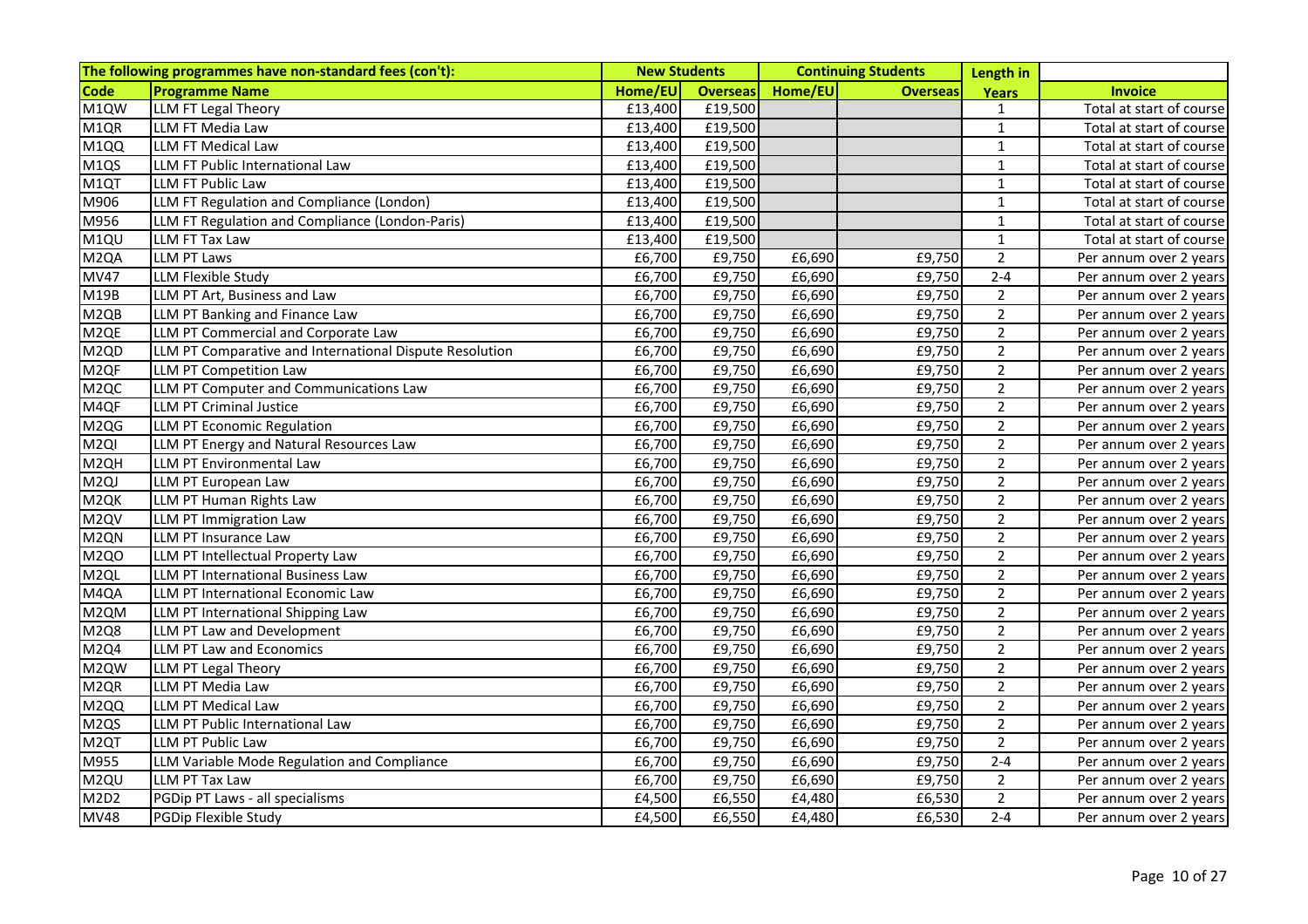|                              | The following programmes have non-standard fees (con't): | <b>New Students</b> |                 |                      | <b>Continuing Students</b> | Length in      |                          |
|------------------------------|----------------------------------------------------------|---------------------|-----------------|----------------------|----------------------------|----------------|--------------------------|
| <b>Code</b>                  | <b>Programme Name</b>                                    | Home/EU             | <b>Overseas</b> | Home/EU              | <b>Overseas</b>            | <b>Years</b>   | <b>Invoice</b>           |
| M1QW                         | LLM FT Legal Theory                                      | £13,400             | £19,500         |                      |                            | $\mathbf{1}$   | Total at start of course |
| M1QR                         | LLM FT Media Law                                         | £13,400             | £19,500         |                      |                            | $\mathbf{1}$   | Total at start of course |
| M1QQ                         | LLM FT Medical Law                                       | £13,400             | £19,500         |                      |                            | $\mathbf 1$    | Total at start of course |
| M1QS                         | LLM FT Public International Law                          | £13,400             | £19,500         |                      |                            | $\mathbf{1}$   | Total at start of course |
| M1QT                         | LLM FT Public Law                                        | £13,400             | £19,500         |                      |                            | $\mathbf{1}$   | Total at start of course |
| M906                         | LLM FT Regulation and Compliance (London)                | £13,400             | £19,500         |                      |                            | $\mathbf{1}$   | Total at start of course |
| M956                         | LLM FT Regulation and Compliance (London-Paris)          | £13,400             | £19,500         |                      |                            | $\mathbf{1}$   | Total at start of course |
| M1QU                         | LLM FT Tax Law                                           | £13,400             | £19,500         |                      |                            | $\mathbf{1}$   | Total at start of course |
| M <sub>2Q</sub> A            | <b>LLM PT Laws</b>                                       | £6,700              | £9,750          | £6,690               | £9,750                     | $\overline{2}$ | Per annum over 2 years   |
| <b>MV47</b>                  | <b>LLM Flexible Study</b>                                | £6,700              | £9,750          | £6,690               | £9,750                     | $2 - 4$        | Per annum over 2 years   |
| M19B                         | LLM PT Art, Business and Law                             | £6,700              | £9,750          | £6,690               | £9,750                     | $\overline{2}$ | Per annum over 2 years   |
| M <sub>2QB</sub>             | LLM PT Banking and Finance Law                           | £6,700              | £9,750          | £6,690               | £9,750                     | $\overline{2}$ | Per annum over 2 years   |
| M <sub>2QE</sub>             | LLM PT Commercial and Corporate Law                      | £6,700              | £9,750          | £6,690               | £9,750                     | 2 <sup>1</sup> | Per annum over 2 years   |
| M <sub>2QD</sub>             | LLM PT Comparative and International Dispute Resolution  | £6,700              | £9,750          | £6,690               | £9,750                     | 2 <sup>1</sup> | Per annum over 2 years   |
| M <sub>2QF</sub>             | <b>LLM PT Competition Law</b>                            | £6,700              | £9,750          | £6,690               | £9,750                     | $\overline{2}$ | Per annum over 2 years   |
| M <sub>2QC</sub>             | LLM PT Computer and Communications Law                   | £6,700              | £9,750          | £6,690               | £9,750                     | $\overline{2}$ | Per annum over 2 years   |
| M4QF                         | <b>LLM PT Criminal Justice</b>                           | £6,700              | £9,750          | £6,690               | £9,750                     | 2 <sup>1</sup> | Per annum over 2 years   |
| M <sub>2QG</sub>             | LLM PT Economic Regulation                               | £6,700              | £9,750          | £6,690               | £9,750                     | 2 <sup>1</sup> | Per annum over 2 years   |
| M <sub>2QI</sub>             | LLM PT Energy and Natural Resources Law                  | £6,700              | £9,750          | £6,690               | £9,750                     | $\overline{2}$ | Per annum over 2 years   |
| M <sub>2QH</sub>             | LLM PT Environmental Law                                 | £6,700              | £9,750          | £6,690               | £9,750                     | $\overline{2}$ | Per annum over 2 years   |
| M <sub>2Q</sub> J            | LLM PT European Law                                      | £6,700              | £9,750          | £6,690               | £9,750                     | 2 <sup>1</sup> | Per annum over 2 years   |
| M <sub>2QK</sub>             | LLM PT Human Rights Law                                  | £6,700              | £9,750          | £6,690               | £9,750                     | $\overline{2}$ | Per annum over 2 years   |
| M <sub>2</sub> QV            | LLM PT Immigration Law                                   | £6,700              | £9,750          | £6,690               | £9,750                     | $\overline{2}$ | Per annum over 2 years   |
| M <sub>2QN</sub>             | LLM PT Insurance Law                                     | £6,700              | £9,750          | $\overline{f}$ 6,690 | £9,750                     | $\overline{2}$ | Per annum over 2 years   |
| M <sub>2QO</sub>             | LLM PT Intellectual Property Law                         | £6,700              | £9,750          | £6,690               | £9,750                     | $2^{\circ}$    | Per annum over 2 years   |
| M <sub>2QL</sub>             | LLM PT International Business Law                        | £6,700              | £9,750          | £6,690               | £9,750                     | $\overline{2}$ | Per annum over 2 years   |
| M4QA                         | LLM PT International Economic Law                        | £6,700              | £9,750          | £6,690               | £9,750                     | 2 <sup>1</sup> | Per annum over 2 years   |
| M2QM                         | LLM PT International Shipping Law                        | £6,700              | £9,750          | £6,690               | £9,750                     | $2^{\circ}$    | Per annum over 2 years   |
| <b>M2Q8</b>                  | LLM PT Law and Development                               | £6,700              | £9,750          | £6,690               | £9,750                     | $\overline{2}$ | Per annum over 2 years   |
| M2Q4                         | LLM PT Law and Economics                                 | £6,700              | £9,750          | £6,690               | £9,750                     | $\overline{2}$ | Per annum over 2 years   |
| M2QW                         | LLM PT Legal Theory                                      | £6,700              | £9,750          | £6,690               | £9,750                     | $\overline{2}$ | Per annum over 2 years   |
| M <sub>2QR</sub>             | LLM PT Media Law                                         | £6,700              | £9,750          | £6,690               | £9,750                     | $\overline{2}$ | Per annum over 2 years   |
| M <sub>2QQ</sub>             | LLM PT Medical Law                                       | £6,700              | £9,750          | £6,690               | £9,750                     | 2 <sup>1</sup> | Per annum over 2 years   |
| M <sub>2QS</sub>             | LLM PT Public International Law                          | £6,700              | £9,750          | £6,690               | £9,750                     | $\overline{2}$ | Per annum over 2 years   |
| M <sub>2</sub> QT            | LLM PT Public Law                                        | £6,700              | £9,750          | £6,690               | £9,750                     | $\overline{2}$ | Per annum over 2 years   |
| M955                         | LLM Variable Mode Regulation and Compliance              | £6,700              | £9,750          | £6,690               | £9,750                     | $2 - 4$        | Per annum over 2 years   |
| M <sub>2QU</sub>             | LLM PT Tax Law                                           | £6,700              | £9,750          | £6,690               | £9,750                     | 2 <sup>1</sup> | Per annum over 2 years   |
| M <sub>2D</sub> <sub>2</sub> | PGDip PT Laws - all specialisms                          | £4,500              | £6,550          | £4,480               | £6,530                     | $2^{\circ}$    | Per annum over 2 years   |
| <b>MV48</b>                  | PGDip Flexible Study                                     | £4,500              | £6,550          | £4,480               | £6,530                     | $2 - 4$        | Per annum over 2 years   |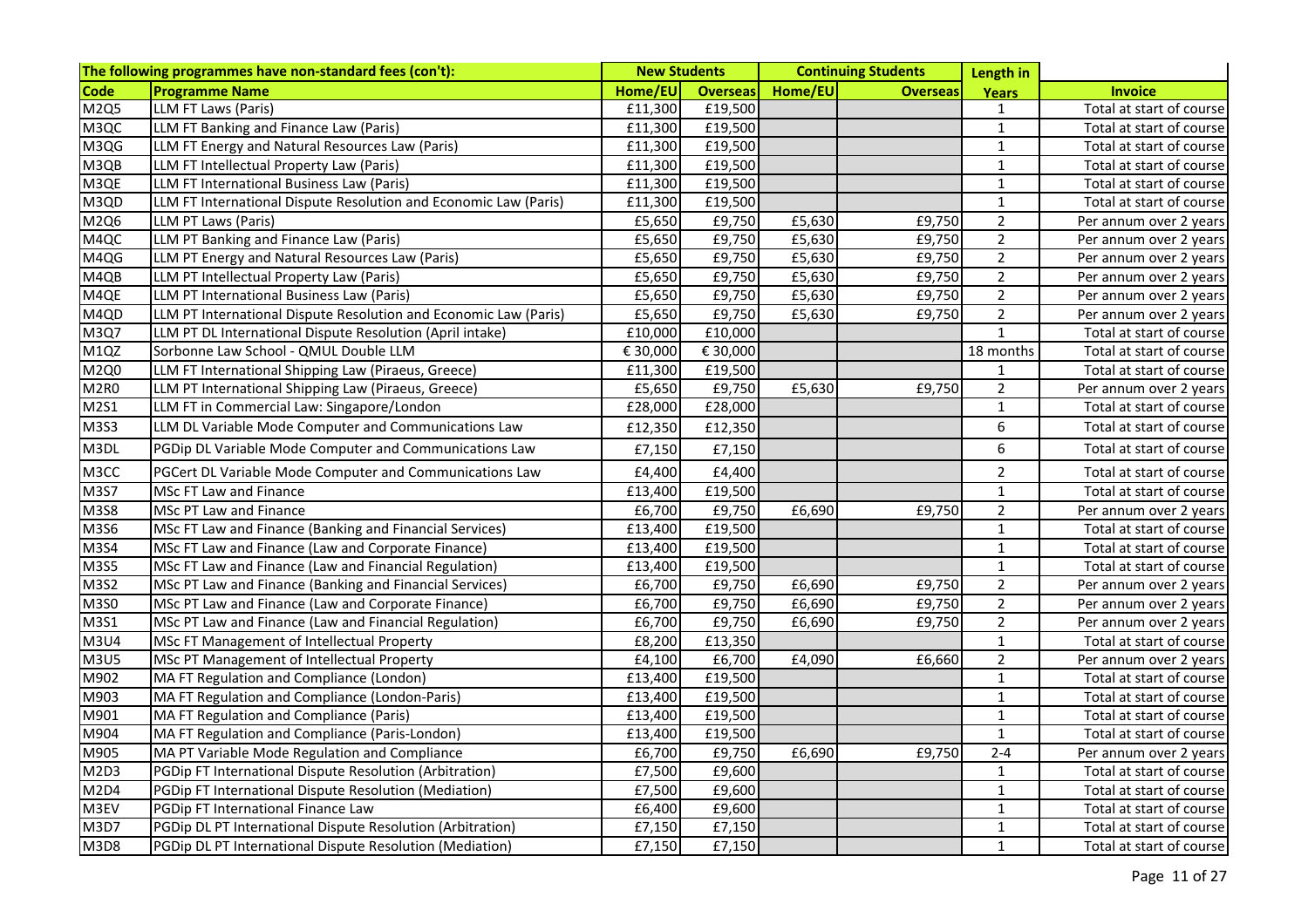|                   | The following programmes have non-standard fees (con't):         | <b>New Students</b> |                 | <b>Continuing Students</b> |                 | Length in      |                          |
|-------------------|------------------------------------------------------------------|---------------------|-----------------|----------------------------|-----------------|----------------|--------------------------|
| Code              | <b>Programme Name</b>                                            | Home/EU             | <b>Overseas</b> | Home/EU                    | <b>Overseas</b> | Years          | <b>Invoice</b>           |
| M2Q5              | LLM FT Laws (Paris)                                              | £11,300             | £19,500         |                            |                 | $\mathbf{1}$   | Total at start of course |
| M <sub>3</sub> QC | LLM FT Banking and Finance Law (Paris)                           | £11,300             | £19,500         |                            |                 | $\mathbf{1}$   | Total at start of course |
| M3QG              | LLM FT Energy and Natural Resources Law (Paris)                  | £11,300             | £19,500         |                            |                 | $\mathbf{1}$   | Total at start of course |
| M3QB              | LLM FT Intellectual Property Law (Paris)                         | £11,300             | £19,500         |                            |                 | $\mathbf{1}$   | Total at start of course |
| M3QE              | LLM FT International Business Law (Paris)                        | £11,300             | £19,500         |                            |                 | $\mathbf 1$    | Total at start of course |
| M3QD              | LLM FT International Dispute Resolution and Economic Law (Paris) | £11,300             | £19,500         |                            |                 | 1              | Total at start of course |
| M2Q6              | LLM PT Laws (Paris)                                              | £5,650              | £9,750          | £5,630                     | £9,750          | $\overline{2}$ | Per annum over 2 years   |
| M4QC              | LLM PT Banking and Finance Law (Paris)                           | £5,650              | £9,750          | £5,630                     | £9,750          | $\overline{2}$ | Per annum over 2 years   |
| M4QG              | LLM PT Energy and Natural Resources Law (Paris)                  | £5,650              | £9,750          | £5,630                     | £9,750          | $\overline{2}$ | Per annum over 2 years   |
| M4QB              | LLM PT Intellectual Property Law (Paris)                         | £5,650              | £9,750          | £5,630                     | £9,750          | $\overline{2}$ | Per annum over 2 years   |
| M4QE              | LLM PT International Business Law (Paris)                        | £5,650              | £9,750          | £5,630                     | £9,750          | $\overline{2}$ | Per annum over 2 years   |
| M4QD              | LLM PT International Dispute Resolution and Economic Law (Paris) | £5,650              | £9,750          | £5,630                     | £9,750          | $2^{\circ}$    | Per annum over 2 years   |
| M3Q7              | LLM PT DL International Dispute Resolution (April intake)        | £10,000             | £10,000         |                            |                 | $\mathbf{1}$   | Total at start of course |
| M1QZ              | Sorbonne Law School - QMUL Double LLM                            | € 30,000            | € 30,000        |                            |                 | 18 months      | Total at start of course |
| M2Q0              | LLM FT International Shipping Law (Piraeus, Greece)              | £11,300             | £19,500         |                            |                 | $\mathbf{1}$   | Total at start of course |
| M <sub>2R0</sub>  | LLM PT International Shipping Law (Piraeus, Greece)              | £5,650              | £9,750          | £5,630                     | £9,750          | $\overline{2}$ | Per annum over 2 years   |
| M2S1              | LLM FT in Commercial Law: Singapore/London                       | £28,000             | £28,000         |                            |                 | $\mathbf{1}$   | Total at start of course |
| M3S3              | LLM DL Variable Mode Computer and Communications Law             | £12,350             | £12,350         |                            |                 | 6              | Total at start of course |
| M3DL              | PGDip DL Variable Mode Computer and Communications Law           | £7,150              | £7,150          |                            |                 | 6              | Total at start of course |
| M3CC              | PGCert DL Variable Mode Computer and Communications Law          | £4,400              | £4,400          |                            |                 | $\overline{2}$ | Total at start of course |
| M3S7              | MSc FT Law and Finance                                           | £13,400             | £19,500         |                            |                 | $\mathbf 1$    | Total at start of course |
| M3S8              | MSc PT Law and Finance                                           | £6,700              | £9,750          | £6,690                     | £9,750          | $\overline{2}$ | Per annum over 2 years   |
| M3S6              | MSc FT Law and Finance (Banking and Financial Services)          | £13,400             | £19,500         |                            |                 | $\mathbf{1}$   | Total at start of course |
| M3S4              | MSc FT Law and Finance (Law and Corporate Finance)               | £13,400             | £19,500         |                            |                 | $\mathbf 1$    | Total at start of course |
| M3S5              | MSc FT Law and Finance (Law and Financial Regulation)            | £13,400             | £19,500         |                            |                 | $\mathbf 1$    | Total at start of course |
| M3S2              | MSc PT Law and Finance (Banking and Financial Services)          | £6,700              | £9,750          | £6,690                     | £9,750          | $\overline{2}$ | Per annum over 2 years   |
| M3S0              | MSc PT Law and Finance (Law and Corporate Finance)               | £6,700              | £9,750          | £6,690                     | £9,750          | $\overline{2}$ | Per annum over 2 years   |
| M3S1              | MSc PT Law and Finance (Law and Financial Regulation)            | £6,700              | £9,750          | £6,690                     | £9,750          | $\overline{2}$ | Per annum over 2 years   |
| <b>M3U4</b>       | MSc FT Management of Intellectual Property                       | £8,200              | £13,350         |                            |                 | $\mathbf 1$    | Total at start of course |
| M3U5              | MSc PT Management of Intellectual Property                       | £4,100              | £6,700          | £4,090                     | £6,660          | $\overline{2}$ | Per annum over 2 years   |
| M902              | MA FT Regulation and Compliance (London)                         | £13,400             | £19,500         |                            |                 | $\mathbf 1$    | Total at start of course |
| M903              | MA FT Regulation and Compliance (London-Paris)                   | £13,400             | £19,500         |                            |                 | $\mathbf 1$    | Total at start of course |
| M901              | MA FT Regulation and Compliance (Paris)                          | £13,400             | £19,500         |                            |                 | $\mathbf 1$    | Total at start of course |
| M904              | MA FT Regulation and Compliance (Paris-London)                   | £13,400             | £19,500         |                            |                 | $\mathbf 1$    | Total at start of course |
| M905              | MA PT Variable Mode Regulation and Compliance                    | £6,700              | £9,750          | £6,690                     | £9,750          | $2 - 4$        | Per annum over 2 years   |
| M2D3              | PGDip FT International Dispute Resolution (Arbitration)          | £7,500              | £9,600          |                            |                 | $\mathbf 1$    | Total at start of course |
| M <sub>2D4</sub>  | PGDip FT International Dispute Resolution (Mediation)            | £7,500              | £9,600          |                            |                 | $\mathbf 1$    | Total at start of course |
| M3EV              | PGDip FT International Finance Law                               | £6,400              | £9,600          |                            |                 | $\mathbf 1$    | Total at start of course |
| M3D7              | PGDip DL PT International Dispute Resolution (Arbitration)       | £7,150              | £7,150          |                            |                 | $\mathbf 1$    | Total at start of course |
| <b>M3D8</b>       | PGDip DL PT International Dispute Resolution (Mediation)         | £7,150              | £7,150          |                            |                 | $\mathbf{1}$   | Total at start of course |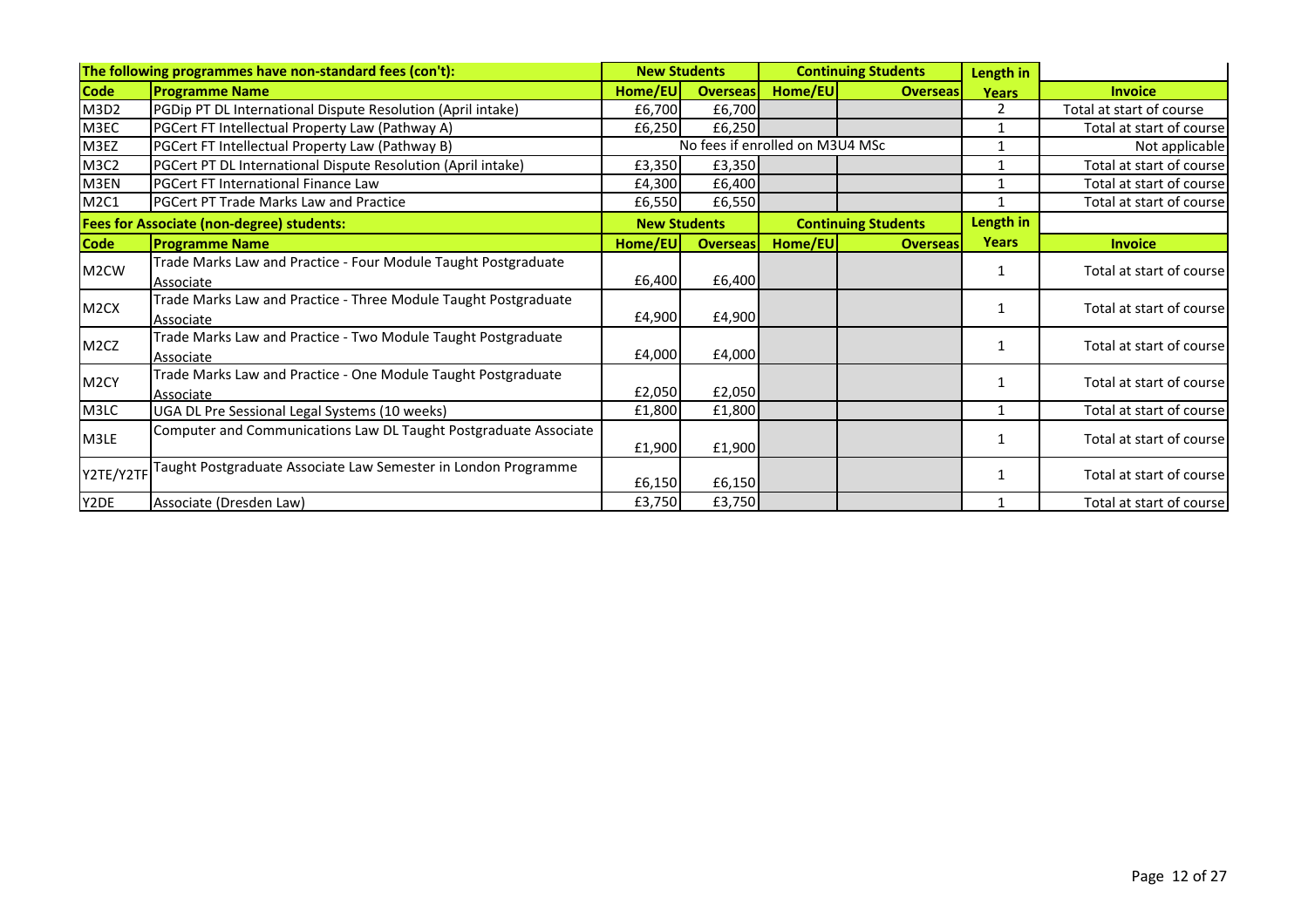|                   | The following programmes have non-standard fees (con't):                     | <b>New Students</b> |                                 |         | <b>Continuing Students</b> |              |                          |
|-------------------|------------------------------------------------------------------------------|---------------------|---------------------------------|---------|----------------------------|--------------|--------------------------|
| <b>Code</b>       | <b>Programme Name</b>                                                        | Home/EU             | <b>Overseas</b>                 | Home/EU | <b>Overseas</b>            | <b>Years</b> | <b>Invoice</b>           |
| M3D2              | PGDip PT DL International Dispute Resolution (April intake)                  | £6,700              | £6,700                          |         |                            | $\mathbf{2}$ | Total at start of course |
| M3EC              | PGCert FT Intellectual Property Law (Pathway A)                              | £6,250              | £6,250                          |         |                            |              | Total at start of course |
| M3EZ              | PGCert FT Intellectual Property Law (Pathway B)                              |                     | No fees if enrolled on M3U4 MSc |         |                            | 1            | Not applicable           |
| M3C2              | PGCert PT DL International Dispute Resolution (April intake)                 | £3,350              | £3,350                          |         |                            |              | Total at start of course |
| M3EN              | <b>PGCert FT International Finance Law</b>                                   | £4,300              | £6,400                          |         |                            | 1            | Total at start of course |
| M2C1              | PGCert PT Trade Marks Law and Practice                                       | £6,550              | £6,550                          |         |                            | 1            | Total at start of course |
|                   | <b>Fees for Associate (non-degree) students:</b>                             | <b>New Students</b> |                                 |         | <b>Continuing Students</b> | Length in    |                          |
| <b>Code</b>       | <b>Programme Name</b>                                                        | Home/EU             | <b>Overseas</b>                 | Home/EU | <b>Overseas</b>            | <b>Years</b> | <b>Invoice</b>           |
| M <sub>2</sub> CW | Trade Marks Law and Practice - Four Module Taught Postgraduate               | £6,400              | £6,400                          |         |                            |              | Total at start of course |
|                   | Associate                                                                    |                     |                                 |         |                            |              |                          |
| M <sub>2</sub> CX | Trade Marks Law and Practice - Three Module Taught Postgraduate<br>Associate | £4,900              | £4,900                          |         |                            |              | Total at start of course |
| M <sub>2</sub> CZ | Trade Marks Law and Practice - Two Module Taught Postgraduate<br>Associate   | £4,000              | £4,000                          |         |                            |              | Total at start of course |
| M <sub>2</sub> CY | Trade Marks Law and Practice - One Module Taught Postgraduate<br>Associate   | £2,050              | £2,050                          |         |                            |              | Total at start of course |
| M3LC              | UGA DL Pre Sessional Legal Systems (10 weeks)                                | £1,800              | £1,800                          |         |                            | 1            | Total at start of course |
| M3LE              | Computer and Communications Law DL Taught Postgraduate Associate             | £1,900              | £1,900                          |         |                            |              | Total at start of course |
| Y2TE/Y2TI         | Taught Postgraduate Associate Law Semester in London Programme               | £6,150              | £6,150                          |         |                            |              | Total at start of course |
| Y2DE              | Associate (Dresden Law)                                                      | £3,750              | £3,750                          |         |                            |              | Total at start of course |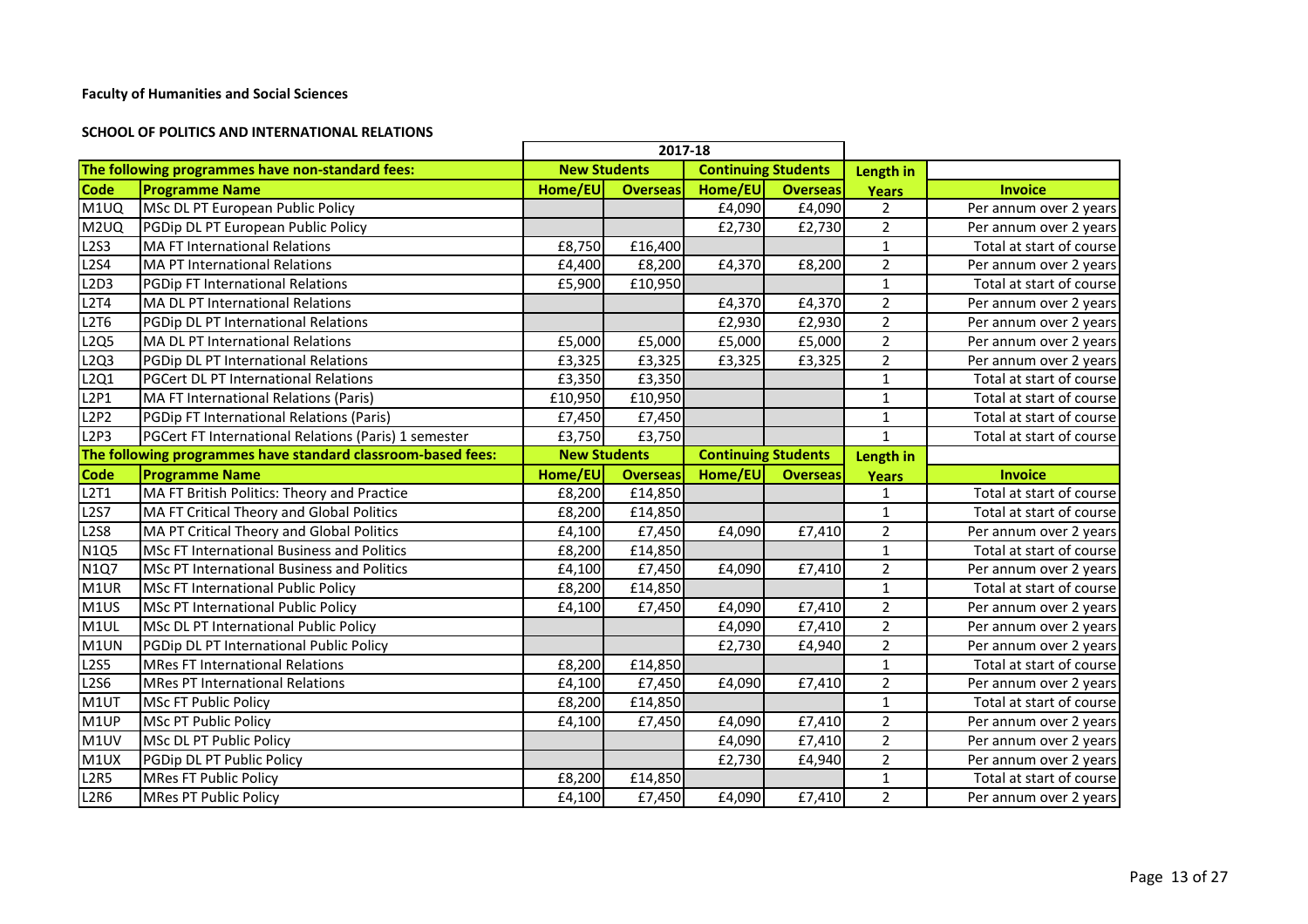#### **SCHOOL OF POLITICS AND INTERNATIONAL RELATIONS**

|                   |                                                              |                     | 2017-18         |                            |                 |                |                          |
|-------------------|--------------------------------------------------------------|---------------------|-----------------|----------------------------|-----------------|----------------|--------------------------|
|                   | The following programmes have non-standard fees:             | <b>New Students</b> |                 | <b>Continuing Students</b> |                 | Length in      |                          |
| <b>Code</b>       | <b>Programme Name</b>                                        | Home/EU             | <b>Overseas</b> | Home/EU                    | <b>Overseas</b> | Years          | <b>Invoice</b>           |
| M1UQ              | MSc DL PT European Public Policy                             |                     |                 | £4,090                     | £4,090          | 2              | Per annum over 2 years   |
| M <sub>2</sub> UQ | PGDip DL PT European Public Policy                           |                     |                 | £2,730                     | £2,730          | $\overline{2}$ | Per annum over 2 years   |
| <b>L2S3</b>       | <b>MA FT International Relations</b>                         | £8,750              | £16,400         |                            |                 | $\mathbf{1}$   | Total at start of course |
| <b>L2S4</b>       | MA PT International Relations                                | £4,400              | £8,200          | £4,370                     | £8,200          | $\overline{2}$ | Per annum over 2 years   |
| L2D3              | PGDip FT International Relations                             | £5,900              | £10,950         |                            |                 | $\mathbf{1}$   | Total at start of course |
| L2T4              | <b>MA DL PT International Relations</b>                      |                     |                 | £4,370                     | £4,370          | $\overline{2}$ | Per annum over 2 years   |
| L2T6              | PGDip DL PT International Relations                          |                     |                 | £2,930                     | £2,930          | $\overline{2}$ | Per annum over 2 years   |
| L2Q5              | <b>MA DL PT International Relations</b>                      | £5,000              | £5,000          | £5,000                     | £5,000          | $\overline{2}$ | Per annum over 2 years   |
| L2Q3              | PGDip DL PT International Relations                          | £3,325              | £3,325          | £3,325                     | £3,325          | $\overline{2}$ | Per annum over 2 years   |
| L2Q1              | PGCert DL PT International Relations                         | £3,350              | £3,350          |                            |                 | $\mathbf 1$    | Total at start of course |
| L2P1              | MA FT International Relations (Paris)                        | £10,950             | £10,950         |                            |                 | $\mathbf{1}$   | Total at start of course |
| L2P2              | PGDip FT International Relations (Paris)                     | £7,450              | E7,450          |                            |                 | $\mathbf{1}$   | Total at start of course |
| <b>L2P3</b>       | PGCert FT International Relations (Paris) 1 semester         | £3,750              | £3,750          |                            |                 | $\mathbf{1}$   | Total at start of course |
|                   | The following programmes have standard classroom-based fees: | <b>New Students</b> |                 | <b>Continuing Students</b> |                 | Length in      |                          |
| <b>Code</b>       | <b>Programme Name</b>                                        | Home/EU             | <b>Overseas</b> | Home/EU                    | <b>Overseas</b> | <b>Years</b>   | <b>Invoice</b>           |
| L2T1              | MA FT British Politics: Theory and Practice                  | £8,200              | £14,850         |                            |                 | 1              | Total at start of course |
| <b>L2S7</b>       | MA FT Critical Theory and Global Politics                    | £8,200              | £14,850         |                            |                 | $\mathbf{1}$   | Total at start of course |
| <b>L2S8</b>       | MA PT Critical Theory and Global Politics                    | £4,100              | £7,450          | £4,090                     | £7,410          | $\overline{2}$ | Per annum over 2 years   |
| <b>N1Q5</b>       | <b>MSc FT International Business and Politics</b>            | £8,200              | £14,850         |                            |                 | $\mathbf{1}$   | Total at start of course |
| N1Q7              | <b>MSc PT International Business and Politics</b>            | £4,100              | £7,450          | £4,090                     | £7,410          | $\overline{2}$ | Per annum over 2 years   |
| M1UR              | MSc FT International Public Policy                           | £8,200              | £14,850         |                            |                 | $\mathbf{1}$   | Total at start of course |
| M1US              | MSc PT International Public Policy                           | £4,100              | £7,450          | £4,090                     | £7,410          | $\overline{2}$ | Per annum over 2 years   |
| M1UL              | MSc DL PT International Public Policy                        |                     |                 | £4,090                     | £7,410          | $\overline{2}$ | Per annum over 2 years   |
| M1UN              | PGDip DL PT International Public Policy                      |                     |                 | £2,730                     | £4,940          | $\overline{2}$ | Per annum over 2 years   |
| <b>L2S5</b>       | <b>MRes FT International Relations</b>                       | £8,200              | £14,850         |                            |                 | $\mathbf{1}$   | Total at start of course |
| L256              | <b>MRes PT International Relations</b>                       | £4,100              | £7,450          | £4,090                     | £7,410          | $\overline{2}$ | Per annum over 2 years   |
| M1UT              | MSc FT Public Policy                                         | £8,200              | £14,850         |                            |                 | $\mathbf{1}$   | Total at start of course |
| M1UP              | MSc PT Public Policy                                         | £4,100              | £7,450          | £4,090                     | £7,410          | $\overline{2}$ | Per annum over 2 years   |
| M1UV              | MSc DL PT Public Policy                                      |                     |                 | £4,090                     | £7,410          | $\overline{2}$ | Per annum over 2 years   |
| M1UX              | PGDip DL PT Public Policy                                    |                     |                 | £2,730                     | £4,940          | $\overline{2}$ | Per annum over 2 years   |
| <b>L2R5</b>       | <b>MRes FT Public Policy</b>                                 | £8,200              | £14,850         |                            |                 | $\mathbf{1}$   | Total at start of course |
| <b>L2R6</b>       | <b>MRes PT Public Policy</b>                                 | £4,100              | £7,450          | £4,090                     | £7,410          | $\overline{2}$ | Per annum over 2 years   |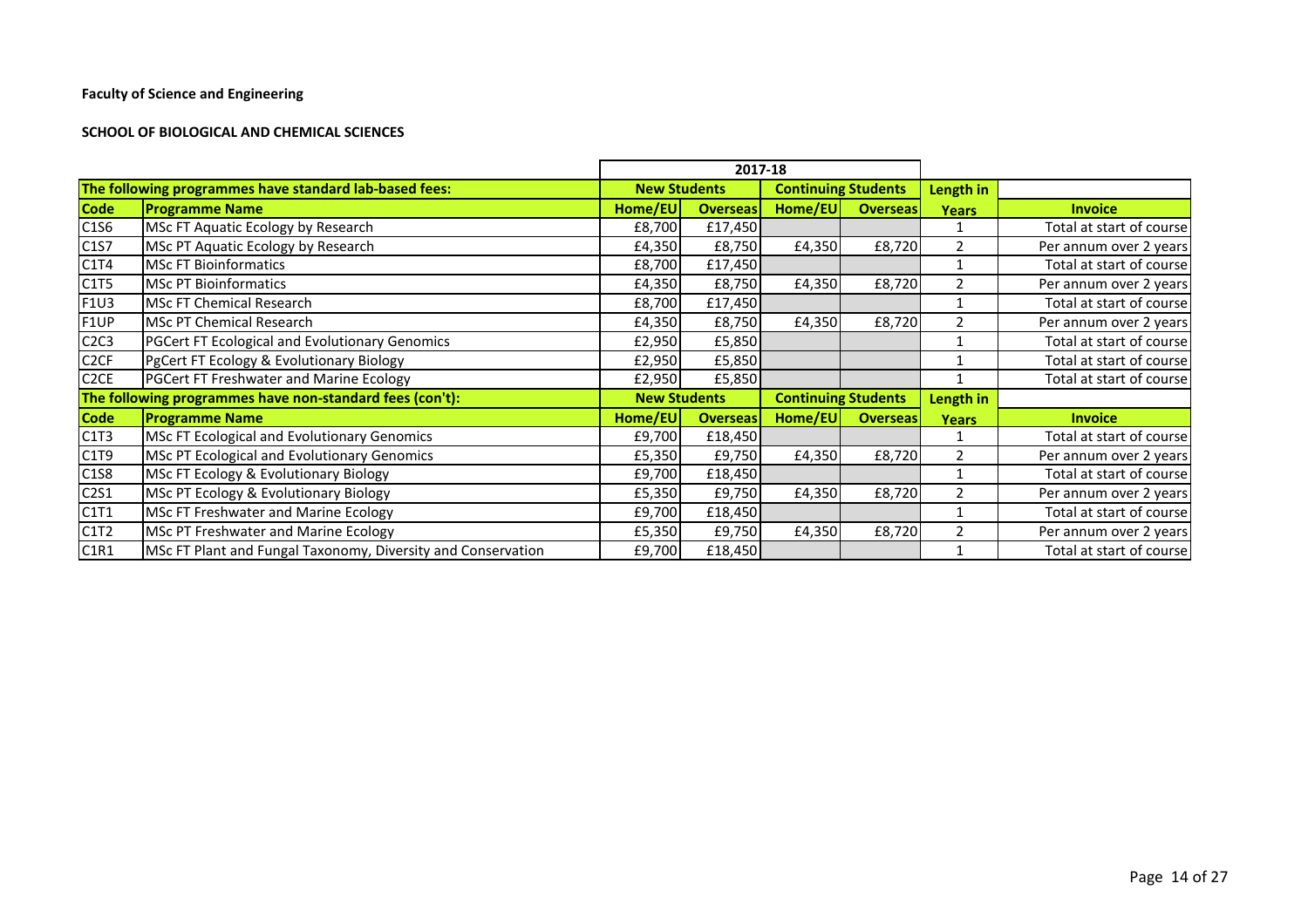#### **SCHOOL OF BIOLOGICAL AND CHEMICAL SCIENCES**

|                   |                                                              |         | 2017-18             |                            |                            |               |                          |
|-------------------|--------------------------------------------------------------|---------|---------------------|----------------------------|----------------------------|---------------|--------------------------|
|                   | The following programmes have standard lab-based fees:       |         | <b>New Students</b> | <b>Continuing Students</b> |                            | Length in     |                          |
| <b>Code</b>       | <b>Programme Name</b>                                        | Home/EU | <b>Overseas</b>     | Home/EU                    | <b>Overseas</b>            | <b>Years</b>  | <b>Invoice</b>           |
| C1S6              | MSc FT Aquatic Ecology by Research                           | £8,700  | £17,450             |                            |                            |               | Total at start of course |
| C1S7              | MSc PT Aquatic Ecology by Research                           | £4,350  | £8,750              | £4,350                     | £8,720                     | $\mathcal{P}$ | Per annum over 2 years   |
| C1T4              | <b>MSc FT Bioinformatics</b>                                 |         | £17,450<br>£8,700   |                            |                            |               | Total at start of course |
| C1T5              | <b>MSc PT Bioinformatics</b>                                 | £4,350  | £8,750              | £4,350                     | £8,720                     |               | Per annum over 2 years   |
| F1U3              | MSc FT Chemical Research                                     | £8,700  | £17,450             |                            |                            |               | Total at start of course |
| F1UP              | MSc PT Chemical Research                                     | £4,350  | £8,750              | £4,350                     | £8,720                     |               | Per annum over 2 years   |
| C2C3              | <b>PGCert FT Ecological and Evolutionary Genomics</b>        | £2,950  | £5,850              |                            |                            |               | Total at start of course |
| C <sub>2</sub> CF | PgCert FT Ecology & Evolutionary Biology                     | £2,950  | £5,850              |                            |                            |               | Total at start of course |
| C <sub>2</sub> CE | <b>PGCert FT Freshwater and Marine Ecology</b>               | £2,950  | £5,850              |                            |                            |               | Total at start of course |
|                   | The following programmes have non-standard fees (con't):     |         | <b>New Students</b> |                            | <b>Continuing Students</b> |               |                          |
| <b>Code</b>       | <b>Programme Name</b>                                        | Home/EU | <b>Overseas</b>     | Home/EU                    | <b>Overseas</b>            | <b>Years</b>  | <b>Invoice</b>           |
| C1T3              | MSc FT Ecological and Evolutionary Genomics                  | £9,700  | £18,450             |                            |                            |               | Total at start of course |
| C1T9              | MSc PT Ecological and Evolutionary Genomics                  | £5,350  | £9,750              | £4,350                     | £8,720                     | $\mathcal{P}$ | Per annum over 2 years   |
| C1S8              | MSc FT Ecology & Evolutionary Biology                        | £9,700  | £18,450             |                            |                            |               | Total at start of course |
| C2S1              | MSc PT Ecology & Evolutionary Biology                        | £5,350  | £9,750              | £4,350                     | £8,720                     | 2             | Per annum over 2 years   |
| C1T1              | MSc FT Freshwater and Marine Ecology                         | £9,700  | £18,450             |                            |                            |               | Total at start of course |
| C1T2              | MSc PT Freshwater and Marine Ecology                         | £5,350  | £9,750              | £4,350                     | £8,720                     |               | Per annum over 2 years   |
| C1R1              | MSc FT Plant and Fungal Taxonomy, Diversity and Conservation | £9,700  | £18,450             |                            |                            |               | Total at start of course |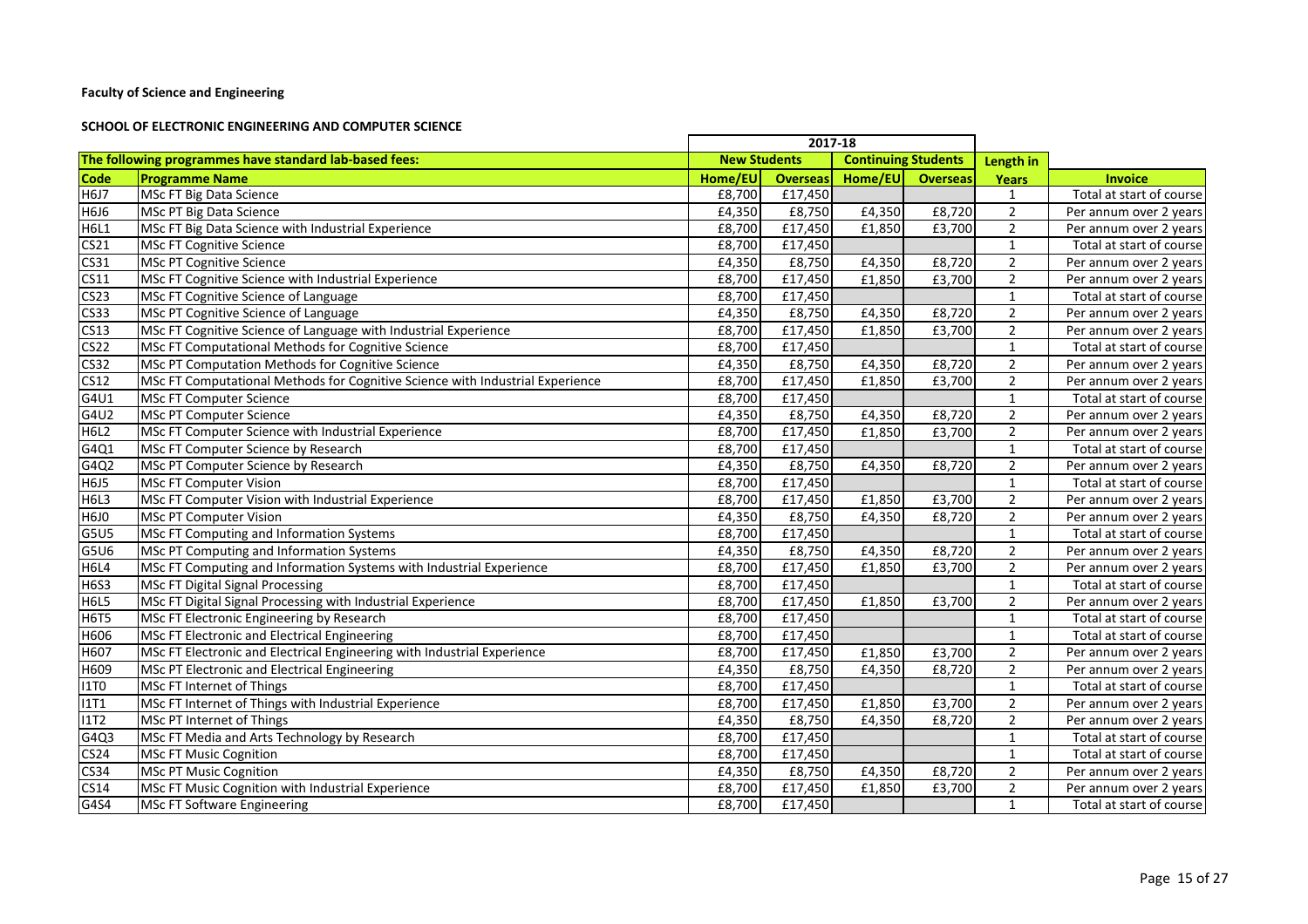#### **SCHOOL OF ELECTRONIC ENGINEERING AND COMPUTER SCIENCE**

|                  |                                                                               |         | 2017-18             |                            |                 |                |                          |
|------------------|-------------------------------------------------------------------------------|---------|---------------------|----------------------------|-----------------|----------------|--------------------------|
|                  | The following programmes have standard lab-based fees:                        |         | <b>New Students</b> | <b>Continuing Students</b> |                 | Length in      |                          |
| <b>Code</b>      | <b>Programme Name</b>                                                         | Home/EU | <b>Overseas</b>     | Home/EU                    | <b>Overseas</b> | Years          | <b>Invoice</b>           |
| <b>H6J7</b>      | MSc FT Big Data Science                                                       | £8,700  | £17,450             |                            |                 | $\mathbf{1}$   | Total at start of course |
| H6J6             | <b>MSc PT Big Data Science</b>                                                | £4,350  | £8,750              | £4,350                     | £8,720          | $\overline{2}$ | Per annum over 2 years   |
| <b>H6L1</b>      | MSc FT Big Data Science with Industrial Experience                            | £8,700  | £17,450             | £1,850                     | £3,700          | $\overline{2}$ | Per annum over 2 years   |
| CS <sub>21</sub> | <b>MSc FT Cognitive Science</b>                                               | £8,700  | £17,450             |                            |                 | $\mathbf{1}$   | Total at start of course |
| CS31             | <b>MSc PT Cognitive Science</b>                                               | £4,350  | £8,750              | £4,350                     | £8,720          | $\overline{2}$ | Per annum over 2 years   |
| <b>CS11</b>      | MSc FT Cognitive Science with Industrial Experience                           | £8,700  | £17,450             | £1,850                     | £3,700          | $\overline{2}$ | Per annum over 2 years   |
| CS <sub>23</sub> | MSc FT Cognitive Science of Language                                          | £8,700  | £17,450             |                            |                 | $\mathbf{1}$   | Total at start of course |
| <b>CS33</b>      | MSc PT Cognitive Science of Language                                          | £4,350  | £8,750              | £4,350                     | £8,720          | $\overline{2}$ | Per annum over 2 years   |
| <b>CS13</b>      | MSc FT Cognitive Science of Language with Industrial Experience               | £8,700  | £17,450             | £1,850                     | £3,700          | $\overline{2}$ | Per annum over 2 years   |
| <b>CS22</b>      | MSc FT Computational Methods for Cognitive Science                            | £8,700  | £17,450             |                            |                 | $\mathbf{1}$   | Total at start of course |
| <b>CS32</b>      | MSc PT Computation Methods for Cognitive Science                              | £4,350  | £8,750              | £4,350                     | £8,720          | $\overline{2}$ | Per annum over 2 years   |
| <b>CS12</b>      | MSc FT Computational Methods for Cognitive Science with Industrial Experience | £8,700  | £17,450             | £1,850                     | £3,700          | $\overline{2}$ | Per annum over 2 years   |
| G4U1             | <b>MSc FT Computer Science</b>                                                | £8,700  | £17,450             |                            |                 | $\mathbf{1}$   | Total at start of course |
| G4U2             | <b>MSc PT Computer Science</b>                                                | £4,350  | £8,750              | £4,350                     | £8,720          | $\overline{2}$ | Per annum over 2 years   |
| <b>H6L2</b>      | MSc FT Computer Science with Industrial Experience                            | £8,700  | £17,450             | £1,850                     | £3,700          | $\overline{2}$ | Per annum over 2 years   |
| G4Q1             | MSc FT Computer Science by Research                                           | £8,700  | £17,450             |                            |                 | $\mathbf{1}$   | Total at start of course |
| G4Q2             | MSc PT Computer Science by Research                                           | £4,350  | £8,750              | £4,350                     | £8,720          | $\overline{2}$ | Per annum over 2 years   |
| <b>H6J5</b>      | <b>MSc FT Computer Vision</b>                                                 | £8,700  | £17,450             |                            |                 | $\mathbf{1}$   | Total at start of course |
| <b>H6L3</b>      | MSc FT Computer Vision with Industrial Experience                             | £8,700  | £17,450             | £1,850                     | £3,700          | $\overline{2}$ | Per annum over 2 years   |
| <b>H6JO</b>      | <b>MSc PT Computer Vision</b>                                                 | £4,350  | £8,750              | £4,350                     | £8,720          | $\overline{2}$ | Per annum over 2 years   |
| G5U5             | MSc FT Computing and Information Systems                                      | £8,700  | £17,450             |                            |                 | $\mathbf{1}$   | Total at start of course |
| G5U6             | MSc PT Computing and Information Systems                                      | £4,350  | £8,750              | £4,350                     | £8,720          | $\overline{2}$ | Per annum over 2 years   |
| <b>H6L4</b>      | MSc FT Computing and Information Systems with Industrial Experience           | £8,700  | £17,450             | £1,850                     | £3,700          | $\overline{2}$ | Per annum over 2 years   |
| <b>H6S3</b>      | <b>MSc FT Digital Signal Processing</b>                                       | £8,700  | £17,450             |                            |                 | $\mathbf{1}$   | Total at start of course |
| <b>H6L5</b>      | MSc FT Digital Signal Processing with Industrial Experience                   | £8,700  | £17,450             | £1,850                     | £3,700          | $\overline{2}$ | Per annum over 2 years   |
| <b>H6T5</b>      | MSc FT Electronic Engineering by Research                                     | £8,700  | £17,450             |                            |                 | $\mathbf{1}$   | Total at start of course |
| H606             | MSc FT Electronic and Electrical Engineering                                  | £8,700  | £17,450             |                            |                 | $\mathbf{1}$   | Total at start of course |
| H607             | MSc FT Electronic and Electrical Engineering with Industrial Experience       | £8,700  | £17,450             | £1,850                     | £3,700          | $\overline{2}$ | Per annum over 2 years   |
| H609             | MSc PT Electronic and Electrical Engineering                                  | £4,350  | £8,750              | £4,350                     | £8,720          | $\overline{2}$ | Per annum over 2 years   |
| <b>I1TO</b>      | MSc FT Internet of Things                                                     | £8,700  | £17,450             |                            |                 | $\mathbf{1}$   | Total at start of course |
| <b>I1T1</b>      | MSc FT Internet of Things with Industrial Experience                          | £8,700  | £17,450             | £1,850                     | £3,700          | $\overline{2}$ | Per annum over 2 years   |
| <b>I1T2</b>      | MSc PT Internet of Things                                                     | £4,350  | £8,750              | £4,350                     | £8,720          | $\overline{2}$ | Per annum over 2 years   |
| G4Q3             | MSc FT Media and Arts Technology by Research                                  | £8,700  | £17,450             |                            |                 | $\mathbf{1}$   | Total at start of course |
| <b>CS24</b>      | <b>MSc FT Music Cognition</b>                                                 | £8,700  | £17,450             |                            |                 | $\mathbf{1}$   | Total at start of course |
| <b>CS34</b>      | <b>MSc PT Music Cognition</b>                                                 | £4,350  | £8,750              | £4,350                     | £8,720          | $\overline{2}$ | Per annum over 2 years   |
| <b>CS14</b>      | MSc FT Music Cognition with Industrial Experience                             | £8,700  | £17,450             | £1,850                     | £3,700          | $\overline{2}$ | Per annum over 2 years   |
| G4S4             | <b>MSc FT Software Engineering</b>                                            | £8,700  | £17,450             |                            |                 | $\mathbf{1}$   | Total at start of course |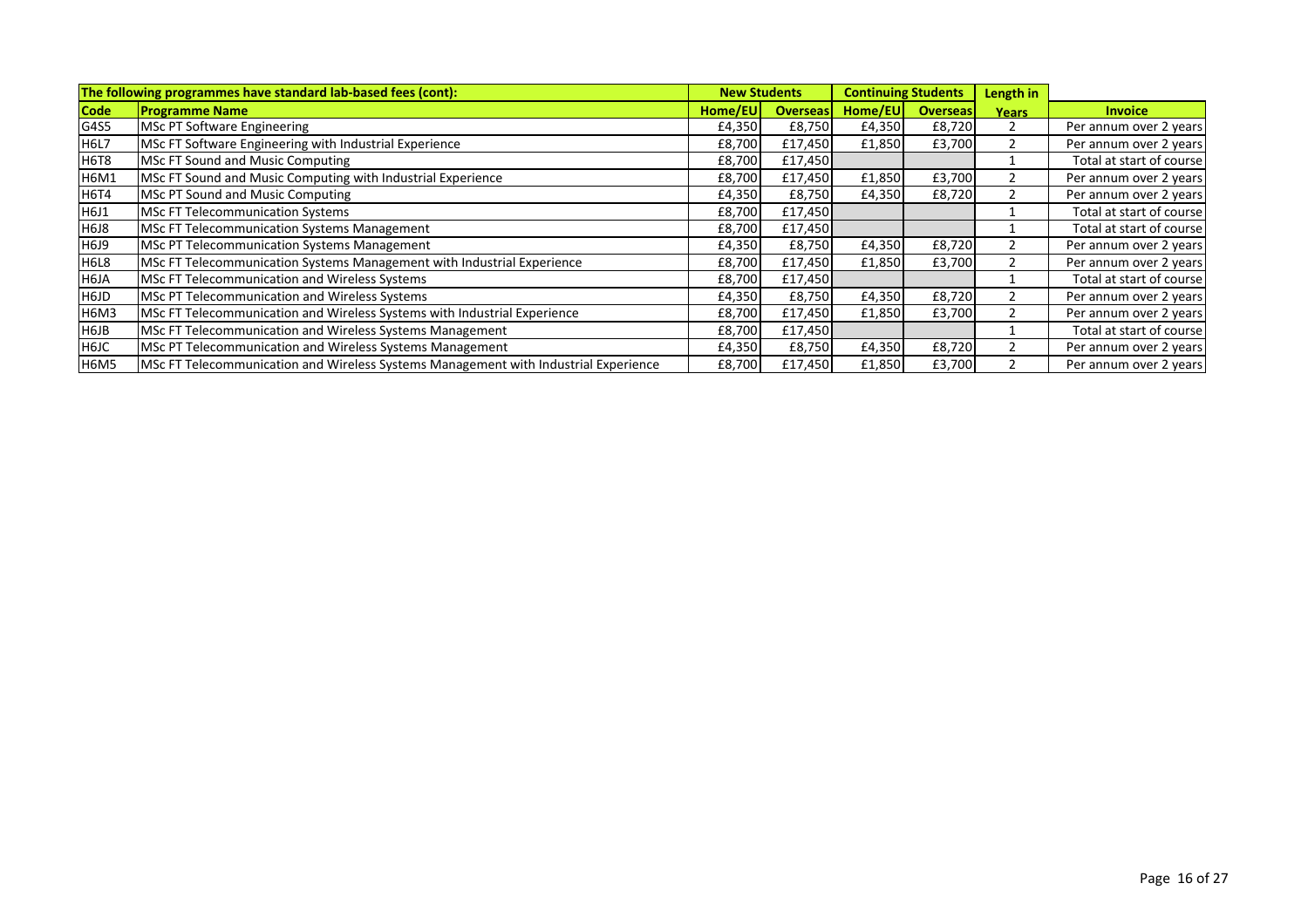| The following programmes have standard lab-based fees (cont):<br><b>New Students</b> |                                                                                     |         |                 |         | <b>Continuing Students</b> | Length in    |                          |
|--------------------------------------------------------------------------------------|-------------------------------------------------------------------------------------|---------|-----------------|---------|----------------------------|--------------|--------------------------|
| <b>Code</b>                                                                          | <b>Programme Name</b>                                                               | Home/EU | <b>Overseas</b> | Home/EU | <b>Overseas</b>            | <b>Years</b> | <b>Invoice</b>           |
| G4S5                                                                                 | <b>MSc PT Software Engineering</b>                                                  | £4,350  | £8,750          | £4,350  | £8,720                     |              | Per annum over 2 years   |
| <b>H6L7</b>                                                                          | MSc FT Software Engineering with Industrial Experience                              | £8,700  | £17,450         | £1,850  | £3,700                     |              | Per annum over 2 years   |
| <b>H6T8</b>                                                                          | MSc FT Sound and Music Computing                                                    | £8,700  | £17,450         |         |                            |              | Total at start of course |
| <b>H6M1</b>                                                                          | MSc FT Sound and Music Computing with Industrial Experience                         | £8,700  | £17,450         | £1,850  | £3,700                     |              | Per annum over 2 years   |
| <b>H6T4</b>                                                                          | MSc PT Sound and Music Computing                                                    | £4,350  | £8,750          | £4,350  | £8,720                     |              | Per annum over 2 years   |
| H6J1                                                                                 | MSc FT Telecommunication Systems                                                    | £8,700  | £17,450         |         |                            |              | Total at start of course |
| H6J8                                                                                 | <b>MSc FT Telecommunication Systems Management</b>                                  | £8,700  | £17,450         |         |                            |              | Total at start of course |
| H6J9                                                                                 | <b>MSc PT Telecommunication Systems Management</b>                                  | £4,350  | £8,750          | £4,350  | £8,720                     |              | Per annum over 2 years   |
| H6L8                                                                                 | MSc FT Telecommunication Systems Management with Industrial Experience              | £8,700  | £17,450         | £1,850  | £3,700                     |              | Per annum over 2 years   |
| H6JA                                                                                 | MSc FT Telecommunication and Wireless Systems                                       | £8,700  | £17,450         |         |                            |              | Total at start of course |
| H6JD                                                                                 | MSc PT Telecommunication and Wireless Systems                                       | £4,350  | £8,750          | £4,350  | £8,720                     |              | Per annum over 2 years   |
| H6M3                                                                                 | MSc FT Telecommunication and Wireless Systems with Industrial Experience            | £8,700  | £17,450         | £1,850  | £3,700                     |              | Per annum over 2 years   |
| H6JB                                                                                 | MSc FT Telecommunication and Wireless Systems Management                            | £8,700  | £17,450         |         |                            |              | Total at start of course |
| H6JC                                                                                 | MSc PT Telecommunication and Wireless Systems Management                            | £4,350  | £8,750          | £4,350  | £8,720                     |              | Per annum over 2 years   |
| <b>H6M5</b>                                                                          | MSc FT Telecommunication and Wireless Systems Management with Industrial Experience | £8,700  | £17,450         | £1,850  | £3,700                     |              | Per annum over 2 years   |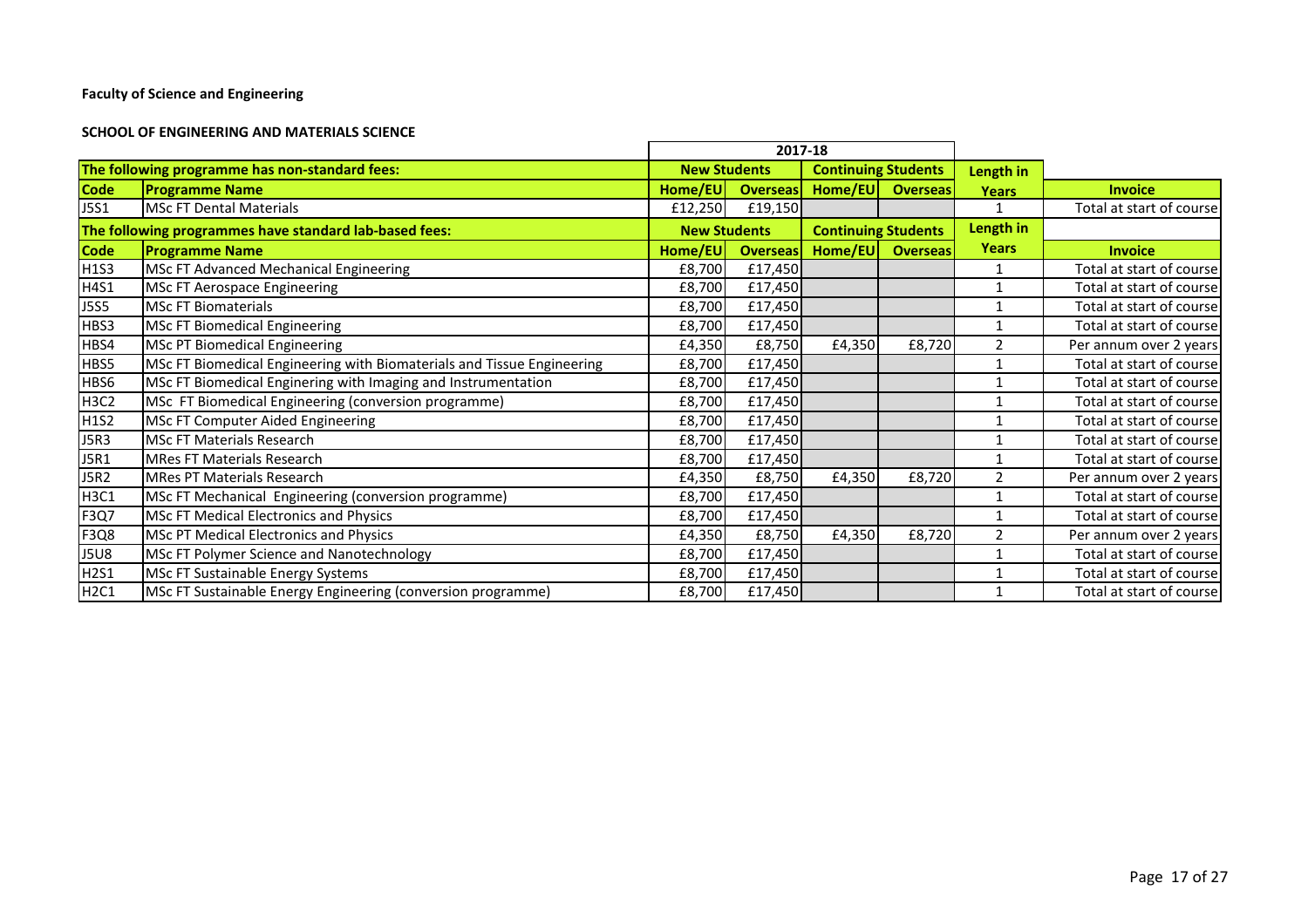#### **SCHOOL OF ENGINEERING AND MATERIALS SCIENCE**

|                               | 2017-18                                                                |                     |                 |                            |                 |                |                          |
|-------------------------------|------------------------------------------------------------------------|---------------------|-----------------|----------------------------|-----------------|----------------|--------------------------|
|                               | The following programme has non-standard fees:                         | <b>New Students</b> |                 | <b>Continuing Students</b> |                 | Length in      |                          |
| <b>Code</b>                   | <b>Programme Name</b>                                                  | Home/EU             | <b>Overseas</b> | Home/EU                    | <b>Overseas</b> | <b>Years</b>   | <b>Invoice</b>           |
| <b>J5S1</b>                   | <b>MSc FT Dental Materials</b>                                         | £12,250             | £19,150         |                            |                 |                | Total at start of course |
|                               | The following programmes have standard lab-based fees:                 | <b>New Students</b> |                 | <b>Continuing Students</b> |                 | Length in      |                          |
| <b>Code</b>                   | <b>Programme Name</b>                                                  | Home/EU             | <b>Overseas</b> | Home/EU                    | <b>Overseas</b> | <b>Years</b>   | <b>Invoice</b>           |
| H1S3                          | MSc FT Advanced Mechanical Engineering                                 | £8,700              | £17,450         |                            |                 |                | Total at start of course |
| H4S1                          | <b>MSc FT Aerospace Engineering</b>                                    | £8,700              | £17,450         |                            |                 |                | Total at start of course |
| <b>J5S5</b>                   | <b>MSc FT Biomaterials</b>                                             | £8,700              | £17,450         |                            |                 |                | Total at start of course |
| HBS3                          | <b>MSc FT Biomedical Engineering</b>                                   | £8,700              | £17,450         |                            |                 |                | Total at start of course |
| HBS4                          | <b>MSc PT Biomedical Engineering</b>                                   | £4,350              | £8,750          | £4,350                     | £8,720          | $\overline{2}$ | Per annum over 2 years   |
| HBS5                          | MSc FT Biomedical Engineering with Biomaterials and Tissue Engineering | £8,700              | £17,450         |                            |                 |                | Total at start of course |
| HBS6                          | MSc FT Biomedical Enginering with Imaging and Instrumentation          | £8,700              | £17,450         |                            |                 |                | Total at start of course |
| H <sub>3</sub> C <sub>2</sub> | MSc FT Biomedical Engineering (conversion programme)                   | £8,700              | £17,450         |                            |                 |                | Total at start of course |
| H1S2                          | MSc FT Computer Aided Engineering                                      | £8,700              | £17,450         |                            |                 |                | Total at start of course |
| <b>J5R3</b>                   | <b>MSc FT Materials Research</b>                                       | £8,700              | £17,450         |                            |                 |                | Total at start of course |
| <b>J5R1</b>                   | <b>MRes FT Materials Research</b>                                      | £8,700              | £17,450         |                            |                 |                | Total at start of course |
| <b>J5R2</b>                   | <b>MRes PT Materials Research</b>                                      | £4,350              | £8,750          | £4,350                     | £8,720          | $\overline{2}$ | Per annum over 2 years   |
| <b>H3C1</b>                   | MSc FT Mechanical Engineering (conversion programme)                   | £8,700              | £17,450         |                            |                 |                | Total at start of course |
| F3Q7                          | <b>MSc FT Medical Electronics and Physics</b>                          | £8,700              | £17,450         |                            |                 |                | Total at start of course |
| F3Q8                          | <b>MSc PT Medical Electronics and Physics</b>                          | £4,350              | £8,750          | £4,350                     | £8,720          | $\overline{2}$ | Per annum over 2 years   |
| <b>J5U8</b>                   | MSc FT Polymer Science and Nanotechnology                              | £8,700              | £17,450         |                            |                 |                | Total at start of course |
| H2S1                          | MSc FT Sustainable Energy Systems                                      | £8,700              | £17,450         |                            |                 |                | Total at start of course |
| H2C1                          | MSc FT Sustainable Energy Engineering (conversion programme)           | £8,700              | £17,450         |                            |                 |                | Total at start of course |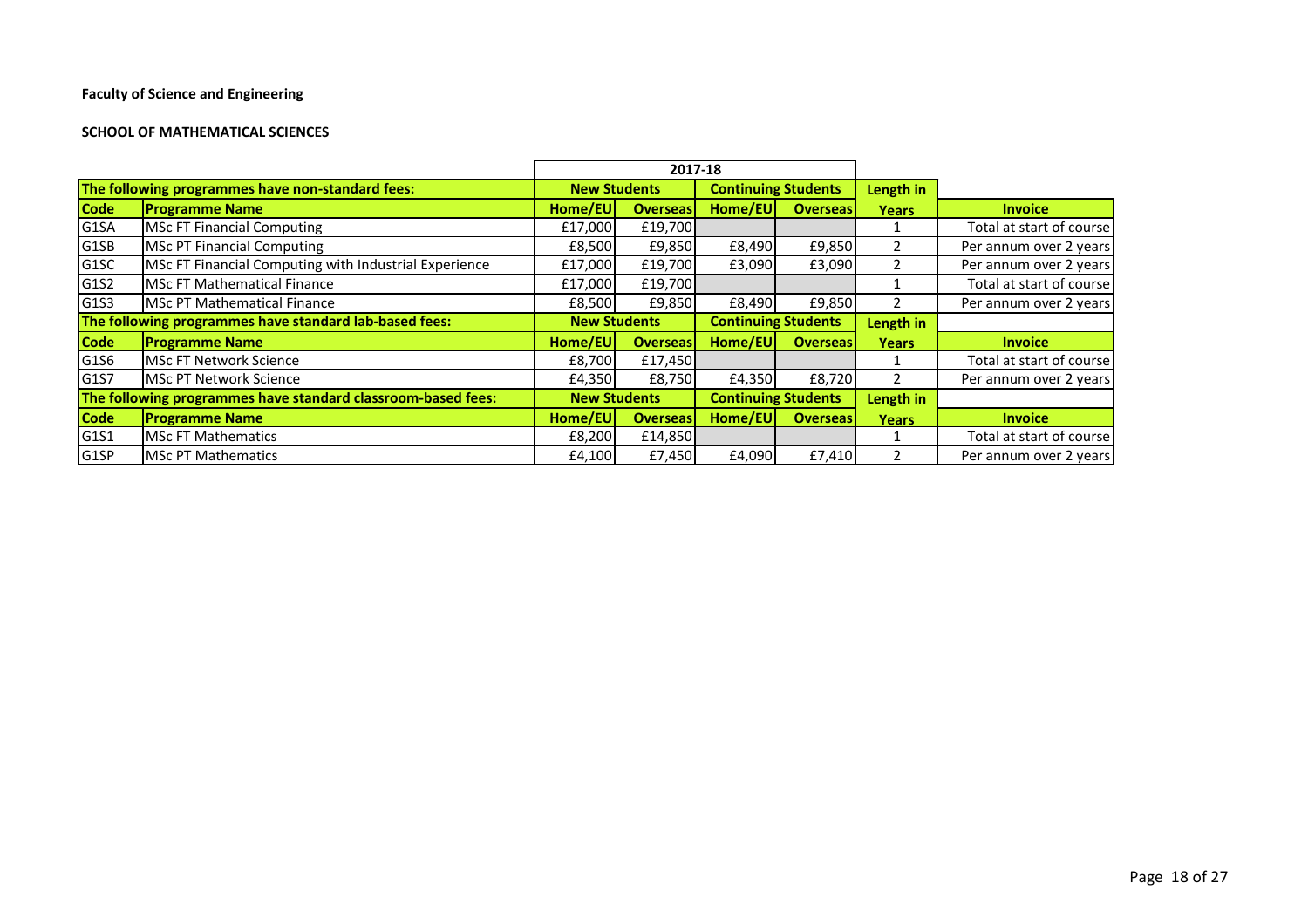#### **SCHOOL OF MATHEMATICAL SCIENCES**

|                   |                                                              | 2017-18             |                     |                            |                 |              |                          |
|-------------------|--------------------------------------------------------------|---------------------|---------------------|----------------------------|-----------------|--------------|--------------------------|
|                   | The following programmes have non-standard fees:             |                     | <b>New Students</b> | <b>Continuing Students</b> |                 | Length in    |                          |
| <b>Code</b>       | <b>Programme Name</b>                                        | Home/EU             | <b>Overseas</b>     | Home/EU                    | <b>Overseas</b> | <b>Years</b> | <b>Invoice</b>           |
| G1SA              | <b>MSc FT Financial Computing</b>                            | £17,000             | £19,700             |                            |                 |              | Total at start of course |
| G1SB              | <b>MSc PT Financial Computing</b>                            | £8,500              | £9,850              | £8,490                     | £9,850          |              | Per annum over 2 years   |
| G <sub>1</sub> SC | MSc FT Financial Computing with Industrial Experience        | £17,000             | £19,700             | £3,090                     | £3,090          |              | Per annum over 2 years   |
| G1S2              | MSc FT Mathematical Finance                                  | £17,000             | £19,700             |                            |                 |              | Total at start of course |
| G1S3              | <b>I</b> MSc PT Mathematical Finance                         | £8,500              | £9,850              | £8,490                     | £9,850          |              | Per annum over 2 years   |
|                   | The following programmes have standard lab-based fees:       | <b>New Students</b> |                     | <b>Continuing Students</b> |                 | Length in    |                          |
| <b>Code</b>       | <b>Programme Name</b>                                        | Home/EU             | <b>Overseas</b>     | Home/EU                    | <b>Overseas</b> | <b>Years</b> | <b>Invoice</b>           |
| G1S6              | <b>MSc FT Network Science</b>                                | £8,700              | £17,450             |                            |                 |              | Total at start of course |
| G1S7              | <b>IMSc PT Network Science</b>                               | £4,350              | £8,750              | £4,350                     | £8,720          |              | Per annum over 2 years   |
|                   | The following programmes have standard classroom-based fees: | <b>New Students</b> |                     | <b>Continuing Students</b> |                 | Length in    |                          |
| <b>Code</b>       | <b>Programme Name</b>                                        | Home/EU             | <b>Overseas</b>     | Home/EU                    | <b>Overseas</b> | <b>Years</b> | <b>Invoice</b>           |
| G1S1              | <b>IMSc FT Mathematics</b>                                   | £8,200              | £14,850             |                            |                 |              | Total at start of course |
| G <sub>1</sub> SP | <b>MSc PT Mathematics</b>                                    | £4,100              | £7,450              | £4,090                     | £7,410          |              | Per annum over 2 years   |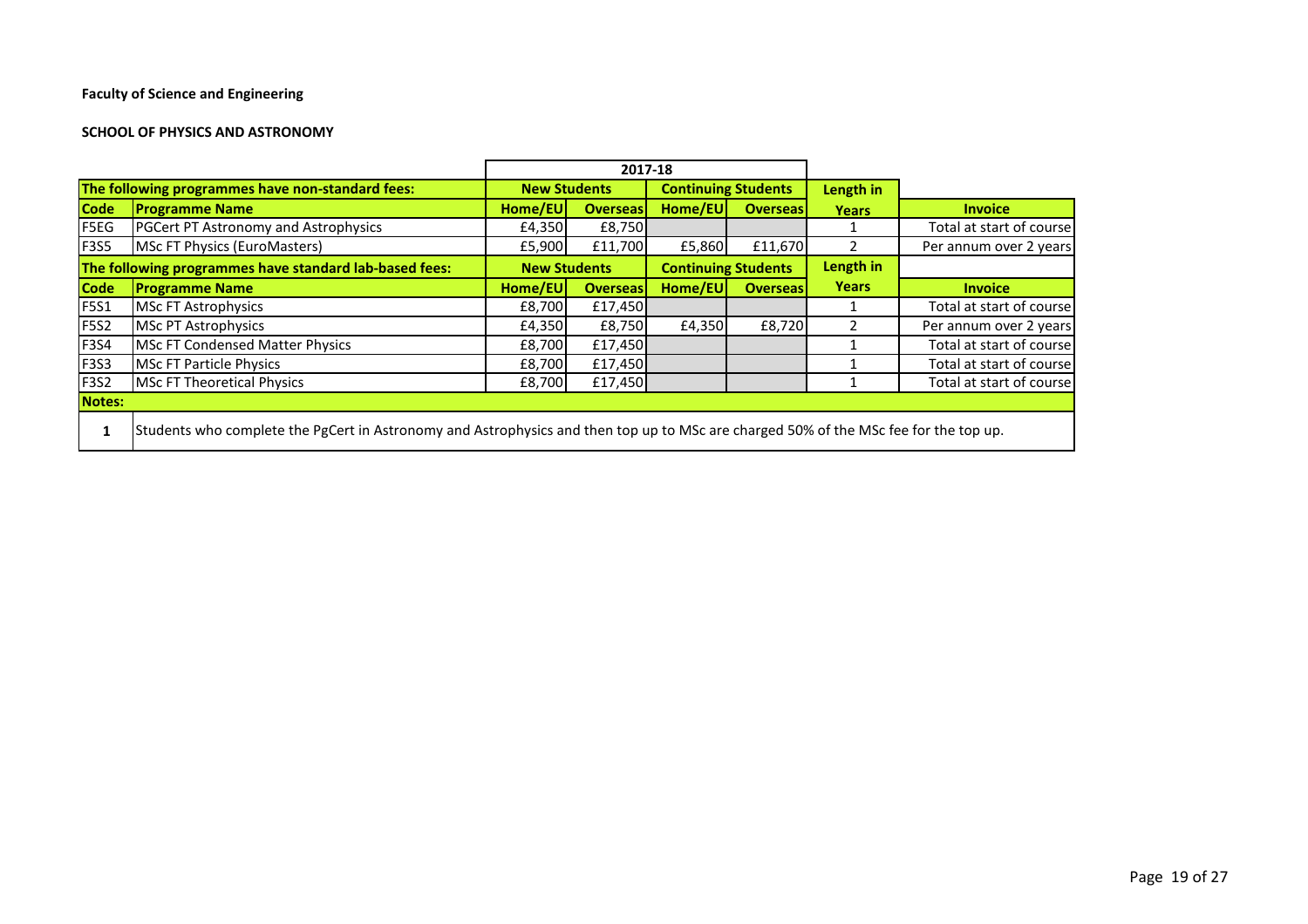#### **SCHOOL OF PHYSICS AND ASTRONOMY**

|             |                                                                                                                                      | 2017-18                                           |                 |                            |                 |               |                          |
|-------------|--------------------------------------------------------------------------------------------------------------------------------------|---------------------------------------------------|-----------------|----------------------------|-----------------|---------------|--------------------------|
|             | The following programmes have non-standard fees:                                                                                     | <b>New Students</b>                               |                 | <b>Continuing Students</b> |                 | Length in     |                          |
| <b>Code</b> | <b>Programme Name</b>                                                                                                                | Home/EU                                           | <b>Overseas</b> | Home/EU                    | <b>Overseas</b> | <b>Years</b>  | <b>Invoice</b>           |
| F5EG        | <b>PGCert PT Astronomy and Astrophysics</b>                                                                                          | £4,350                                            | £8,750          |                            |                 |               | Total at start of course |
| <b>F3S5</b> | MSc FT Physics (EuroMasters)                                                                                                         | £5,900                                            | £11,700         | £5,860                     | £11,670         | $\mathcal{P}$ | Per annum over 2 years   |
|             | The following programmes have standard lab-based fees:                                                                               | <b>Continuing Students</b><br><b>New Students</b> |                 | Length in                  |                 |               |                          |
| <b>Code</b> | <b>Programme Name</b>                                                                                                                | Home/EU                                           | <b>Overseas</b> | Home/EU<br><b>Overseas</b> |                 | <b>Years</b>  | <b>Invoice</b>           |
| <b>F5S1</b> | <b>MSc FT Astrophysics</b>                                                                                                           | £8,700                                            | £17,450         |                            |                 |               | Total at start of course |
| <b>F5S2</b> | <b>MSc PT Astrophysics</b>                                                                                                           | £4,350                                            | £8,750          | £4,350                     | £8,720          | 2             | Per annum over 2 years   |
| <b>F3S4</b> | <b>MSc FT Condensed Matter Physics</b>                                                                                               | £8,700                                            | £17,450         |                            |                 |               | Total at start of course |
| <b>F3S3</b> | <b>MSc FT Particle Physics</b>                                                                                                       | £8,700                                            | £17,450         |                            |                 |               | Total at start of course |
| <b>F3S2</b> | <b>MSc FT Theoretical Physics</b>                                                                                                    | £8,700                                            | £17,450         |                            |                 |               | Total at start of course |
| Notes:      |                                                                                                                                      |                                                   |                 |                            |                 |               |                          |
| 1           | Students who complete the PgCert in Astronomy and Astrophysics and then top up to MSc are charged 50% of the MSc fee for the top up. |                                                   |                 |                            |                 |               |                          |

and the control of the control of the control of the control of the control of the control of the control of the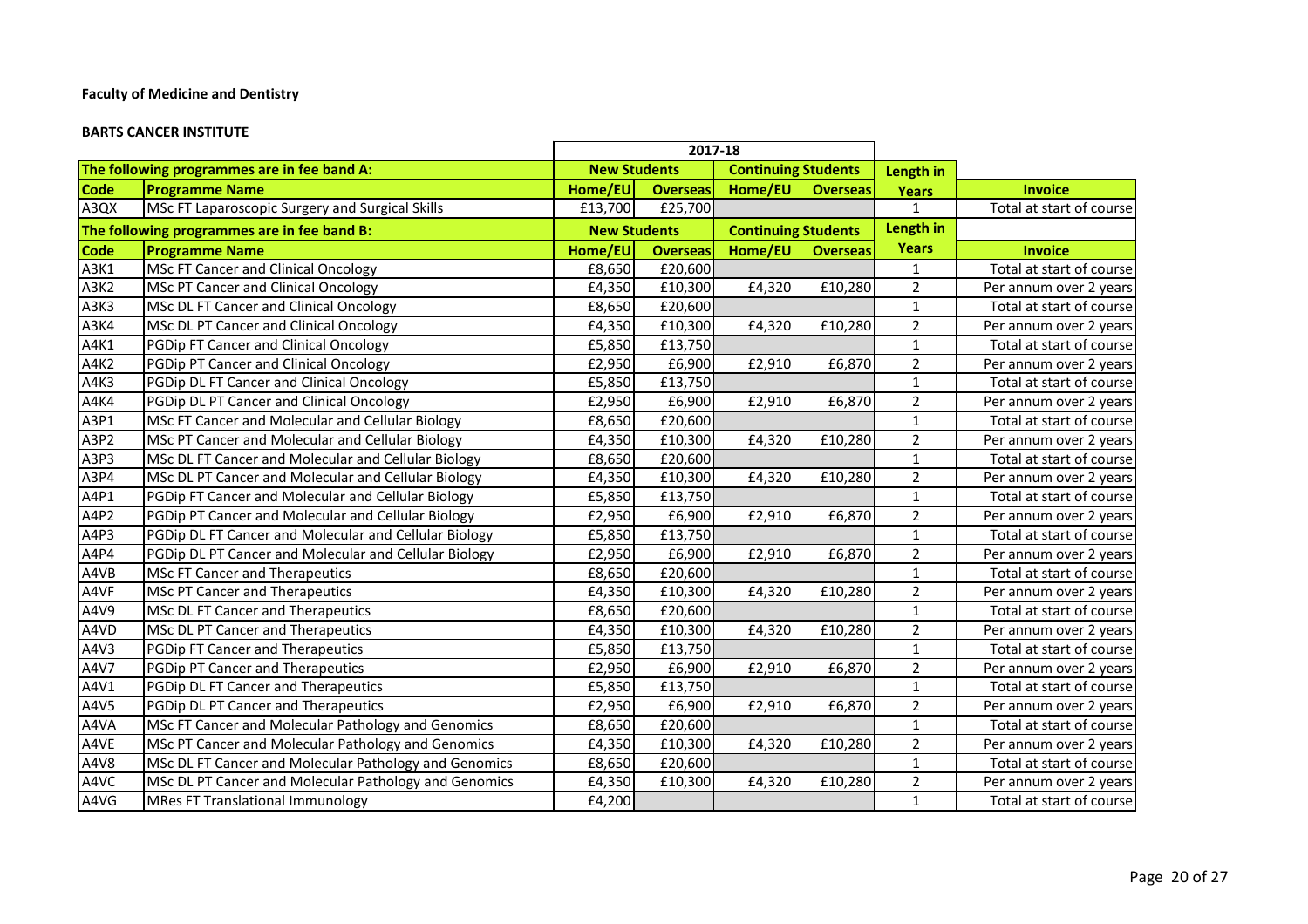#### **BARTS CANCER INSTITUTE**

|             |                                                       | 2017-18             |                 |                            |                 |                |                          |
|-------------|-------------------------------------------------------|---------------------|-----------------|----------------------------|-----------------|----------------|--------------------------|
|             | The following programmes are in fee band A:           | <b>New Students</b> |                 | <b>Continuing Students</b> |                 | Length in      |                          |
| <b>Code</b> | <b>Programme Name</b>                                 | Home/EU             | <b>Overseas</b> | Home/EU                    | <b>Overseas</b> | <b>Years</b>   | <b>Invoice</b>           |
| A3QX        | MSc FT Laparoscopic Surgery and Surgical Skills       | £13,700             | £25,700         |                            |                 | 1              | Total at start of course |
|             | The following programmes are in fee band B:           | <b>New Students</b> |                 | <b>Continuing Students</b> |                 | Length in      |                          |
| <b>Code</b> | <b>Programme Name</b>                                 | Home/EU             | <b>Overseas</b> | Home/EU                    | <b>Overseas</b> | <b>Years</b>   | <b>Invoice</b>           |
| A3K1        | MSc FT Cancer and Clinical Oncology                   | £8,650              | £20,600         |                            |                 | $\mathbf{1}$   | Total at start of course |
| A3K2        | MSc PT Cancer and Clinical Oncology                   | £4,350              | £10,300         | £4,320                     | £10,280         | $\overline{2}$ | Per annum over 2 years   |
| A3K3        | MSc DL FT Cancer and Clinical Oncology                | £8,650              | £20,600         |                            |                 | $\mathbf 1$    | Total at start of course |
| A3K4        | MSc DL PT Cancer and Clinical Oncology                | £4,350              | £10,300         | £4,320                     | £10,280         | $\overline{2}$ | Per annum over 2 years   |
| A4K1        | PGDip FT Cancer and Clinical Oncology                 | £5,850              | £13,750         |                            |                 | $\mathbf{1}$   | Total at start of course |
| A4K2        | PGDip PT Cancer and Clinical Oncology                 | £2,950              | £6,900          | £2,910                     | £6,870          | $\overline{2}$ | Per annum over 2 years   |
| A4K3        | PGDip DL FT Cancer and Clinical Oncology              | £5,850              | £13,750         |                            |                 | $\mathbf 1$    | Total at start of course |
| A4K4        | PGDip DL PT Cancer and Clinical Oncology              | £2,950              | £6,900          | £2,910                     | £6,870          | $\overline{2}$ | Per annum over 2 years   |
| A3P1        | MSc FT Cancer and Molecular and Cellular Biology      | £8,650              | £20,600         |                            |                 | $\mathbf{1}$   | Total at start of course |
| A3P2        | MSc PT Cancer and Molecular and Cellular Biology      | £4,350              | £10,300         | £4,320                     | £10,280         | $\overline{2}$ | Per annum over 2 years   |
| A3P3        | MSc DL FT Cancer and Molecular and Cellular Biology   | £8,650              | £20,600         |                            |                 | $\mathbf{1}$   | Total at start of course |
| A3P4        | MSc DL PT Cancer and Molecular and Cellular Biology   | £4,350              | £10,300         | £4,320                     | £10,280         | $\overline{2}$ | Per annum over 2 years   |
| A4P1        | PGDip FT Cancer and Molecular and Cellular Biology    | £5,850              | £13,750         |                            |                 | $\mathbf{1}$   | Total at start of course |
| A4P2        | PGDip PT Cancer and Molecular and Cellular Biology    | £2,950              | £6,900          | £2,910                     | £6,870          | $\overline{2}$ | Per annum over 2 years   |
| A4P3        | PGDip DL FT Cancer and Molecular and Cellular Biology | £5,850              | £13,750         |                            |                 | $\mathbf 1$    | Total at start of course |
| A4P4        | PGDip DL PT Cancer and Molecular and Cellular Biology | £2,950              | £6,900          | £2,910                     | £6,870          | $\overline{2}$ | Per annum over 2 years   |
| A4VB        | MSc FT Cancer and Therapeutics                        | £8,650              | £20,600         |                            |                 | $\mathbf{1}$   | Total at start of course |
| A4VF        | MSc PT Cancer and Therapeutics                        | £4,350              | £10,300         | £4,320                     | £10,280         | $\overline{2}$ | Per annum over 2 years   |
| A4V9        | MSc DL FT Cancer and Therapeutics                     | £8,650              | £20,600         |                            |                 | $\mathbf 1$    | Total at start of course |
| A4VD        | MSc DL PT Cancer and Therapeutics                     | £4,350              | £10,300         | £4,320                     | £10,280         | $\overline{2}$ | Per annum over 2 years   |
| A4V3        | PGDip FT Cancer and Therapeutics                      | £5,850              | £13,750         |                            |                 | $\mathbf{1}$   | Total at start of course |
| A4V7        | PGDip PT Cancer and Therapeutics                      | £2,950              | £6,900          | £2,910                     | £6,870          | $\overline{2}$ | Per annum over 2 years   |
| A4V1        | PGDip DL FT Cancer and Therapeutics                   | £5,850              | £13,750         |                            |                 | $\mathbf 1$    | Total at start of course |
| A4V5        | PGDip DL PT Cancer and Therapeutics                   | £2,950              | £6,900          | £2,910                     | £6,870          | $\overline{2}$ | Per annum over 2 years   |
| A4VA        | MSc FT Cancer and Molecular Pathology and Genomics    | £8,650              | £20,600         |                            |                 | $\mathbf 1$    | Total at start of course |
| A4VE        | MSc PT Cancer and Molecular Pathology and Genomics    | £4,350              | £10,300         | £4,320                     | £10,280         | $\overline{2}$ | Per annum over 2 years   |
| A4V8        | MSc DL FT Cancer and Molecular Pathology and Genomics | £8,650              | £20,600         |                            |                 | $\mathbf{1}$   | Total at start of course |
| A4VC        | MSc DL PT Cancer and Molecular Pathology and Genomics | £4,350              | £10,300         | £4,320                     | £10,280         | $\overline{2}$ | Per annum over 2 years   |
| A4VG        | <b>MRes FT Translational Immunology</b>               | £4,200              |                 |                            |                 | $\mathbf 1$    | Total at start of course |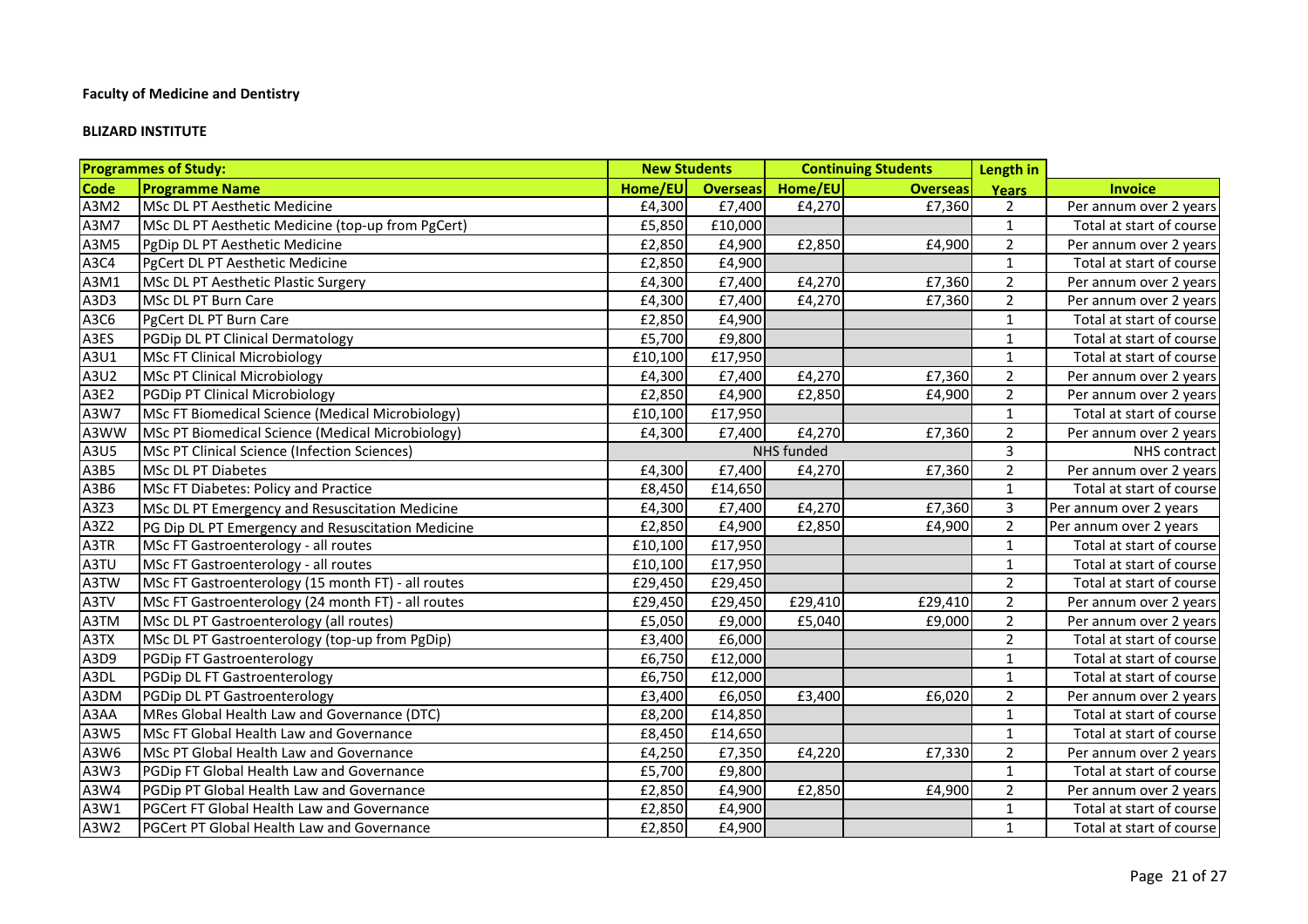#### **BLIZARD INSTITUTE**

|             | <b>Programmes of Study:</b>                         |         | <b>New Students</b> |            | <b>Continuing Students</b> | Length in      |                          |
|-------------|-----------------------------------------------------|---------|---------------------|------------|----------------------------|----------------|--------------------------|
| <b>Code</b> | <b>Programme Name</b>                               | Home/EU | <b>Overseas</b>     | Home/EU    | <b>Overseas</b>            | Years          | <b>Invoice</b>           |
| A3M2        | MSc DL PT Aesthetic Medicine                        | £4,300  | £7,400              | £4,270     | £7,360                     | $\overline{2}$ | Per annum over 2 years   |
| A3M7        | MSc DL PT Aesthetic Medicine (top-up from PgCert)   | £5,850  | £10,000             |            |                            | $\mathbf{1}$   | Total at start of course |
| A3M5        | PgDip DL PT Aesthetic Medicine                      | £2,850  | £4,900              | £2,850     | £4,900                     | $\overline{2}$ | Per annum over 2 years   |
| A3C4        | PgCert DL PT Aesthetic Medicine                     | £2,850  | £4,900              |            |                            | $\mathbf{1}$   | Total at start of course |
| A3M1        | MSc DL PT Aesthetic Plastic Surgery                 | £4,300  | £7,400              | £4,270     | £7,360                     | $\overline{2}$ | Per annum over 2 years   |
| A3D3        | MSc DL PT Burn Care                                 | £4,300  | £7,400              | £4,270     | £7,360                     | $\overline{2}$ | Per annum over 2 years   |
| A3C6        | PgCert DL PT Burn Care                              | £2,850  | £4,900              |            |                            | $\mathbf{1}$   | Total at start of course |
| A3ES        | PGDip DL PT Clinical Dermatology                    | £5,700  | £9,800              |            |                            | $\mathbf{1}$   | Total at start of course |
| A3U1        | <b>MSc FT Clinical Microbiology</b>                 | £10,100 | £17,950             |            |                            | $\mathbf{1}$   | Total at start of course |
| A3U2        | <b>MSc PT Clinical Microbiology</b>                 | £4,300  | £7,400              | £4,270     | £7,360                     | $\overline{2}$ | Per annum over 2 years   |
| A3E2        | PGDip PT Clinical Microbiology                      | £2,850  | £4,900              | £2,850     | £4,900                     | $\overline{2}$ | Per annum over 2 years   |
| A3W7        | MSc FT Biomedical Science (Medical Microbiology)    | £10,100 | £17,950             |            |                            | $\mathbf{1}$   | Total at start of course |
| A3WW        | MSc PT Biomedical Science (Medical Microbiology)    | £4,300  | £7,400              | £4,270     | £7,360                     | $\overline{2}$ | Per annum over 2 years   |
| A3U5        | <b>MSc PT Clinical Science (Infection Sciences)</b> |         |                     | NHS funded |                            | $\overline{3}$ | NHS contract             |
| A3B5        | <b>MSc DL PT Diabetes</b>                           | £4,300  | £7,400              | £4,270     | £7,360                     | $\overline{2}$ | Per annum over 2 years   |
| A3B6        | MSc FT Diabetes: Policy and Practice                | £8,450  | £14,650             |            |                            | $\mathbf{1}$   | Total at start of course |
| A3Z3        | MSc DL PT Emergency and Resuscitation Medicine      | £4,300  | £7,400              | £4,270     | £7,360                     | 3              | Per annum over 2 years   |
| A3Z2        | PG Dip DL PT Emergency and Resuscitation Medicine   | £2,850  | £4,900              | £2,850     | £4,900                     | $\overline{2}$ | Per annum over 2 years   |
| A3TR        | MSc FT Gastroenterology - all routes                | £10,100 | £17,950             |            |                            | $\mathbf{1}$   | Total at start of course |
| A3TU        | MSc FT Gastroenterology - all routes                | £10,100 | £17,950             |            |                            | $\mathbf{1}$   | Total at start of course |
| A3TW        | MSc FT Gastroenterology (15 month FT) - all routes  | £29,450 | £29,450             |            |                            | $2^{\circ}$    | Total at start of course |
| A3TV        | MSc FT Gastroenterology (24 month FT) - all routes  | £29,450 | £29,450             | £29,410    | £29,410                    | $\overline{2}$ | Per annum over 2 years   |
| A3TM        | MSc DL PT Gastroenterology (all routes)             | £5,050  | £9,000              | £5,040     | £9,000                     | $\overline{2}$ | Per annum over 2 years   |
| A3TX        | MSc DL PT Gastroenterology (top-up from PgDip)      | £3,400  | £6,000              |            |                            | $\overline{2}$ | Total at start of course |
| A3D9        | PGDip FT Gastroenterology                           | £6,750  | £12,000             |            |                            | $\mathbf{1}$   | Total at start of course |
| A3DL        | PGDip DL FT Gastroenterology                        | £6,750  | £12,000             |            |                            | $\mathbf{1}$   | Total at start of course |
| A3DM        | PGDip DL PT Gastroenterology                        | £3,400  | £6,050              | £3,400     | £6,020                     | $\overline{2}$ | Per annum over 2 years   |
| A3AA        | MRes Global Health Law and Governance (DTC)         | £8,200  | £14,850             |            |                            | $\mathbf{1}$   | Total at start of course |
| A3W5        | MSc FT Global Health Law and Governance             | £8,450  | £14,650             |            |                            | $\mathbf{1}$   | Total at start of course |
| A3W6        | MSc PT Global Health Law and Governance             | £4,250  | £7,350              | £4,220     | £7,330                     | $\overline{2}$ | Per annum over 2 years   |
| A3W3        | PGDip FT Global Health Law and Governance           | £5,700  | £9,800              |            |                            | $\mathbf{1}$   | Total at start of course |
| A3W4        | PGDip PT Global Health Law and Governance           | £2,850  | £4,900              | £2,850     | £4,900                     | $\overline{2}$ | Per annum over 2 years   |
| A3W1        | PGCert FT Global Health Law and Governance          | £2,850  | £4,900              |            |                            | $\mathbf{1}$   | Total at start of course |
| A3W2        | PGCert PT Global Health Law and Governance          | £2,850  | £4,900              |            |                            | $\mathbf{1}$   | Total at start of course |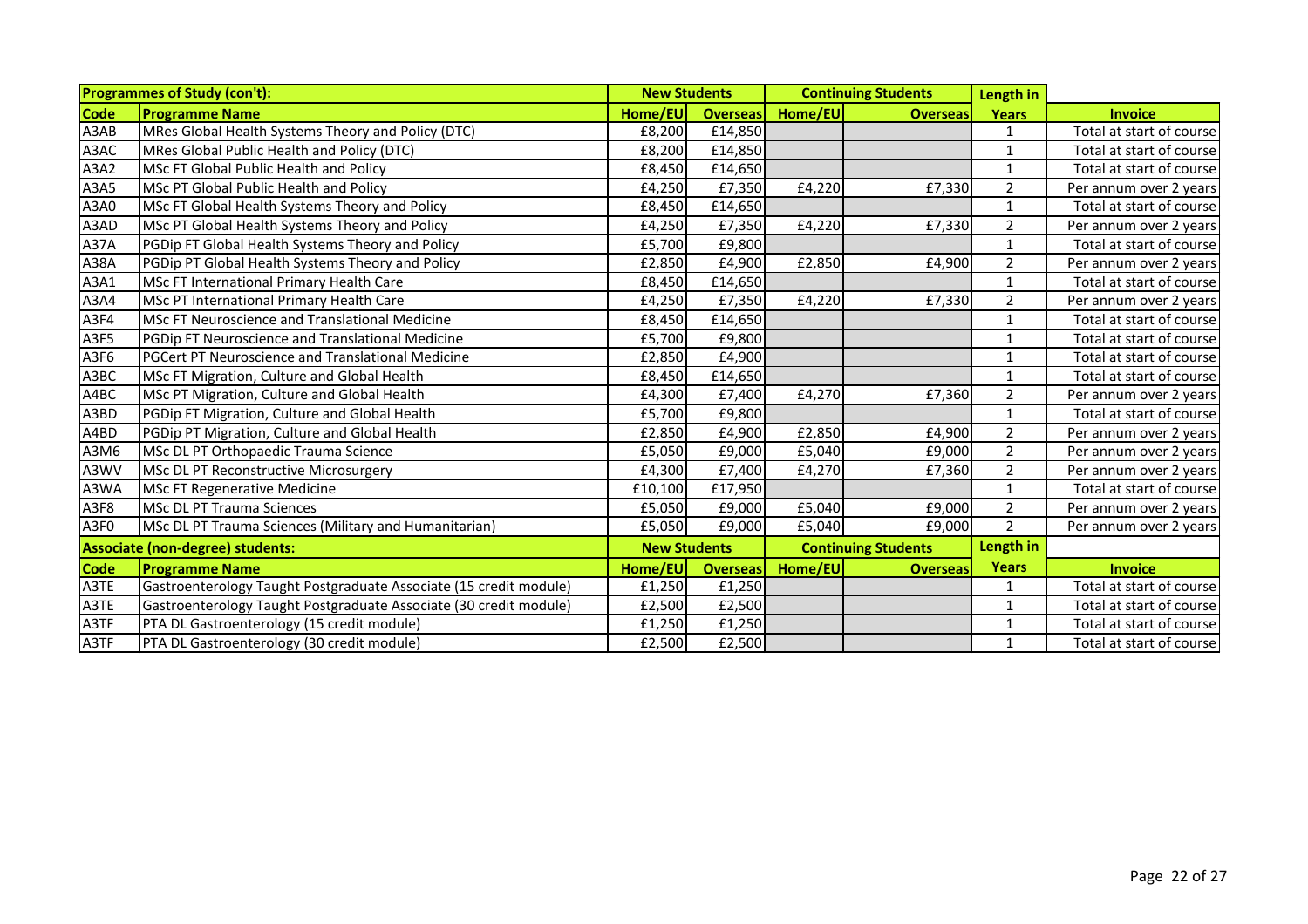|             | <b>Programmes of Study (con't):</b>                               | <b>New Students</b> |                     |         | <b>Continuing Students</b> | Length in      |                          |
|-------------|-------------------------------------------------------------------|---------------------|---------------------|---------|----------------------------|----------------|--------------------------|
| <b>Code</b> | <b>Programme Name</b>                                             | Home/EU             | <b>Overseas</b>     | Home/EU | <b>Overseas</b>            | <b>Years</b>   | <b>Invoice</b>           |
| A3AB        | MRes Global Health Systems Theory and Policy (DTC)                | £8,200              | £14,850             |         |                            | 1              | Total at start of course |
| A3AC        | MRes Global Public Health and Policy (DTC)                        | £8,200              | £14,850             |         |                            | 1              | Total at start of course |
| A3A2        | <b>MSc FT Global Public Health and Policy</b>                     | £8,450              | £14,650             |         |                            | 1              | Total at start of course |
| A3A5        | MSc PT Global Public Health and Policy                            | £4,250              | £7,350              | £4,220  | £7,330                     | $\overline{2}$ | Per annum over 2 years   |
| A3A0        | MSc FT Global Health Systems Theory and Policy                    | £8,450              | £14,650             |         |                            | 1              | Total at start of course |
| A3AD        | MSc PT Global Health Systems Theory and Policy                    | £4,250              | £7,350              | £4,220  | £7,330                     | $\overline{2}$ | Per annum over 2 years   |
| <b>A37A</b> | PGDip FT Global Health Systems Theory and Policy                  | £5,700              | £9,800              |         |                            | 1              | Total at start of course |
| A38A        | PGDip PT Global Health Systems Theory and Policy                  | £2,850              | £4,900              | £2,850  | £4,900                     | $\overline{2}$ | Per annum over 2 years   |
| A3A1        | MSc FT International Primary Health Care                          | £8,450              | £14,650             |         |                            | 1              | Total at start of course |
| A3A4        | MSc PT International Primary Health Care                          | £4,250              | £7,350              | £4,220  | £7,330                     | $\overline{2}$ | Per annum over 2 years   |
| A3F4        | MSc FT Neuroscience and Translational Medicine                    | £8,450              | £14,650             |         |                            | 1              | Total at start of course |
| A3F5        | PGDip FT Neuroscience and Translational Medicine                  | £5,700              | £9,800              |         |                            | $\mathbf{1}$   | Total at start of course |
| A3F6        | PGCert PT Neuroscience and Translational Medicine                 | £2,850              | £4,900              |         |                            | 1              | Total at start of course |
| A3BC        | MSc FT Migration, Culture and Global Health                       | £8,450              | £14,650             |         |                            | $\mathbf{1}$   | Total at start of course |
| A4BC        | MSc PT Migration, Culture and Global Health                       | £4,300              | £7,400              | £4,270  | £7,360                     | $\overline{2}$ | Per annum over 2 years   |
| A3BD        | PGDip FT Migration, Culture and Global Health                     | £5,700              | £9,800              |         |                            | $\mathbf{1}$   | Total at start of course |
| A4BD        | PGDip PT Migration, Culture and Global Health                     | £2,850              | £4,900              | £2,850  | £4,900                     | $\overline{2}$ | Per annum over 2 years   |
| A3M6        | MSc DL PT Orthopaedic Trauma Science                              | £5,050              | £9,000              | £5,040  | £9,000                     | $\overline{2}$ | Per annum over 2 years   |
| A3WV        | MSc DL PT Reconstructive Microsurgery                             | £4,300              | £7,400              | £4,270  | £7,360                     | $\overline{2}$ | Per annum over 2 years   |
| A3WA        | <b>MSc FT Regenerative Medicine</b>                               | £10,100             | £17,950             |         |                            | 1              | Total at start of course |
| A3F8        | <b>MSc DL PT Trauma Sciences</b>                                  | £5,050              | £9,000              | £5,040  | £9,000                     | $\overline{2}$ | Per annum over 2 years   |
| A3F0        | MSc DL PT Trauma Sciences (Military and Humanitarian)             | £5,050              | £9,000              | £5,040  | £9,000                     | $\overline{2}$ | Per annum over 2 years   |
|             | Associate (non-degree) students:                                  |                     | <b>New Students</b> |         | <b>Continuing Students</b> | Length in      |                          |
| <b>Code</b> | <b>Programme Name</b>                                             | Home/EU             | <b>Overseas</b>     | Home/EU | <b>Overseas</b>            | <b>Years</b>   | <b>Invoice</b>           |
| A3TE        | Gastroenterology Taught Postgraduate Associate (15 credit module) | £1,250              | £1,250              |         |                            | 1              | Total at start of course |
| A3TE        | Gastroenterology Taught Postgraduate Associate (30 credit module) | £2,500              | £2,500              |         |                            | $\mathbf{1}$   | Total at start of course |
| A3TF        | PTA DL Gastroenterology (15 credit module)                        | £1,250              | £1,250              |         |                            | 1              | Total at start of course |
| A3TF        | PTA DL Gastroenterology (30 credit module)                        | £2,500              | £2,500              |         |                            | $\mathbf{1}$   | Total at start of course |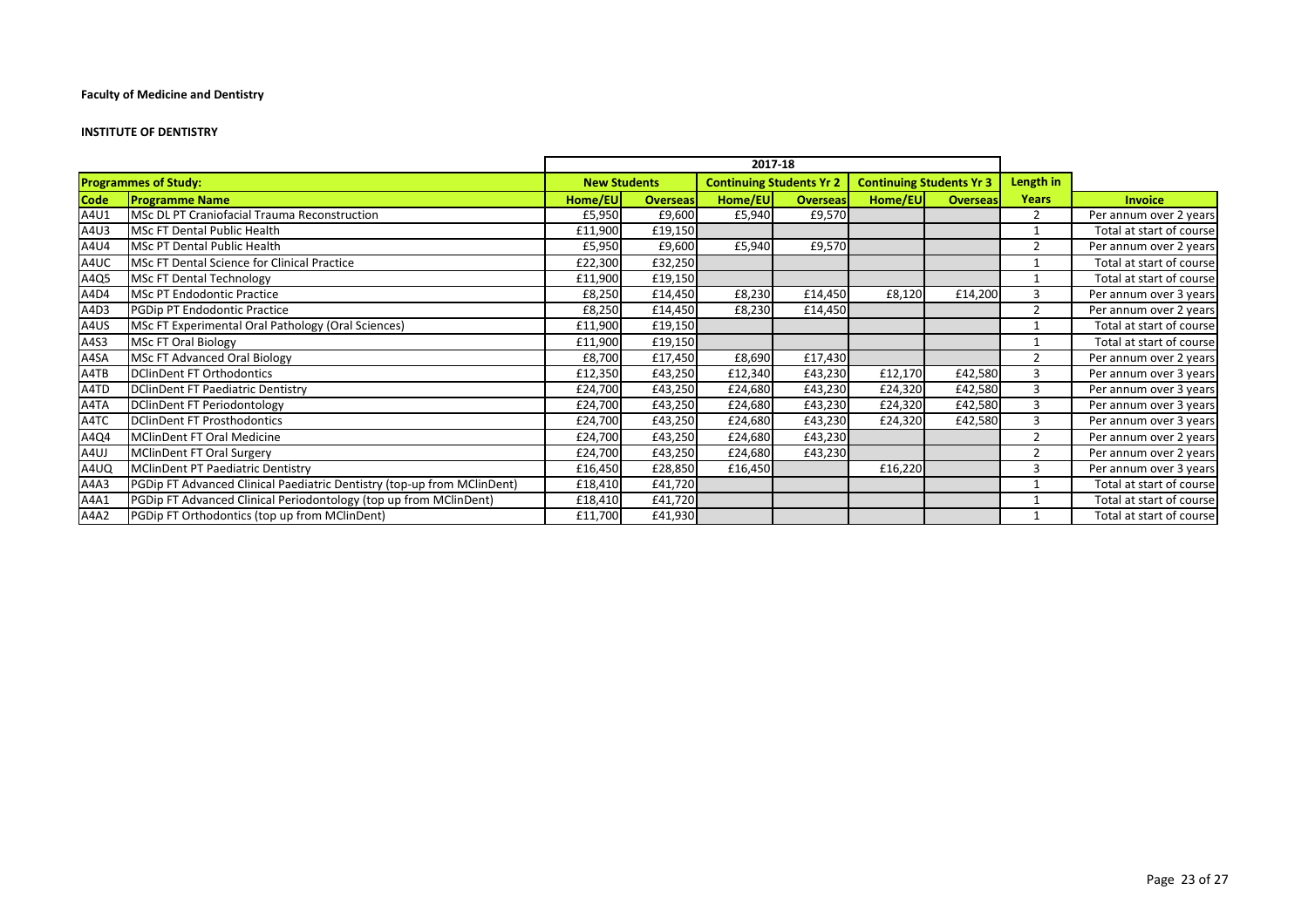#### **INSTITUTE OF DENTISTRY**

|             |                                                                         |                     |                 | 2017-18                         |                 |                                 |                 |                |                          |
|-------------|-------------------------------------------------------------------------|---------------------|-----------------|---------------------------------|-----------------|---------------------------------|-----------------|----------------|--------------------------|
|             | <b>Programmes of Study:</b>                                             | <b>New Students</b> |                 | <b>Continuing Students Yr 2</b> |                 | <b>Continuing Students Yr 3</b> |                 | Length in      |                          |
| <b>Code</b> | <b>Programme Name</b>                                                   | Home/EU             | <b>Overseas</b> | Home/EU                         | <b>Overseas</b> | Home/EU                         | <b>Overseas</b> | <b>Years</b>   | <b>Invoice</b>           |
| A4U1        | MSc DL PT Craniofacial Trauma Reconstruction                            | £5,950              | £9,600          | £5,940                          | £9,570          |                                 |                 | 2              | Per annum over 2 years   |
| A4U3        | MSc FT Dental Public Health                                             | £11,900             | £19,150         |                                 |                 |                                 |                 |                | Total at start of course |
| A4U4        | MSc PT Dental Public Health                                             | £5,950              | £9,600          | £5,940                          | £9,570          |                                 |                 | $\overline{2}$ | Per annum over 2 years   |
| A4UC        | MSc FT Dental Science for Clinical Practice                             | £22,300             | £32,250         |                                 |                 |                                 |                 |                | Total at start of course |
| A4Q5        | <b>MSc FT Dental Technology</b>                                         | £11,900             | £19,150         |                                 |                 |                                 |                 |                | Total at start of course |
| A4D4        | <b>MSc PT Endodontic Practice</b>                                       | £8,250              | £14,450         | £8,230                          | £14,450         | £8,120                          | £14,200         |                | Per annum over 3 years   |
| A4D3        | PGDip PT Endodontic Practice                                            | £8,250              | £14,450         | £8,230                          | £14,450         |                                 |                 |                | Per annum over 2 years   |
| A4US        | MSc FT Experimental Oral Pathology (Oral Sciences)                      | £11,900             | £19,150         |                                 |                 |                                 |                 |                | Total at start of course |
| A4S3        | MSc FT Oral Biology                                                     | £11,900             | £19,150         |                                 |                 |                                 |                 |                | Total at start of course |
| A4SA        | MSc FT Advanced Oral Biology                                            | £8,700              | £17,450         | £8,690                          | £17,430         |                                 |                 | $\mathcal{P}$  | Per annum over 2 years   |
| A4TB        | DClinDent FT Orthodontics                                               | £12,350             | £43,250         | £12,340                         | £43,230         | £12,170                         | £42,580         | 3              | Per annum over 3 years   |
| A4TD        | DClinDent FT Paediatric Dentistry                                       | £24,700             | £43,250         | £24,680                         | £43,230         | £24,320                         | £42,580         | 3              | Per annum over 3 years   |
| A4TA        | DClinDent FT Periodontology                                             | £24,700             | £43,250         | £24,680                         | £43,230         | £24,320                         | £42,580         | 3              | Per annum over 3 years   |
| A4TC        | DClinDent FT Prosthodontics                                             | £24,700             | £43,250         | £24,680                         | £43,230         | £24,320                         | £42,580         | 3              | Per annum over 3 years   |
| A4Q4        | MClinDent FT Oral Medicine                                              | £24,700             | £43,250         | £24,680                         | £43,230         |                                 |                 | $\overline{2}$ | Per annum over 2 years   |
| A4UJ        | MClinDent FT Oral Surgery                                               | £24,700             | £43,250         | £24,680                         | £43,230         |                                 |                 | $\overline{2}$ | Per annum over 2 years   |
| A4UQ        | MClinDent PT Paediatric Dentistry                                       | £16,450             | £28,850         | £16,450                         |                 | £16,220                         |                 | 3              | Per annum over 3 years   |
| A4A3        | PGDip FT Advanced Clinical Paediatric Dentistry (top-up from MClinDent) | £18,410             | £41,720         |                                 |                 |                                 |                 |                | Total at start of course |
| A4A1        | PGDip FT Advanced Clinical Periodontology (top up from MClinDent)       | £18,410             | £41,720         |                                 |                 |                                 |                 |                | Total at start of course |
| A4A2        | PGDip FT Orthodontics (top up from MClinDent)                           | £11,700             | £41,930         |                                 |                 |                                 |                 |                | Total at start of course |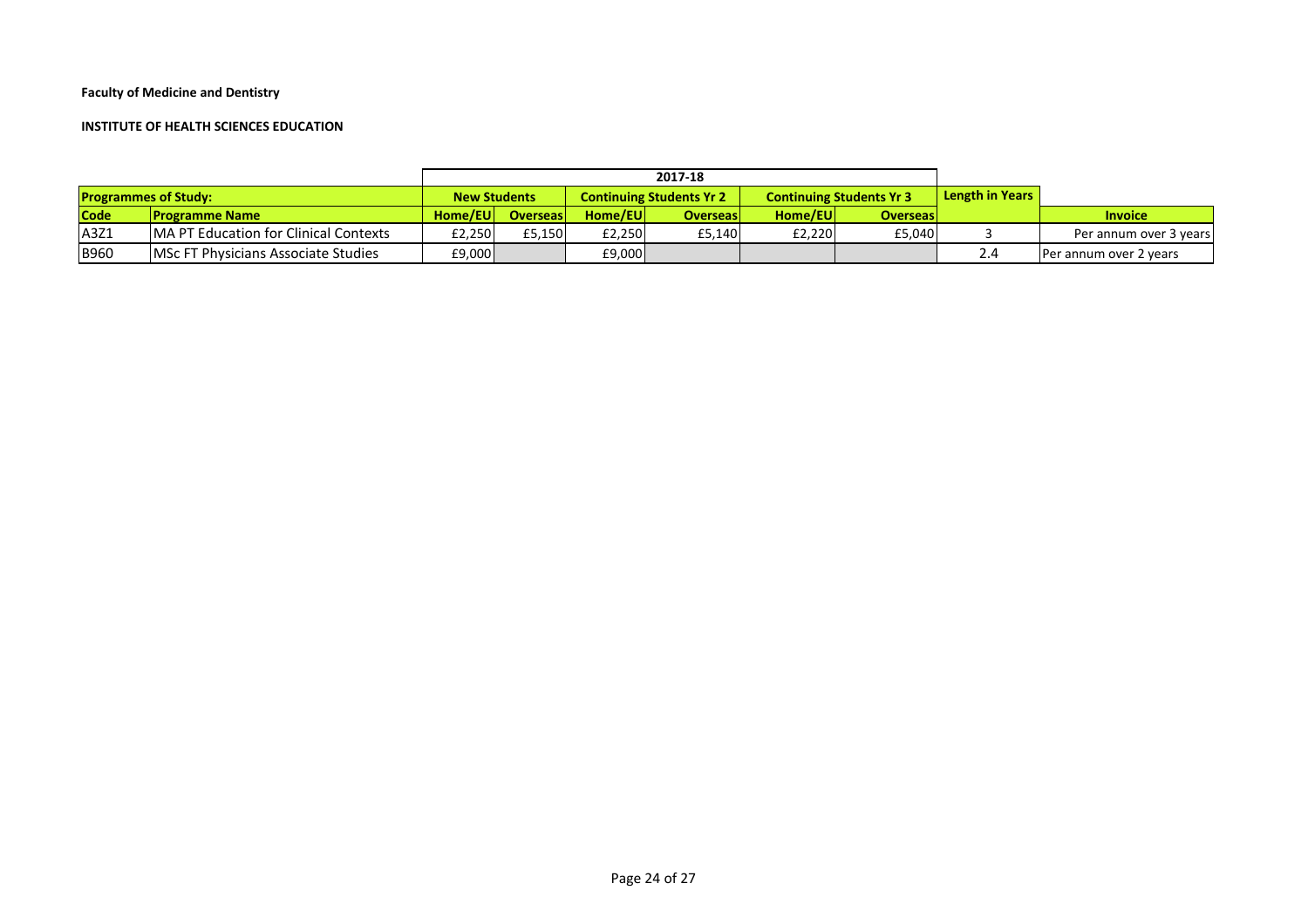#### **INSTITUTE OF HEALTH SCIENCES EDUCATION**

|                             |                                               | 2017-18                                                |                 |          |                 |                                 |                        |  |                        |
|-----------------------------|-----------------------------------------------|--------------------------------------------------------|-----------------|----------|-----------------|---------------------------------|------------------------|--|------------------------|
| <b>Programmes of Study:</b> |                                               | <b>New Students</b><br><b>Continuing Students Yr 2</b> |                 |          |                 | <b>Continuing Students Yr 3</b> | <b>Length in Years</b> |  |                        |
| <b>Code</b>                 | <b>IProgramme Name</b>                        | Home/EUI                                               | <b>Overseas</b> | Home/EUI | <b>Overseas</b> | Home/EU                         | <b>Overseas</b>        |  | <b>Invoice</b>         |
| A3Z1                        | <b>IMA PT Education for Clinical Contexts</b> | E2,250                                                 | £5.150          | £2.250L  | £5,140          | £2,220                          | £5.040                 |  | Per annum over 3 years |
| <b>B960</b>                 | <b>IMSC FT Physicians Associate Studies</b>   | £9,000                                                 |                 | £9,000   |                 |                                 |                        |  | Per annum over 2 years |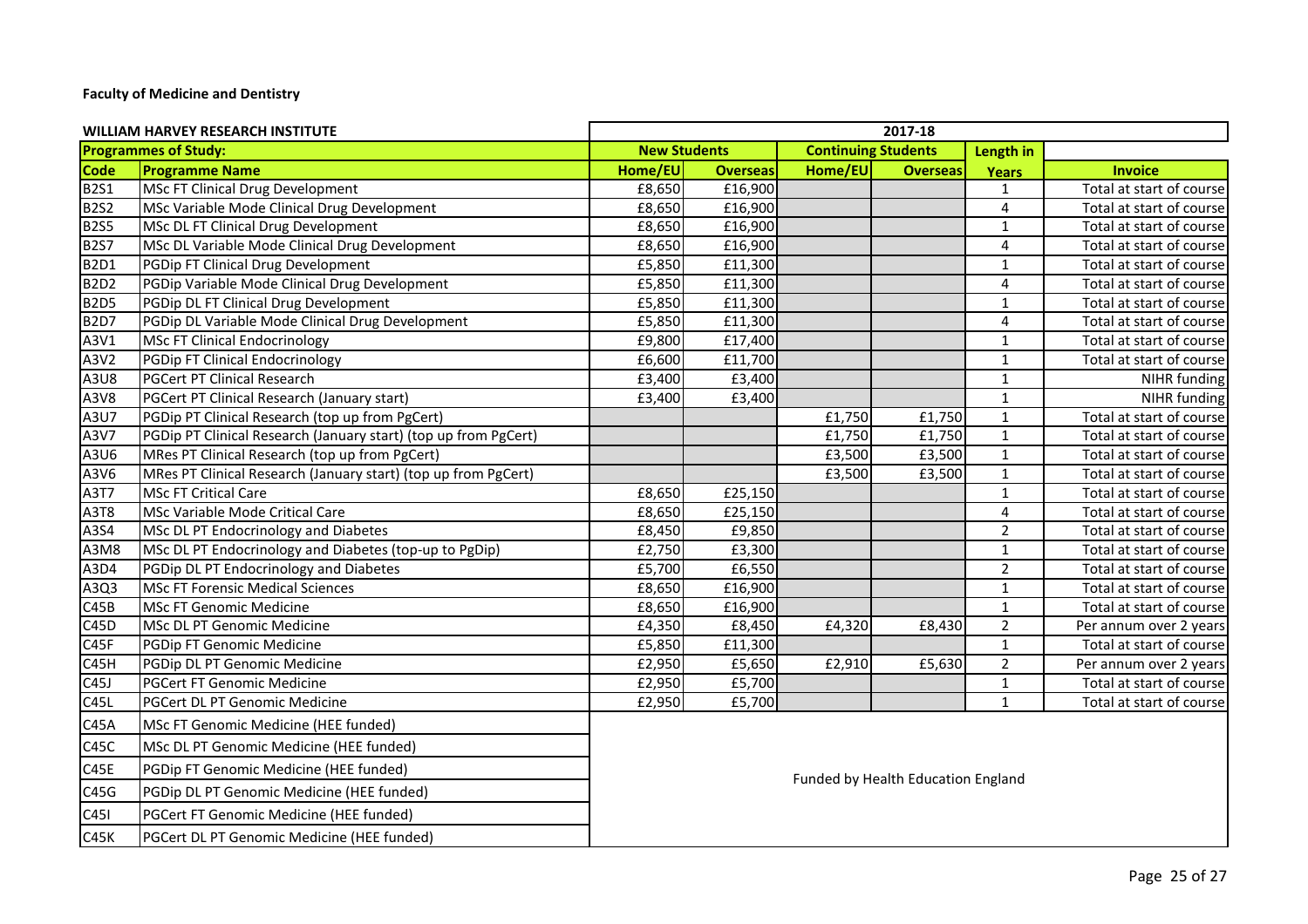| <b>WILLIAM HARVEY RESEARCH INSTITUTE</b> |                                                                 | 2017-18                            |                 |                            |                 |                |                          |  |  |
|------------------------------------------|-----------------------------------------------------------------|------------------------------------|-----------------|----------------------------|-----------------|----------------|--------------------------|--|--|
| <b>Programmes of Study:</b>              |                                                                 | <b>New Students</b>                |                 | <b>Continuing Students</b> |                 | Length in      |                          |  |  |
| <b>Code</b>                              | <b>Programme Name</b>                                           | Home/EU                            | <b>Overseas</b> | Home/EU                    | <b>Overseas</b> | <b>Years</b>   | <b>Invoice</b>           |  |  |
| <b>B2S1</b>                              | MSc FT Clinical Drug Development                                | £8,650                             | £16,900         |                            |                 | 1              | Total at start of course |  |  |
| <b>B2S2</b>                              | MSc Variable Mode Clinical Drug Development                     | £8,650                             | £16,900         |                            |                 | 4              | Total at start of course |  |  |
| <b>B2S5</b>                              | MSc DL FT Clinical Drug Development                             | £8,650                             | £16,900         |                            |                 | $\mathbf{1}$   | Total at start of course |  |  |
| <b>B2S7</b>                              | MSc DL Variable Mode Clinical Drug Development                  | £8,650                             | £16,900         |                            |                 | 4              | Total at start of course |  |  |
| <b>B2D1</b>                              | PGDip FT Clinical Drug Development                              | £5,850                             | £11,300         |                            |                 | $\mathbf{1}$   | Total at start of course |  |  |
| <b>B2D2</b>                              | PGDip Variable Mode Clinical Drug Development                   | £5,850                             | £11,300         |                            |                 | 4              | Total at start of course |  |  |
| <b>B2D5</b>                              | PGDip DL FT Clinical Drug Development                           | £5,850                             | £11,300         |                            |                 | $\mathbf 1$    | Total at start of course |  |  |
| <b>B2D7</b>                              | PGDip DL Variable Mode Clinical Drug Development                | £5,850                             | £11,300         |                            |                 | 4              | Total at start of course |  |  |
| A3V1                                     | MSc FT Clinical Endocrinology                                   | £9,800                             | £17,400         |                            |                 | $\mathbf{1}$   | Total at start of course |  |  |
| A3V2                                     | PGDip FT Clinical Endocrinology                                 | £6,600                             | £11,700         |                            |                 | $\mathbf{1}$   | Total at start of course |  |  |
| A3U8                                     | <b>PGCert PT Clinical Research</b>                              | £3,400                             | £3,400          |                            |                 | $\mathbf{1}$   | NIHR funding             |  |  |
| A3V8                                     | PGCert PT Clinical Research (January start)                     | £3,400                             | £3,400          |                            |                 | $\mathbf{1}$   | NIHR funding             |  |  |
| A3U7                                     | PGDip PT Clinical Research (top up from PgCert)                 |                                    |                 | £1,750                     | £1,750          | $\mathbf{1}$   | Total at start of course |  |  |
| A3V7                                     | PGDip PT Clinical Research (January start) (top up from PgCert) |                                    |                 | £1,750                     | £1,750          | $\mathbf 1$    | Total at start of course |  |  |
| A3U6                                     | MRes PT Clinical Research (top up from PgCert)                  |                                    |                 | £3,500                     | £3,500          | $\mathbf 1$    | Total at start of course |  |  |
| A3V6                                     | MRes PT Clinical Research (January start) (top up from PgCert)  |                                    |                 | £3,500                     | £3,500          | $1\,$          | Total at start of course |  |  |
| A3T7                                     | MSc FT Critical Care                                            | £8,650                             | £25,150         |                            |                 | $\mathbf 1$    | Total at start of course |  |  |
| A3T8                                     | MSc Variable Mode Critical Care                                 | £8,650                             | £25,150         |                            |                 | 4              | Total at start of course |  |  |
| A3S4                                     | MSc DL PT Endocrinology and Diabetes                            | £8,450                             | £9,850          |                            |                 | $\overline{2}$ | Total at start of course |  |  |
| A3M8                                     | MSc DL PT Endocrinology and Diabetes (top-up to PgDip)          | £2,750                             | £3,300          |                            |                 | $\mathbf{1}$   | Total at start of course |  |  |
| A3D4                                     | PGDip DL PT Endocrinology and Diabetes                          | £5,700                             | £6,550          |                            |                 | $\overline{2}$ | Total at start of course |  |  |
| A3Q3                                     | <b>MSc FT Forensic Medical Sciences</b>                         | £8,650                             | £16,900         |                            |                 | $\mathbf 1$    | Total at start of course |  |  |
| C45B                                     | <b>MSc FT Genomic Medicine</b>                                  | £8,650                             | £16,900         |                            |                 | $\mathbf{1}$   | Total at start of course |  |  |
| C <sub>45</sub> D                        | MSc DL PT Genomic Medicine                                      | £4,350                             | £8,450          | £4,320                     | £8,430          | $\overline{2}$ | Per annum over 2 years   |  |  |
| C45F                                     | PGDip FT Genomic Medicine                                       | £5,850                             | £11,300         |                            |                 | $\mathbf{1}$   | Total at start of course |  |  |
| C45H                                     | PGDip DL PT Genomic Medicine                                    | £2,950                             | £5,650          | £2,910                     | £5,630          | $\overline{2}$ | Per annum over 2 years   |  |  |
| C45J                                     | <b>PGCert FT Genomic Medicine</b>                               | £2,950                             | £5,700          |                            |                 | $\mathbf 1$    | Total at start of course |  |  |
| C45L                                     | PGCert DL PT Genomic Medicine                                   | £2,950                             | £5,700          |                            |                 | $\mathbf 1$    | Total at start of course |  |  |
| C45A                                     | MSc FT Genomic Medicine (HEE funded)                            |                                    |                 |                            |                 |                |                          |  |  |
| C45C                                     | MSc DL PT Genomic Medicine (HEE funded)                         |                                    |                 |                            |                 |                |                          |  |  |
| C45E                                     | PGDip FT Genomic Medicine (HEE funded)                          | Funded by Health Education England |                 |                            |                 |                |                          |  |  |
| C45G                                     | PGDip DL PT Genomic Medicine (HEE funded)                       |                                    |                 |                            |                 |                |                          |  |  |
| C45I                                     | PGCert FT Genomic Medicine (HEE funded)                         |                                    |                 |                            |                 |                |                          |  |  |
| C45K                                     | PGCert DL PT Genomic Medicine (HEE funded)                      |                                    |                 |                            |                 |                |                          |  |  |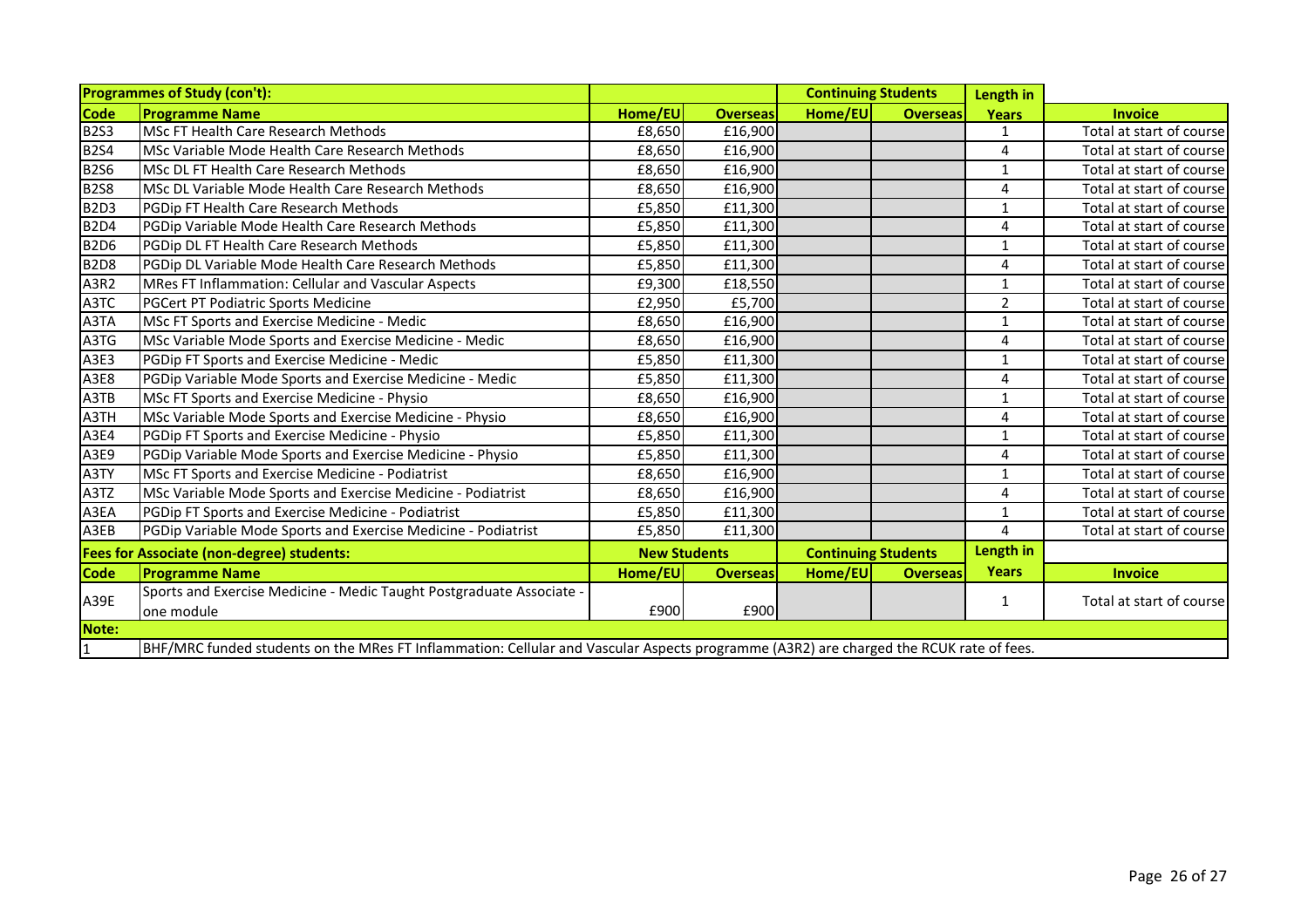| <b>Programmes of Study (con't):</b>              |                                                                                                                                        |                     |                 | <b>Continuing Students</b> |                 | Length in      |                          |
|--------------------------------------------------|----------------------------------------------------------------------------------------------------------------------------------------|---------------------|-----------------|----------------------------|-----------------|----------------|--------------------------|
| <b>Code</b>                                      | <b>Programme Name</b>                                                                                                                  | Home/EU             | <b>Overseas</b> | Home/EU                    | <b>Overseas</b> | <b>Years</b>   | <b>Invoice</b>           |
| <b>B2S3</b>                                      | MSc FT Health Care Research Methods                                                                                                    | £8,650              | £16,900         |                            |                 | 1              | Total at start of course |
| <b>B2S4</b>                                      | MSc Variable Mode Health Care Research Methods                                                                                         | £8,650              | £16,900         |                            |                 | 4              | Total at start of course |
| <b>B2S6</b>                                      | MSc DL FT Health Care Research Methods                                                                                                 | £8,650              | £16,900         |                            |                 | 1              | Total at start of course |
| <b>B2S8</b>                                      | MSc DL Variable Mode Health Care Research Methods                                                                                      | £8,650              | £16,900         |                            |                 | 4              | Total at start of course |
| B <sub>2D3</sub>                                 | PGDip FT Health Care Research Methods                                                                                                  | £5,850              | £11,300         |                            |                 | 1              | Total at start of course |
| <b>B2D4</b>                                      | PGDip Variable Mode Health Care Research Methods                                                                                       | £5,850              | £11,300         |                            |                 | 4              | Total at start of course |
| <b>B2D6</b>                                      | PGDip DL FT Health Care Research Methods                                                                                               | £5,850              | £11,300         |                            |                 | $\mathbf{1}$   | Total at start of course |
| <b>B2D8</b>                                      | PGDip DL Variable Mode Health Care Research Methods                                                                                    | £5,850              | £11,300         |                            |                 | 4              | Total at start of course |
| A3R2                                             | MRes FT Inflammation: Cellular and Vascular Aspects                                                                                    | £9,300              | £18,550         |                            |                 | 1              | Total at start of course |
| A3TC                                             | PGCert PT Podiatric Sports Medicine                                                                                                    | £2,950              | £5,700          |                            |                 | $\overline{2}$ | Total at start of course |
| A3TA                                             | MSc FT Sports and Exercise Medicine - Medic                                                                                            | £8,650              | £16,900         |                            |                 | $\mathbf{1}$   | Total at start of course |
| A3TG                                             | MSc Variable Mode Sports and Exercise Medicine - Medic                                                                                 | £8,650              | £16,900         |                            |                 | 4              | Total at start of course |
| A3E3                                             | PGDip FT Sports and Exercise Medicine - Medic                                                                                          | £5,850              | £11,300         |                            |                 | 1              | Total at start of course |
| A3E8                                             | PGDip Variable Mode Sports and Exercise Medicine - Medic                                                                               | £5,850              | £11,300         |                            |                 | 4              | Total at start of course |
| A3TB                                             | MSc FT Sports and Exercise Medicine - Physio                                                                                           | £8,650              | £16,900         |                            |                 | 1              | Total at start of course |
| A3TH                                             | MSc Variable Mode Sports and Exercise Medicine - Physio                                                                                | £8,650              | £16,900         |                            |                 | 4              | Total at start of course |
| A3E4                                             | PGDip FT Sports and Exercise Medicine - Physio                                                                                         | £5,850              | £11,300         |                            |                 | $\mathbf{1}$   | Total at start of course |
| A3E9                                             | PGDip Variable Mode Sports and Exercise Medicine - Physio                                                                              | £5,850              | £11,300         |                            |                 | 4              | Total at start of course |
| A3TY                                             | MSc FT Sports and Exercise Medicine - Podiatrist                                                                                       | £8,650              | £16,900         |                            |                 | $\mathbf{1}$   | Total at start of course |
| A3TZ                                             | MSc Variable Mode Sports and Exercise Medicine - Podiatrist                                                                            | £8,650              | £16,900         |                            |                 | 4              | Total at start of course |
| A3EA                                             | PGDip FT Sports and Exercise Medicine - Podiatrist                                                                                     | £5,850              | £11,300         |                            |                 | $\mathbf{1}$   | Total at start of course |
| A3EB                                             | PGDip Variable Mode Sports and Exercise Medicine - Podiatrist                                                                          | £5,850              | £11,300         |                            |                 | 4              | Total at start of course |
| <b>Fees for Associate (non-degree) students:</b> |                                                                                                                                        | <b>New Students</b> |                 | <b>Continuing Students</b> |                 | Length in      |                          |
| <b>Code</b>                                      | <b>Programme Name</b>                                                                                                                  | Home/EU             | <b>Overseas</b> | Home/EU                    | <b>Overseas</b> | <b>Years</b>   | <b>Invoice</b>           |
| A39E                                             | Sports and Exercise Medicine - Medic Taught Postgraduate Associate -                                                                   |                     |                 |                            |                 | 1              | Total at start of course |
|                                                  | one module                                                                                                                             | £900                | £900            |                            |                 |                |                          |
| Note:                                            |                                                                                                                                        |                     |                 |                            |                 |                |                          |
| $\boxed{1}$                                      | BHF/MRC funded students on the MRes FT Inflammation: Cellular and Vascular Aspects programme (A3R2) are charged the RCUK rate of fees. |                     |                 |                            |                 |                |                          |